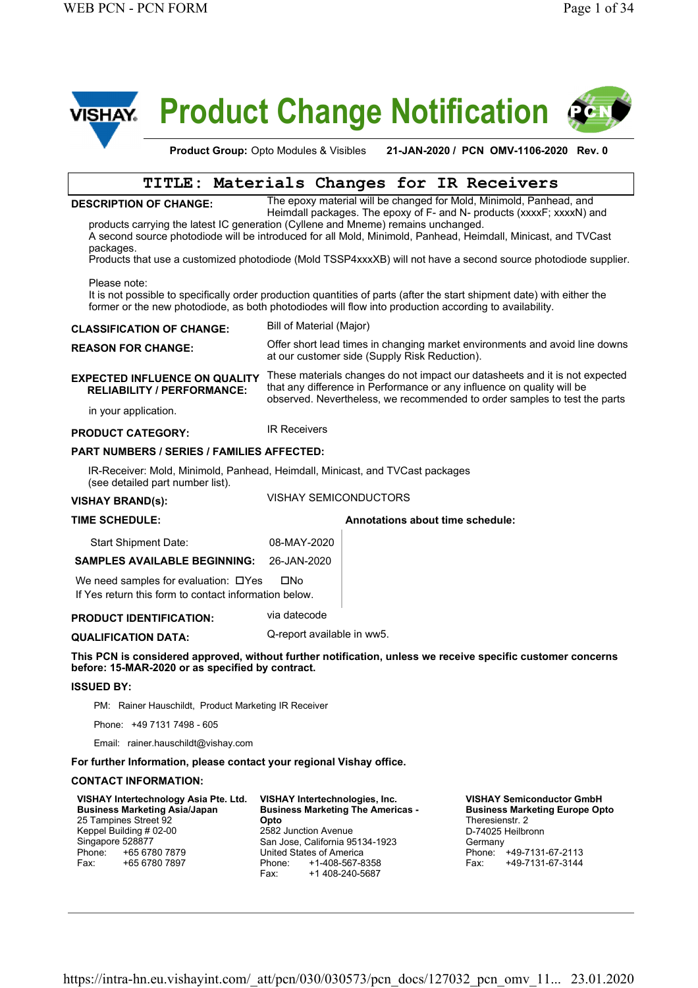

# **Product Change Notification**





### **TITLE: Materials Changes for IR Receivers**

#### **DESCRIPTION OF CHANGE:**

The epoxy material will be changed for Mold, Minimold, Panhead, and Heimdall packages. The epoxy of F- and N- products (xxxxF; xxxxN) and

products carrying the latest IC generation (Cyllene and Mneme) remains unchanged. A second source photodiode will be introduced for all Mold, Minimold, Panhead, Heimdall, Minicast, and TVCast packages.

Products that use a customized photodiode (Mold TSSP4xxxXB) will not have a second source photodiode supplier.

Please note:

It is not possible to specifically order production quantities of parts (after the start shipment date) with either the former or the new photodiode, as both photodiodes will flow into production according to availability.

#### **CLASSIFICATION OF CHANGE:** Bill of Material (Major)

Offer short lead times in changing market environments and avoid line downs at our customer side (Supply Risk Reduction). **REASON FOR CHANGE:** 

#### **EXPECTED INFLUENCE ON QUALITY RELIABILITY / PERFORMANCE:**

These materials changes do not impact our datasheets and it is not expected that any difference in Performance or any influence on quality will be observed. Nevertheless, we recommended to order samples to test the parts

#### in your application.

**PRODUCT CATEGORY:** IR Receivers

#### **PART NUMBERS / SERIES / FAMILIES AFFECTED:**

IR-Receiver: Mold, Minimold, Panhead, Heimdall, Minicast, and TVCast packages (see detailed part number list).

**VISHAY BRAND(s)** VISHAY SEMICONDUCTORS **:** 

#### **TIME SCHEDULE: Annotations about time schedule:**

Start Shipment Date: 08-MAY-2020

**SAMPLES AVAILABLE BEGINNING:** 26-JAN-2020

We need samples for evaluation:  $\Box$  Yes  $\Box$  No If Yes return this form to contact information below.

#### **PRODUCT IDENTIFICATION:** via datecode

**QUALIFICATION DATA:** Q-report available in ww5.

**This PCN is considered approved, without further notification, unless we receive specific customer concerns before: 15-MAR-2020 or as specified by contract.**

#### **ISSUED BY:**

PM: Rainer Hauschildt, Product Marketing IR Receiver

Phone: +49 7131 7498 - 605

Email: rainer.hauschildt@vishay.com

**For further Information, please contact your regional Vishay office.**

#### **CONTACT INFORMATION:**

| VISHAY Intertechnologies, Inc.<br><b>Business Marketing The Americas -</b> |
|----------------------------------------------------------------------------|
| Opto                                                                       |
| 2582 Junction Avenue                                                       |
| San Jose, California 95134-1923                                            |
| United States of America                                                   |
| Phone: +1-408-567-8358<br>+1 408-240-5687<br>Fax: F                        |
|                                                                            |

**VISHAY Semiconductor GmbH Business Marketing Europe Opto** Theresienstr. 2 D-74025 Heilbronn **Germany** Phone: +49-7131-67-2113<br>Fax: +49-7131-67-3144 Fax: +49-7131-67-3144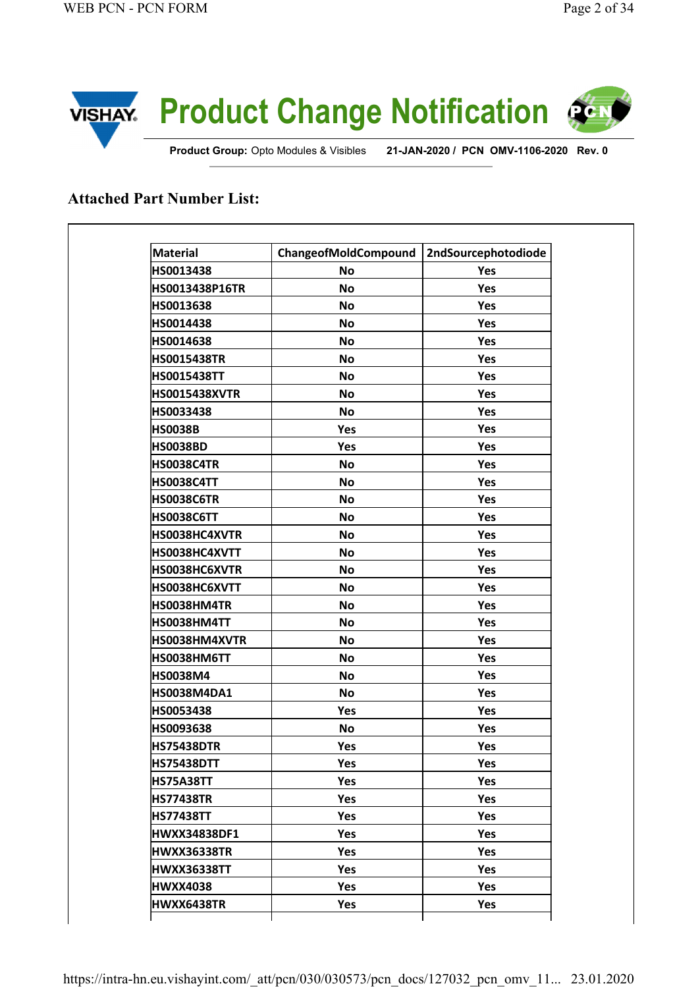

**Product Group:** Opto Modules & Visibles **21-JAN-2020 / PCN OMV-1106-2020 Rev. 0** 

## **Attached Part Number List:**

| <b>Material</b>       | ChangeofMoldCompound | <b>2ndSourcephotodiode</b> |
|-----------------------|----------------------|----------------------------|
| HS0013438             | <b>No</b>            | Yes                        |
| <b>HS0013438P16TR</b> | <b>No</b>            | Yes                        |
| HS0013638             | <b>No</b>            | Yes                        |
| HS0014438             | <b>No</b>            | Yes                        |
| HS0014638             | <b>No</b>            | Yes                        |
| <b>HS0015438TR</b>    | <b>No</b>            | Yes                        |
| <b>HS0015438TT</b>    | <b>No</b>            | Yes                        |
| <b>HS0015438XVTR</b>  | <b>No</b>            | Yes                        |
| HS0033438             | <b>No</b>            | Yes                        |
| <b>HS0038B</b>        | Yes                  | Yes                        |
| <b>HS0038BD</b>       | Yes                  | Yes                        |
| HS0038C4TR            | <b>No</b>            | Yes                        |
| <b>HS0038C4TT</b>     | <b>No</b>            | Yes                        |
| <b>HS0038C6TR</b>     | <b>No</b>            | Yes                        |
| <b>HS0038C6TT</b>     | <b>No</b>            | Yes                        |
| HS0038HC4XVTR         | <b>No</b>            | Yes                        |
| HS0038HC4XVTT         | <b>No</b>            | Yes                        |
| HS0038HC6XVTR         | No                   | Yes                        |
| HS0038HC6XVTT         | No                   | Yes                        |
| <b>HS0038HM4TR</b>    | No                   | Yes                        |
| HS0038HM4TT           | No                   | Yes                        |
| HS0038HM4XVTR         | No                   | Yes                        |
| HS0038HM6TT           | No                   | Yes                        |
| <b>HS0038M4</b>       | No                   | Yes                        |
| <b>HS0038M4DA1</b>    | <b>No</b>            | Yes                        |
| HS0053438             | Yes                  | Yes                        |
| HS0093638             | <b>No</b>            | Yes                        |
| <b>HS75438DTR</b>     | Yes                  | Yes                        |
| <b>HS75438DTT</b>     | Yes                  | Yes                        |
| <b>HS75A38TT</b>      | Yes                  | Yes                        |
| <b>HS77438TR</b>      | Yes                  | Yes                        |
| <b>HS77438TT</b>      | Yes                  | Yes                        |
| <b>HWXX34838DF1</b>   | Yes                  | Yes                        |
| <b>HWXX36338TR</b>    | Yes                  | Yes                        |
| <b>HWXX36338TT</b>    | Yes                  | Yes                        |
| <b>HWXX4038</b>       | Yes                  | Yes                        |
| HWXX6438TR            | Yes                  | Yes                        |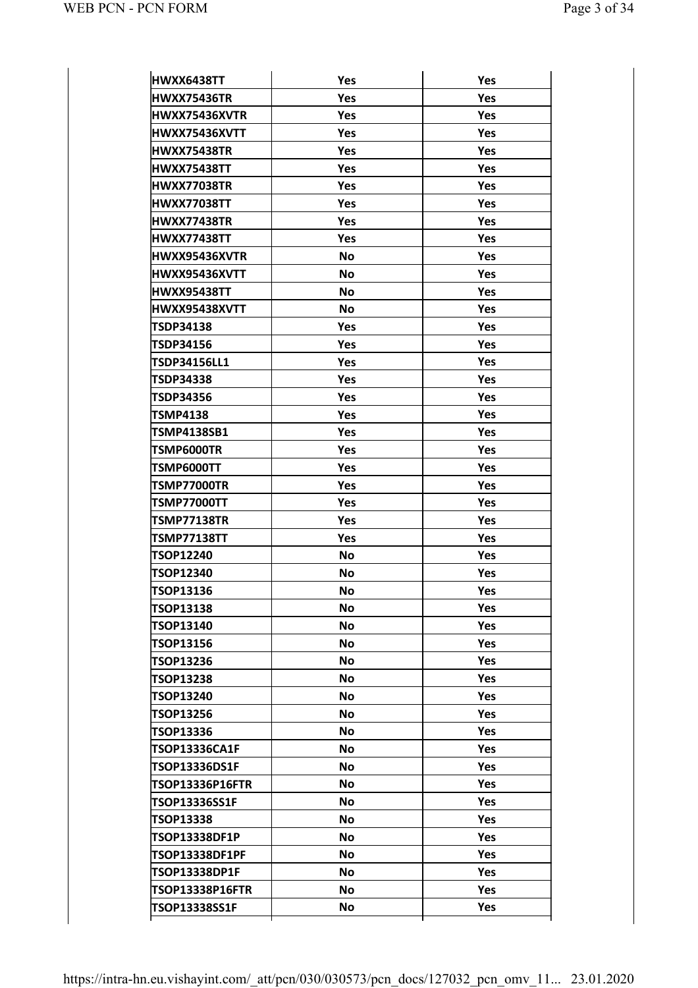| HWXX6438TT             | Yes       | Yes        |
|------------------------|-----------|------------|
| <b>HWXX75436TR</b>     | Yes       | Yes        |
| HWXX75436XVTR          | Yes       | Yes        |
| HWXX75436XVTT          | Yes       | Yes        |
| <b>HWXX75438TR</b>     | Yes       | Yes        |
| <b>HWXX75438TT</b>     | Yes       | Yes        |
| <b>HWXX77038TR</b>     | Yes       | Yes        |
| <b>HWXX77038TT</b>     | Yes       | Yes        |
| <b>HWXX77438TR</b>     | Yes       | Yes        |
| <b>HWXX77438TT</b>     | Yes       | Yes        |
| <b>HWXX95436XVTR</b>   | <b>No</b> | Yes        |
| HWXX95436XVTT          | <b>No</b> | Yes        |
| <b>HWXX95438TT</b>     | <b>No</b> | Yes        |
| HWXX95438XVTT          | <b>No</b> | Yes        |
| <b>TSDP34138</b>       | Yes       | Yes        |
| <b>TSDP34156</b>       | Yes       | Yes        |
| <b>TSDP34156LL1</b>    | Yes       | Yes        |
| <b>TSDP34338</b>       | Yes       | Yes        |
| <b>TSDP34356</b>       | Yes       | <b>Yes</b> |
| <b>TSMP4138</b>        | Yes       | Yes        |
| <b>TSMP4138SB1</b>     | Yes       | Yes        |
| TSMP6000TR             | Yes       | Yes        |
| TSMP6000TT             | Yes       | Yes        |
| <b>TSMP77000TR</b>     | Yes       | Yes        |
| <b>TSMP77000TT</b>     | Yes       | Yes        |
| <b>TSMP77138TR</b>     | Yes       | Yes        |
| <b>TSMP77138TT</b>     | Yes       | Yes        |
| <b>TSOP12240</b>       | No        | <b>Yes</b> |
| <b>TSOP12340</b>       | No        | Yes        |
| <b>TSOP13136</b>       | No        | Yes        |
| <b>TSOP13138</b>       | <b>No</b> | <b>Yes</b> |
| <b>TSOP13140</b>       | No        | Yes        |
| <b>TSOP13156</b>       | No        | <b>Yes</b> |
| <b>TSOP13236</b>       | No        | Yes        |
| <b>TSOP13238</b>       | No        | Yes        |
| TSOP13240              | No        | Yes        |
| <b>TSOP13256</b>       | No        | <b>Yes</b> |
| <b>TSOP13336</b>       | No        | Yes        |
| <b>TSOP13336CA1F</b>   | No        | Yes        |
| TSOP13336DS1F          | No        | Yes        |
| <b>TSOP13336P16FTR</b> | No        | Yes        |
| TSOP13336SS1F          | No        | Yes        |
| <b>TSOP13338</b>       | No        | Yes        |
| TSOP13338DF1P          | No        | Yes        |
| <b>TSOP13338DF1PF</b>  | No        | Yes        |
| TSOP13338DP1F          | No        | Yes        |
| <b>TSOP13338P16FTR</b> | No        | Yes        |
| TSOP13338SS1F          | No        | Yes        |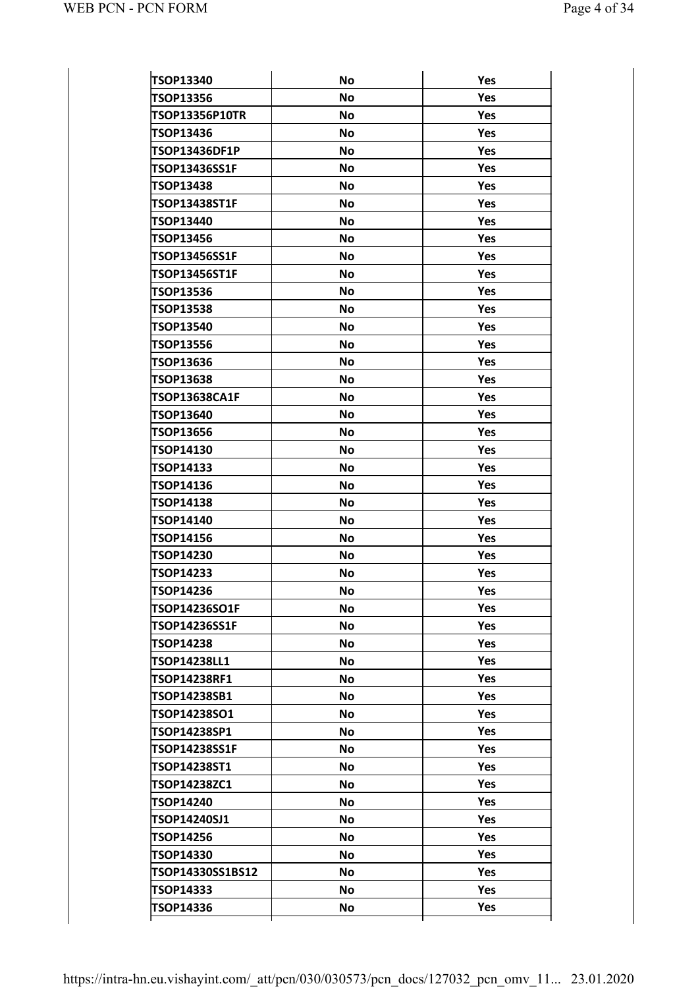| <b>TSOP13340</b>      | <b>No</b> | Yes        |
|-----------------------|-----------|------------|
| <b>TSOP13356</b>      | <b>No</b> | Yes        |
| <b>TSOP13356P10TR</b> | <b>No</b> | Yes        |
| <b>TSOP13436</b>      | <b>No</b> | Yes        |
| TSOP13436DF1P         | <b>No</b> | <b>Yes</b> |
| TSOP13436SS1F         | <b>No</b> | Yes        |
| <b>TSOP13438</b>      | <b>No</b> | Yes        |
| <b>TSOP13438ST1F</b>  | <b>No</b> | Yes        |
| <b>TSOP13440</b>      | <b>No</b> | <b>Yes</b> |
| <b>TSOP13456</b>      | <b>No</b> | Yes        |
| <b>TSOP13456SS1F</b>  | <b>No</b> | <b>Yes</b> |
| <b>TSOP13456ST1F</b>  | <b>No</b> | Yes        |
| <b>TSOP13536</b>      | <b>No</b> | <b>Yes</b> |
| <b>TSOP13538</b>      | <b>No</b> | Yes        |
| <b>TSOP13540</b>      | <b>No</b> | <b>Yes</b> |
| <b>TSOP13556</b>      | <b>No</b> | Yes        |
| <b>TSOP13636</b>      | <b>No</b> | <b>Yes</b> |
| <b>TSOP13638</b>      | <b>No</b> | Yes        |
| <b>TSOP13638CA1F</b>  | <b>No</b> | <b>Yes</b> |
| TSOP13640             | <b>No</b> | Yes        |
| <b>TSOP13656</b>      | <b>No</b> | Yes        |
| TSOP14130             | <b>No</b> | Yes        |
| <b>TSOP14133</b>      | <b>No</b> | <b>Yes</b> |
| <b>TSOP14136</b>      | <b>No</b> | Yes        |
| <b>TSOP14138</b>      | <b>No</b> | Yes        |
| TSOP14140             | <b>No</b> | Yes        |
| <b>TSOP14156</b>      | <b>No</b> | <b>Yes</b> |
| <b>TSOP14230</b>      | <b>No</b> | <b>Yes</b> |
| <b>TSOP14233</b>      | <b>No</b> | Yes        |
| <b>TSOP14236</b>      | No        | Yes        |
| TSOP14236SO1F         | <b>No</b> | <b>Yes</b> |
| TSOP14236SS1F         | No        | Yes        |
| <b>TSOP14238</b>      | No        | Yes        |
| TSOP14238LL1          | No        | Yes        |
| TSOP14238RF1          | No        | Yes        |
| TSOP14238SB1          | No        | Yes        |
| TSOP14238SO1          | No        | <b>Yes</b> |
| TSOP14238SP1          | <b>No</b> | Yes        |
| <b>TSOP14238SS1F</b>  | No        | Yes        |
| TSOP14238ST1          | No        | Yes        |
| TSOP14238ZC1          | No        | <b>Yes</b> |
| TSOP14240             | No        | Yes        |
| TSOP14240SJ1          | No        | Yes        |
| <b>TSOP14256</b>      | No        | Yes        |
| <b>TSOP14330</b>      | No        | <b>Yes</b> |
| TSOP14330SS1BS12      | No        | Yes        |
| TSOP14333             | No        | Yes        |
| TSOP14336             | No        | Yes        |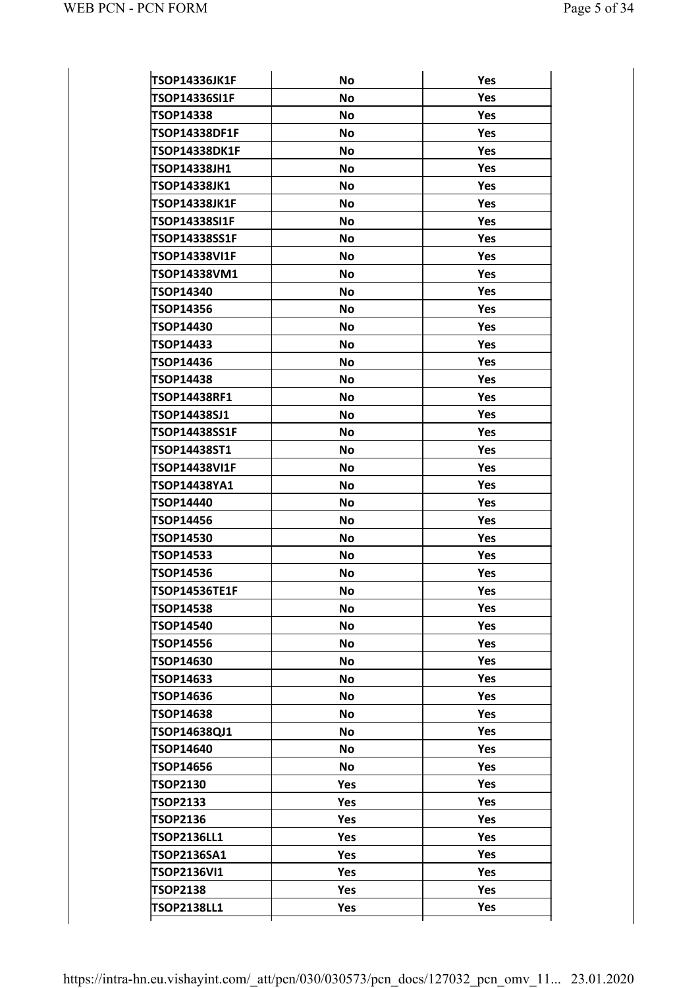| <b>TSOP14336JK1F</b> | <b>No</b> | Yes |
|----------------------|-----------|-----|
| <b>TSOP14336SI1F</b> | <b>No</b> | Yes |
| <b>TSOP14338</b>     | <b>No</b> | Yes |
| <b>TSOP14338DF1F</b> | No.       | Yes |
| <b>TSOP14338DK1F</b> | <b>No</b> | Yes |
| TSOP14338JH1         | <b>No</b> | Yes |
| TSOP14338JK1         | <b>No</b> | Yes |
| <b>TSOP14338JK1F</b> | No.       | Yes |
| TSOP14338SI1F        | <b>No</b> | Yes |
| TSOP14338SS1F        | <b>No</b> | Yes |
| <b>TSOP14338VI1F</b> | <b>No</b> | Yes |
| TSOP14338VM1         | <b>No</b> | Yes |
| <b>TSOP14340</b>     | <b>No</b> | Yes |
| <b>TSOP14356</b>     | <b>No</b> | Yes |
| TSOP14430            | <b>No</b> | Yes |
| <b>TSOP14433</b>     | No        | Yes |
| <b>TSOP14436</b>     | <b>No</b> | Yes |
| <b>TSOP14438</b>     | <b>No</b> | Yes |
| TSOP14438RF1         | <b>No</b> | Yes |
| TSOP14438SJ1         | <b>No</b> | Yes |
| TSOP14438SS1F        | <b>No</b> | Yes |
| TSOP14438ST1         | <b>No</b> | Yes |
| <b>TSOP14438VI1F</b> | <b>No</b> | Yes |
| TSOP14438YA1         | <b>No</b> | Yes |
| <b>TSOP14440</b>     | <b>No</b> | Yes |
| <b>TSOP14456</b>     | <b>No</b> | Yes |
| <b>TSOP14530</b>     | <b>No</b> | Yes |
| <b>TSOP14533</b>     | <b>No</b> | Yes |
| <b>TSOP14536</b>     | <b>No</b> | Yes |
| <b>TSOP14536TE1F</b> | No        | Yes |
| <b>TSOP14538</b>     | <b>No</b> | Yes |
| TSOP14540            | No        | Yes |
| <b>TSOP14556</b>     | No        | Yes |
| TSOP14630            | <b>No</b> | Yes |
| TSOP14633            | <b>No</b> | Yes |
| TSOP14636            | No        | Yes |
| TSOP14638            | No        | Yes |
| TSOP14638QJ1         | <b>No</b> | Yes |
| TSOP14640            | No        | Yes |
| TSOP14656            | No        | Yes |
| <b>TSOP2130</b>      | Yes       | Yes |
| <b>TSOP2133</b>      | Yes       | Yes |
| <b>TSOP2136</b>      | Yes       | Yes |
| <b>TSOP2136LL1</b>   | Yes       | Yes |
| TSOP2136SA1          | Yes       | Yes |
| <b>TSOP2136VI1</b>   | Yes       | Yes |
| <b>TSOP2138</b>      | Yes       | Yes |
| <b>TSOP2138LL1</b>   | Yes       | Yes |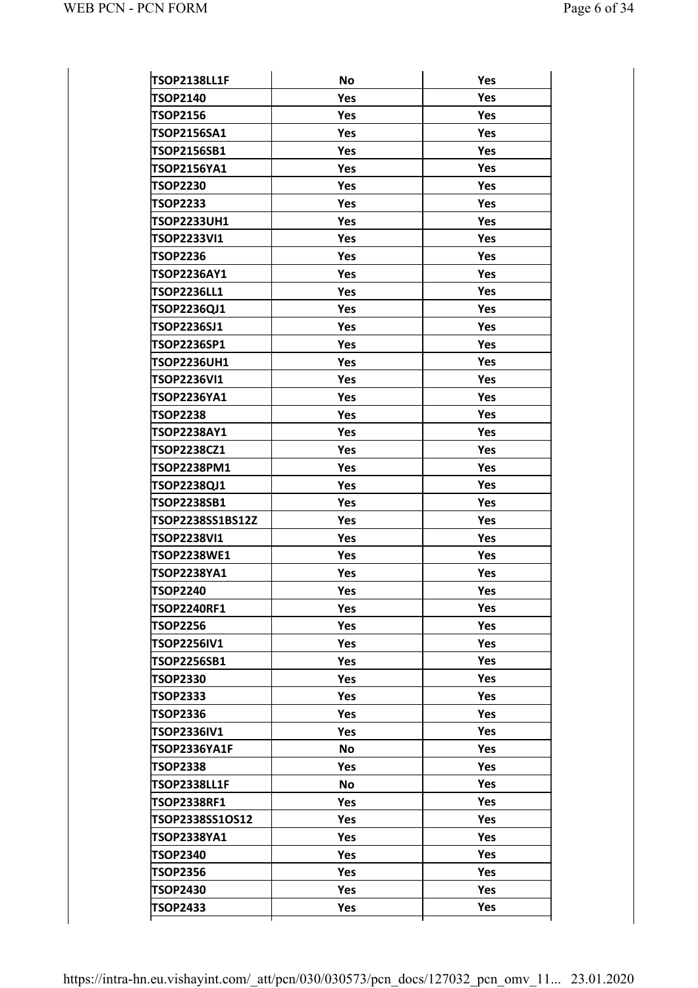| <b>TSOP2138LL1F</b> | <b>No</b>  | Yes        |
|---------------------|------------|------------|
| <b>TSOP2140</b>     | Yes        | Yes        |
| <b>TSOP2156</b>     | Yes        | Yes        |
| <b>TSOP2156SA1</b>  | Yes        | Yes        |
| <b>TSOP2156SB1</b>  | Yes        | Yes        |
| TSOP2156YA1         | Yes        | Yes        |
| <b>TSOP2230</b>     | Yes        | Yes        |
| <b>TSOP2233</b>     | Yes        | Yes        |
| <b>TSOP2233UH1</b>  | Yes        | Yes        |
| <b>TSOP2233VI1</b>  | Yes        | Yes        |
| <b>TSOP2236</b>     | Yes        | Yes        |
| <b>TSOP2236AY1</b>  | Yes        | Yes        |
| <b>TSOP2236LL1</b>  | Yes        | Yes        |
| TSOP2236QJ1         | Yes        | Yes        |
| <b>TSOP2236SJ1</b>  | Yes        | Yes        |
| <b>TSOP2236SP1</b>  | Yes        | Yes        |
| <b>TSOP2236UH1</b>  | Yes        | Yes        |
| <b>TSOP2236VI1</b>  | Yes        | Yes        |
| <b>TSOP2236YA1</b>  | Yes        | Yes        |
| <b>TSOP2238</b>     | Yes        | Yes        |
| <b>TSOP2238AY1</b>  | Yes        | Yes        |
| <b>TSOP2238CZ1</b>  | Yes        | Yes        |
| TSOP2238PM1         | Yes        | Yes        |
| TSOP2238QJ1         | Yes        | Yes        |
| <b>TSOP2238SB1</b>  | Yes        | Yes        |
| TSOP2238SS1BS12Z    | Yes        | Yes        |
| <b>TSOP2238VI1</b>  | Yes        | Yes        |
| <b>TSOP2238WE1</b>  | Yes        | Yes        |
| TSOP2238YA1         | Yes        | Yes        |
| <b>TSOP2240</b>     | Yes        | Yes        |
| <b>TSOP2240RF1</b>  | <b>Yes</b> | <b>Yes</b> |
| <b>TSOP2256</b>     | Yes        | Yes        |
| <b>TSOP2256IV1</b>  | Yes        | <b>Yes</b> |
| TSOP2256SB1         | Yes        | Yes        |
| <b>TSOP2330</b>     | <b>Yes</b> | Yes        |
| <b>TSOP2333</b>     | Yes        | Yes        |
| <b>TSOP2336</b>     | Yes        | <b>Yes</b> |
| TSOP2336IV1         | Yes        | Yes        |
| <b>TSOP2336YA1F</b> | <b>No</b>  | Yes        |
| <b>TSOP2338</b>     | Yes        | Yes        |
| <b>TSOP2338LL1F</b> | <b>No</b>  | Yes        |
| <b>TSOP2338RF1</b>  | Yes        | Yes        |
| TSOP2338SS1OS12     | <b>Yes</b> | Yes        |
| TSOP2338YA1         | Yes        | Yes        |
| <b>TSOP2340</b>     | Yes        | Yes        |
| <b>TSOP2356</b>     | Yes        | Yes        |
| <b>TSOP2430</b>     | <b>Yes</b> | Yes        |
| <b>TSOP2433</b>     | Yes        | Yes        |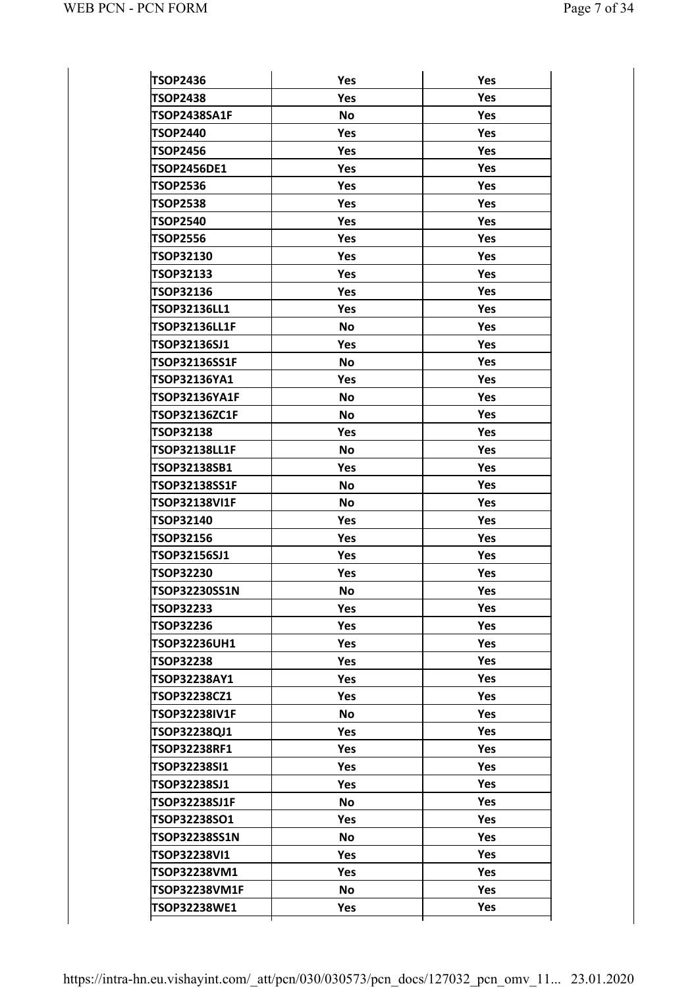| <b>TSOP2436</b>      | Yes       | Yes        |
|----------------------|-----------|------------|
| <b>TSOP2438</b>      | Yes       | Yes        |
| TSOP2438SA1F         | <b>No</b> | Yes        |
| <b>TSOP2440</b>      | Yes       | Yes        |
| TSOP2456             | Yes       | Yes        |
| <b>TSOP2456DE1</b>   | Yes       | Yes        |
| <b>TSOP2536</b>      | Yes       | Yes        |
| <b>TSOP2538</b>      | Yes       | Yes        |
| <b>TSOP2540</b>      | Yes       | Yes        |
| <b>TSOP2556</b>      | Yes       | Yes        |
| <b>TSOP32130</b>     | Yes       | Yes        |
| <b>TSOP32133</b>     | Yes       | Yes        |
| <b>TSOP32136</b>     | Yes       | Yes        |
| <b>TSOP32136LL1</b>  | Yes       | Yes        |
| TSOP32136LL1F        | <b>No</b> | Yes        |
| TSOP32136SJ1         | Yes       | Yes        |
| <b>TSOP32136SS1F</b> | <b>No</b> | Yes        |
| TSOP32136YA1         | Yes       | Yes        |
| TSOP32136YA1F        | <b>No</b> | Yes        |
| <b>TSOP32136ZC1F</b> | <b>No</b> | Yes        |
| <b>TSOP32138</b>     | Yes       | Yes        |
| <b>TSOP32138LL1F</b> | <b>No</b> | Yes        |
| TSOP32138SB1         | Yes       | Yes        |
| <b>TSOP32138SS1F</b> | <b>No</b> | Yes        |
| <b>TSOP32138VI1F</b> | <b>No</b> | Yes        |
| <b>TSOP32140</b>     | Yes       | Yes        |
| <b>TSOP32156</b>     | Yes       | Yes        |
| TSOP32156SJ1         | Yes       | Yes        |
| <b>TSOP32230</b>     | Yes       | Yes        |
| <b>TSOP32230SS1N</b> | <b>No</b> | Yes        |
| TSOP32233            | Yes       | Yes        |
| <b>TSOP32236</b>     | Yes       | <b>Yes</b> |
| <b>TSOP32236UH1</b>  | Yes       | <b>Yes</b> |
| <b>TSOP32238</b>     | Yes       | <b>Yes</b> |
| TSOP32238AY1         | Yes       | Yes        |
| TSOP32238CZ1         | Yes       | <b>Yes</b> |
| <b>TSOP32238IV1F</b> | <b>No</b> | <b>Yes</b> |
| TSOP32238QJ1         | Yes       | <b>Yes</b> |
| <b>TSOP32238RF1</b>  | Yes       | Yes        |
| TSOP32238SI1         | Yes       | Yes        |
| TSOP32238SJ1         | Yes       | <b>Yes</b> |
| <b>TSOP32238SJ1F</b> | <b>No</b> | <b>Yes</b> |
| TSOP32238SO1         | Yes       | Yes        |
| TSOP32238SS1N        | <b>No</b> | <b>Yes</b> |
| TSOP32238VI1         | Yes       | <b>Yes</b> |
| TSOP32238VM1         | Yes       | <b>Yes</b> |
| <b>TSOP32238VM1F</b> | <b>No</b> | Yes        |
|                      |           |            |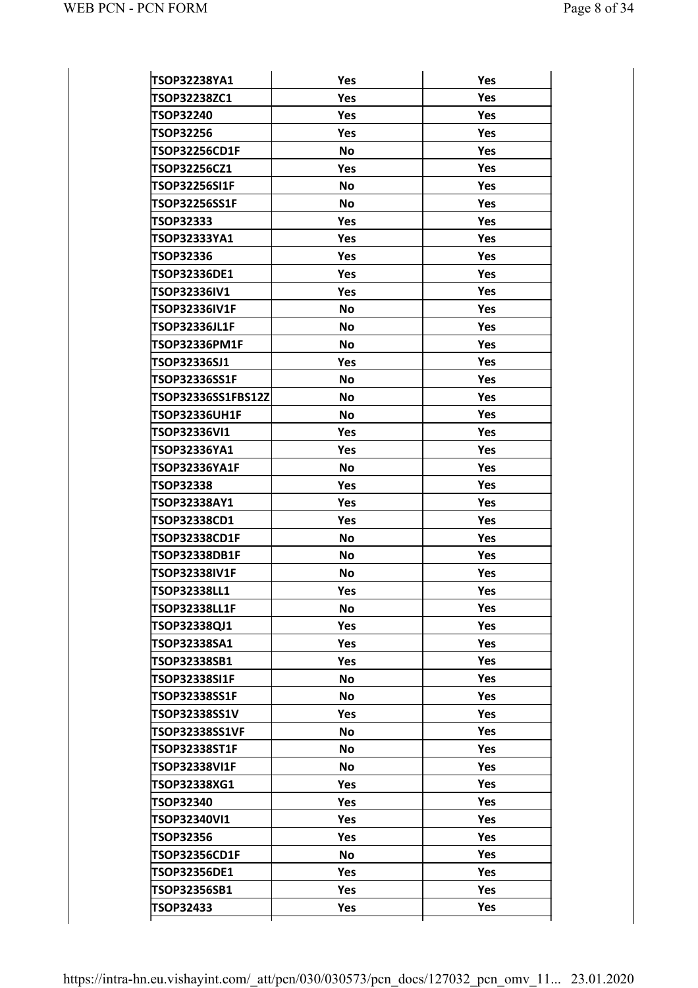| TSOP32238YA1          | Yes        | Yes        |
|-----------------------|------------|------------|
| <b>TSOP32238ZC1</b>   | Yes        | Yes        |
| <b>TSOP32240</b>      | Yes        | Yes        |
| <b>TSOP32256</b>      | Yes        | Yes        |
| <b>TSOP32256CD1F</b>  | <b>No</b>  | Yes        |
| <b>TSOP32256CZ1</b>   | Yes        | Yes        |
| TSOP32256SI1F         | <b>No</b>  | Yes        |
| <b>TSOP32256SS1F</b>  | <b>No</b>  | Yes        |
| TSOP32333             | Yes        | Yes        |
| TSOP32333YA1          | Yes        | Yes        |
| TSOP32336             | Yes        | Yes        |
| <b>TSOP32336DE1</b>   | Yes        | Yes        |
| <b>TSOP32336IV1</b>   | Yes        | Yes        |
| <b>TSOP32336IV1F</b>  | <b>No</b>  | Yes        |
| <b>TSOP32336JL1F</b>  | <b>No</b>  | Yes        |
| TSOP32336PM1F         | <b>No</b>  | Yes        |
| TSOP32336SJ1          | Yes        | Yes        |
| TSOP32336SS1F         | <b>No</b>  | Yes        |
| TSOP32336SS1FBS12Zl   | <b>No</b>  | Yes        |
| <b>TSOP32336UH1F</b>  | <b>No</b>  | Yes        |
| TSOP32336VI1          | Yes        | Yes        |
| TSOP32336YA1          | Yes        | Yes        |
| <b>TSOP32336YA1F</b>  | <b>No</b>  | Yes        |
| <b>TSOP32338</b>      | Yes        | Yes        |
| TSOP32338AY1          | Yes        | Yes        |
| TSOP32338CD1          | Yes        | Yes        |
| <b>TSOP32338CD1F</b>  | <b>No</b>  | Yes        |
| <b>TSOP32338DB1F</b>  | <b>No</b>  | Yes        |
| <b>TSOP32338IV1F</b>  | No         | Yes        |
| TSOP32338LL1          | Yes        | Yes        |
| <b>TSOP32338LL1F</b>  | No         | <b>Yes</b> |
| TSOP32338QJ1          | Yes        | Yes        |
| TSOP32338SA1          | <b>Yes</b> | <b>Yes</b> |
| TSOP32338SB1          | Yes        | <b>Yes</b> |
| <b>TSOP32338SI1F</b>  | No         | <b>Yes</b> |
| TSOP32338SS1F         | No         | <b>Yes</b> |
| TSOP32338SS1V         | <b>Yes</b> | <b>Yes</b> |
| <b>TSOP32338SS1VF</b> | <b>No</b>  | <b>Yes</b> |
| <b>TSOP32338ST1F</b>  | <b>No</b>  | <b>Yes</b> |
| TSOP32338VI1F         | No         | <b>Yes</b> |
| TSOP32338XG1          | <b>Yes</b> | <b>Yes</b> |
| <b>TSOP32340</b>      | Yes        | <b>Yes</b> |
| <b>TSOP32340VI1</b>   | <b>Yes</b> | <b>Yes</b> |
| <b>TSOP32356</b>      | <b>Yes</b> | <b>Yes</b> |
| TSOP32356CD1F         | No         | <b>Yes</b> |
| TSOP32356DE1          | <b>Yes</b> | <b>Yes</b> |
|                       |            |            |
| TSOP32356SB1          | Yes        | Yes        |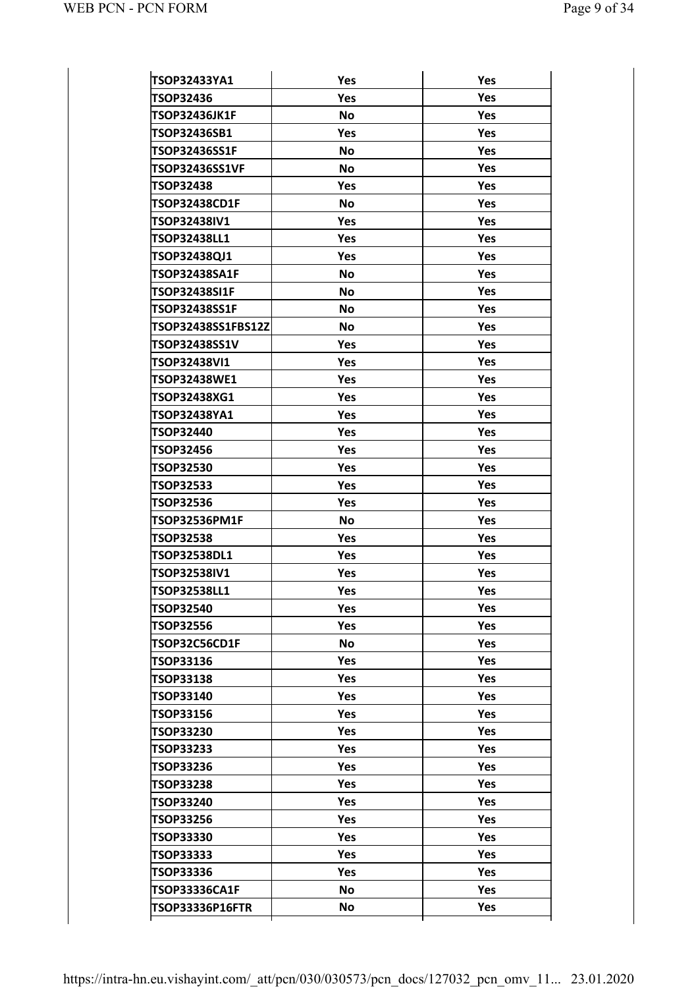| TSOP32433YA1          | Yes        | Yes        |
|-----------------------|------------|------------|
| <b>TSOP32436</b>      | Yes        | Yes        |
| <b>TSOP32436JK1F</b>  | <b>No</b>  | Yes        |
| TSOP32436SB1          | Yes        | Yes        |
| <b>TSOP32436SS1F</b>  | <b>No</b>  | Yes        |
| <b>TSOP32436SS1VF</b> | No         | Yes        |
| <b>TSOP32438</b>      | Yes        | Yes        |
| <b>TSOP32438CD1F</b>  | No         | Yes        |
| TSOP32438IV1          | Yes        | Yes        |
| <b>TSOP32438LL1</b>   | Yes        | Yes        |
| TSOP32438QJ1          | Yes        | Yes        |
| <b>TSOP32438SA1F</b>  | <b>No</b>  | Yes        |
| <b>TSOP32438SI1F</b>  | <b>No</b>  | Yes        |
| <b>TSOP32438SS1F</b>  | <b>No</b>  | Yes        |
| TSOP32438SS1FBS12Z    | <b>No</b>  | Yes        |
| TSOP32438SS1V         | Yes        | Yes        |
| <b>TSOP32438VI1</b>   | Yes        | Yes        |
| TSOP32438WE1          | Yes        | Yes        |
| TSOP32438XG1          | Yes        | Yes        |
| TSOP32438YA1          | Yes        | Yes        |
| <b>TSOP32440</b>      | Yes        | Yes        |
| <b>TSOP32456</b>      | Yes        | Yes        |
| <b>TSOP32530</b>      | Yes        | Yes        |
| <b>TSOP32533</b>      | Yes        | Yes        |
| <b>TSOP32536</b>      | Yes        | Yes        |
| <b>TSOP32536PM1F</b>  | <b>No</b>  | Yes        |
| <b>TSOP32538</b>      | Yes        | Yes        |
| TSOP32538DL1          | Yes        | Yes        |
| TSOP32538IV1          | Yes        | Yes        |
| TSOP32538LL1          | Yes        | Yes        |
| <b>TSOP32540</b>      | <b>Yes</b> | Yes        |
| <b>TSOP32556</b>      | <b>Yes</b> | Yes        |
| TSOP32C56CD1F         | No         | Yes        |
| TSOP33136             | <b>Yes</b> | Yes        |
| <b>TSOP33138</b>      | <b>Yes</b> | <b>Yes</b> |
| <b>TSOP33140</b>      | <b>Yes</b> | <b>Yes</b> |
| <b>TSOP33156</b>      | Yes        | <b>Yes</b> |
| <b>TSOP33230</b>      | <b>Yes</b> | Yes        |
| <b>TSOP33233</b>      | <b>Yes</b> | Yes        |
| <b>TSOP33236</b>      | <b>Yes</b> | <b>Yes</b> |
| <b>TSOP33238</b>      | Yes        | <b>Yes</b> |
| <b>TSOP33240</b>      | <b>Yes</b> | Yes        |
| <b>TSOP33256</b>      | <b>Yes</b> | Yes        |
| <b>TSOP33330</b>      | <b>Yes</b> | Yes        |
| <b>TSOP33333</b>      | Yes        | <b>Yes</b> |
| <b>TSOP33336</b>      | Yes        | Yes        |
| <b>TSOP33336CA1F</b>  | <b>No</b>  | <b>Yes</b> |
|                       | No         | Yes        |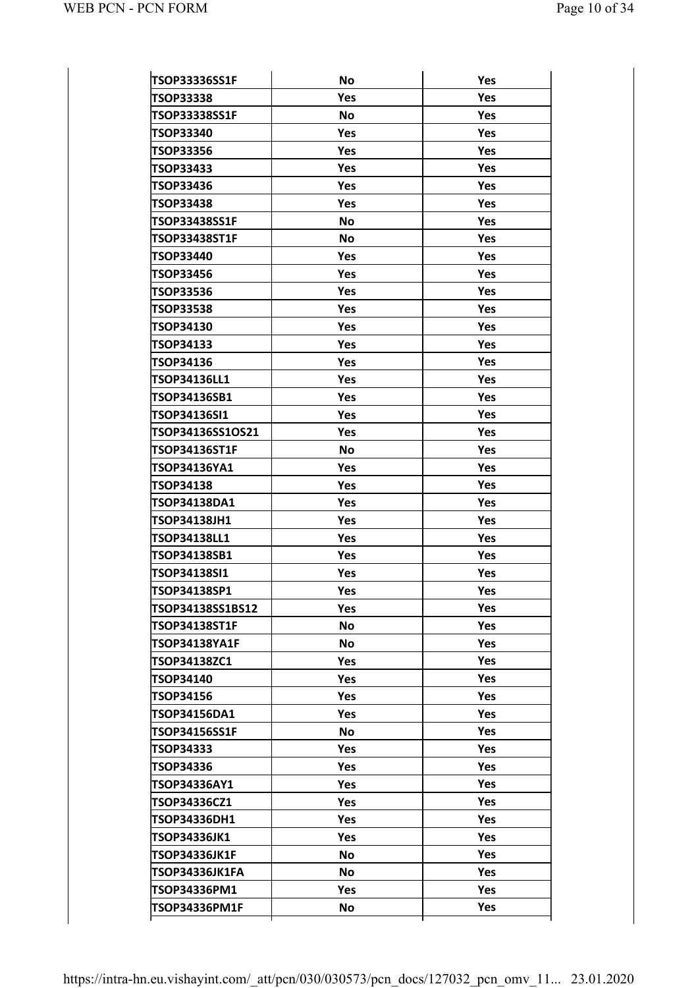| Yes<br>Yes<br>Yes<br>TSOP33338<br><b>No</b><br>TSOP33338SS1F<br>Yes<br><b>TSOP33340</b><br>Yes<br>Yes<br>TSOP33356<br>Yes<br>Yes<br><b>TSOP33433</b><br>Yes<br><b>Yes</b><br>TSOP33436<br>Yes<br><b>Yes</b><br><b>TSOP33438</b><br>Yes<br>Yes<br><b>No</b><br>TSOP33438SS1F<br>Yes<br><b>TSOP33438ST1F</b><br><b>No</b><br>Yes<br>TSOP33440<br>Yes<br>Yes<br>Yes<br>Yes<br><b>TSOP33456</b><br>Yes<br>Yes<br><b>TSOP33536</b><br><b>TSOP33538</b><br>Yes<br>Yes<br>Yes<br><b>TSOP34130</b><br>Yes<br>Yes<br>TSOP34133<br>Yes<br>Yes<br>TSOP34136<br>Yes<br><b>TSOP34136LL1</b><br>Yes<br>Yes<br>Yes<br>TSOP34136SB1<br>Yes<br>Yes<br>TSOP34136SI1<br>Yes<br>Yes<br>TSOP34136SS1OS21<br>Yes<br><b>TSOP34136ST1F</b><br>No<br>Yes<br>Yes<br>TSOP34136YA1<br>Yes<br>Yes<br><b>TSOP34138</b><br>Yes<br>Yes<br>TSOP34138DA1<br>Yes<br>TSOP34138JH1<br>Yes<br>Yes<br>Yes<br><b>TSOP34138LL1</b><br>Yes |  |
|--------------------------------------------------------------------------------------------------------------------------------------------------------------------------------------------------------------------------------------------------------------------------------------------------------------------------------------------------------------------------------------------------------------------------------------------------------------------------------------------------------------------------------------------------------------------------------------------------------------------------------------------------------------------------------------------------------------------------------------------------------------------------------------------------------------------------------------------------------------------------------------------------|--|
|                                                                                                                                                                                                                                                                                                                                                                                                                                                                                                                                                                                                                                                                                                                                                                                                                                                                                                  |  |
|                                                                                                                                                                                                                                                                                                                                                                                                                                                                                                                                                                                                                                                                                                                                                                                                                                                                                                  |  |
|                                                                                                                                                                                                                                                                                                                                                                                                                                                                                                                                                                                                                                                                                                                                                                                                                                                                                                  |  |
|                                                                                                                                                                                                                                                                                                                                                                                                                                                                                                                                                                                                                                                                                                                                                                                                                                                                                                  |  |
|                                                                                                                                                                                                                                                                                                                                                                                                                                                                                                                                                                                                                                                                                                                                                                                                                                                                                                  |  |
|                                                                                                                                                                                                                                                                                                                                                                                                                                                                                                                                                                                                                                                                                                                                                                                                                                                                                                  |  |
|                                                                                                                                                                                                                                                                                                                                                                                                                                                                                                                                                                                                                                                                                                                                                                                                                                                                                                  |  |
|                                                                                                                                                                                                                                                                                                                                                                                                                                                                                                                                                                                                                                                                                                                                                                                                                                                                                                  |  |
|                                                                                                                                                                                                                                                                                                                                                                                                                                                                                                                                                                                                                                                                                                                                                                                                                                                                                                  |  |
|                                                                                                                                                                                                                                                                                                                                                                                                                                                                                                                                                                                                                                                                                                                                                                                                                                                                                                  |  |
|                                                                                                                                                                                                                                                                                                                                                                                                                                                                                                                                                                                                                                                                                                                                                                                                                                                                                                  |  |
|                                                                                                                                                                                                                                                                                                                                                                                                                                                                                                                                                                                                                                                                                                                                                                                                                                                                                                  |  |
|                                                                                                                                                                                                                                                                                                                                                                                                                                                                                                                                                                                                                                                                                                                                                                                                                                                                                                  |  |
|                                                                                                                                                                                                                                                                                                                                                                                                                                                                                                                                                                                                                                                                                                                                                                                                                                                                                                  |  |
|                                                                                                                                                                                                                                                                                                                                                                                                                                                                                                                                                                                                                                                                                                                                                                                                                                                                                                  |  |
|                                                                                                                                                                                                                                                                                                                                                                                                                                                                                                                                                                                                                                                                                                                                                                                                                                                                                                  |  |
|                                                                                                                                                                                                                                                                                                                                                                                                                                                                                                                                                                                                                                                                                                                                                                                                                                                                                                  |  |
|                                                                                                                                                                                                                                                                                                                                                                                                                                                                                                                                                                                                                                                                                                                                                                                                                                                                                                  |  |
|                                                                                                                                                                                                                                                                                                                                                                                                                                                                                                                                                                                                                                                                                                                                                                                                                                                                                                  |  |
|                                                                                                                                                                                                                                                                                                                                                                                                                                                                                                                                                                                                                                                                                                                                                                                                                                                                                                  |  |
|                                                                                                                                                                                                                                                                                                                                                                                                                                                                                                                                                                                                                                                                                                                                                                                                                                                                                                  |  |
|                                                                                                                                                                                                                                                                                                                                                                                                                                                                                                                                                                                                                                                                                                                                                                                                                                                                                                  |  |
|                                                                                                                                                                                                                                                                                                                                                                                                                                                                                                                                                                                                                                                                                                                                                                                                                                                                                                  |  |
|                                                                                                                                                                                                                                                                                                                                                                                                                                                                                                                                                                                                                                                                                                                                                                                                                                                                                                  |  |
|                                                                                                                                                                                                                                                                                                                                                                                                                                                                                                                                                                                                                                                                                                                                                                                                                                                                                                  |  |
|                                                                                                                                                                                                                                                                                                                                                                                                                                                                                                                                                                                                                                                                                                                                                                                                                                                                                                  |  |
| Yes<br>TSOP34138SB1<br><b>Yes</b>                                                                                                                                                                                                                                                                                                                                                                                                                                                                                                                                                                                                                                                                                                                                                                                                                                                                |  |
| Yes<br>TSOP34138SI1<br>Yes                                                                                                                                                                                                                                                                                                                                                                                                                                                                                                                                                                                                                                                                                                                                                                                                                                                                       |  |
| <b>TSOP34138SP1</b><br><b>Yes</b><br>Yes                                                                                                                                                                                                                                                                                                                                                                                                                                                                                                                                                                                                                                                                                                                                                                                                                                                         |  |
| TSOP34138SS1BS12<br>Yes<br>Yes.                                                                                                                                                                                                                                                                                                                                                                                                                                                                                                                                                                                                                                                                                                                                                                                                                                                                  |  |
| <b>TSOP34138ST1F</b><br><b>No</b><br><b>Yes</b>                                                                                                                                                                                                                                                                                                                                                                                                                                                                                                                                                                                                                                                                                                                                                                                                                                                  |  |
| <b>No</b><br><b>Yes</b><br>TSOP34138YA1F                                                                                                                                                                                                                                                                                                                                                                                                                                                                                                                                                                                                                                                                                                                                                                                                                                                         |  |
| Yes<br>TSOP34138ZC1<br><b>Yes</b>                                                                                                                                                                                                                                                                                                                                                                                                                                                                                                                                                                                                                                                                                                                                                                                                                                                                |  |
| Yes<br><b>TSOP34140</b><br><b>Yes</b>                                                                                                                                                                                                                                                                                                                                                                                                                                                                                                                                                                                                                                                                                                                                                                                                                                                            |  |
| <b>TSOP34156</b><br><b>Yes</b><br>Yes.                                                                                                                                                                                                                                                                                                                                                                                                                                                                                                                                                                                                                                                                                                                                                                                                                                                           |  |
| <b>Yes</b><br>TSOP34156DA1<br>Yes.                                                                                                                                                                                                                                                                                                                                                                                                                                                                                                                                                                                                                                                                                                                                                                                                                                                               |  |
| Yes<br>TSOP34156SS1F<br><b>No</b>                                                                                                                                                                                                                                                                                                                                                                                                                                                                                                                                                                                                                                                                                                                                                                                                                                                                |  |
| Yes<br>TSOP34333<br><b>Yes</b>                                                                                                                                                                                                                                                                                                                                                                                                                                                                                                                                                                                                                                                                                                                                                                                                                                                                   |  |
| <b>Yes</b><br>TSOP34336<br>Yes.                                                                                                                                                                                                                                                                                                                                                                                                                                                                                                                                                                                                                                                                                                                                                                                                                                                                  |  |
| <b>Yes</b><br>TSOP34336AY1<br>Yes.                                                                                                                                                                                                                                                                                                                                                                                                                                                                                                                                                                                                                                                                                                                                                                                                                                                               |  |
| Yes<br>TSOP34336CZ1<br>Yes.                                                                                                                                                                                                                                                                                                                                                                                                                                                                                                                                                                                                                                                                                                                                                                                                                                                                      |  |
| Yes<br>TSOP34336DH1<br><b>Yes</b>                                                                                                                                                                                                                                                                                                                                                                                                                                                                                                                                                                                                                                                                                                                                                                                                                                                                |  |
| <b>Yes</b><br>TSOP34336JK1<br>Yes.                                                                                                                                                                                                                                                                                                                                                                                                                                                                                                                                                                                                                                                                                                                                                                                                                                                               |  |
| <b>Yes</b><br>TSOP34336JK1F<br><b>No</b>                                                                                                                                                                                                                                                                                                                                                                                                                                                                                                                                                                                                                                                                                                                                                                                                                                                         |  |
| Yes<br>TSOP34336JK1FA<br><b>No</b>                                                                                                                                                                                                                                                                                                                                                                                                                                                                                                                                                                                                                                                                                                                                                                                                                                                               |  |
| Yes<br>TSOP34336PM1<br><b>Yes</b>                                                                                                                                                                                                                                                                                                                                                                                                                                                                                                                                                                                                                                                                                                                                                                                                                                                                |  |
| Yes<br>TSOP34336PM1F<br><b>No</b>                                                                                                                                                                                                                                                                                                                                                                                                                                                                                                                                                                                                                                                                                                                                                                                                                                                                |  |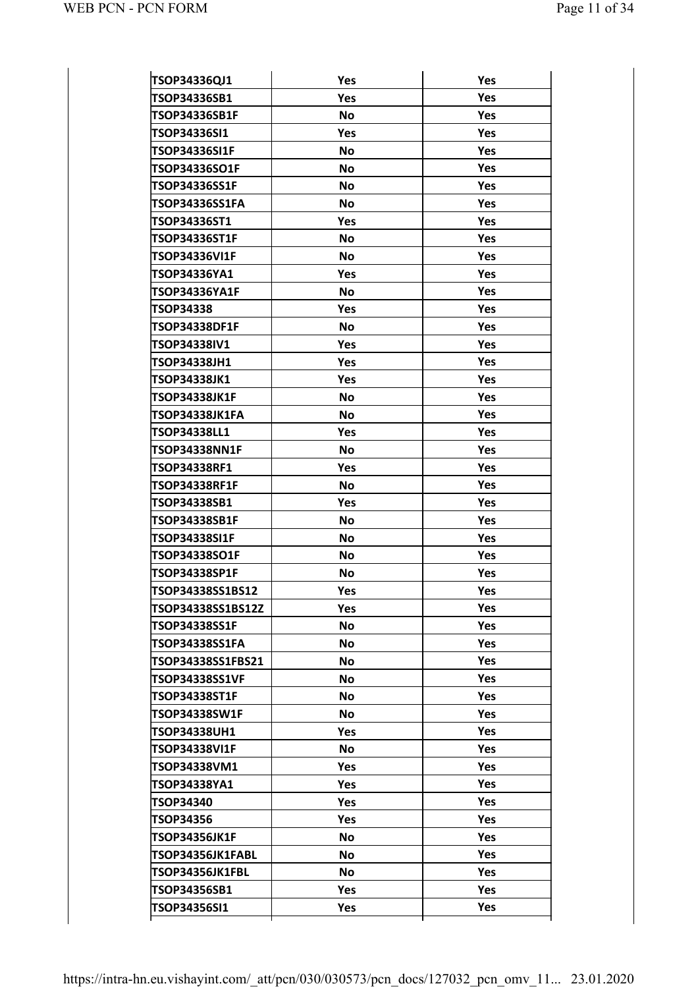| TSOP34336QJ1<br>Yes<br>Yes<br>Yes<br>Yes<br>TSOP34336SB1<br><b>No</b><br>TSOP34336SB1F<br>Yes<br>TSOP34336SI1<br>Yes<br>Yes<br><b>No</b><br>TSOP34336SI1F<br>Yes<br>TSOP34336SO1F<br><b>No</b><br>Yes<br>TSOP34336SS1F<br><b>No</b><br>Yes<br>TSOP34336SS1FA<br><b>No</b><br>Yes<br>TSOP34336ST1<br>Yes<br>Yes<br><b>TSOP34336ST1F</b><br><b>No</b><br>Yes<br>TSOP34336VI1F<br><b>No</b><br>Yes<br>Yes<br>TSOP34336YA1<br>Yes<br><b>No</b><br>Yes<br><b>TSOP34336YA1F</b><br>Yes<br>TSOP34338<br>Yes<br><b>No</b><br>Yes<br><b>TSOP34338DF1F</b><br>Yes<br>TSOP34338IV1<br>Yes<br>Yes<br><b>TSOP34338JH1</b><br>Yes<br>Yes<br><b>TSOP34338JK1</b><br>Yes<br><b>No</b><br>Yes<br>TSOP34338JK1F<br>Yes<br>TSOP34338JK1FA<br><b>No</b><br>Yes<br>TSOP34338LL1<br>Yes<br><b>TSOP34338NN1F</b><br>Yes<br><b>No</b><br>Yes<br><b>TSOP34338RF1</b><br>Yes<br>Yes<br><b>TSOP34338RF1F</b><br><b>No</b><br>Yes<br>TSOP34338SB1<br>Yes<br>TSOP34338SB1F<br>Yes<br><b>No</b><br><b>No</b><br>Yes<br><b>TSOP34338SI1F</b><br><b>Yes</b><br>TSOP34338SO1F<br><b>No</b><br>Yes<br>TSOP34338SP1F<br><b>No</b><br>TSOP34338SS1BS12<br>Yes<br>Yes<br>Yes<br>TSOP34338SS1BS12Z<br>Yes<br>Yes<br>TSOP34338SS1F<br><b>No</b><br>Yes<br><b>No</b><br>TSOP34338SS1FA<br>TSOP34338SS1FBS21<br><b>No</b><br><b>Yes</b><br>Yes<br><b>No</b><br>TSOP34338SS1VF<br>Yes<br>TSOP34338ST1F<br><b>No</b><br>Yes<br><b>No</b><br>TSOP34338SW1F<br><b>Yes</b><br>TSOP34338UH1<br>Yes.<br>Yes<br><b>No</b><br>TSOP34338VI1F<br>Yes<br>TSOP34338VM1<br>Yes<br>Yes<br>TSOP34338YA1<br>Yes.<br><b>Yes</b><br>TSOP34340<br>Yes.<br>Yes<br>Yes<br>TSOP34356<br>Yes<br>TSOP34356JK1F<br><b>No</b><br>Yes<br>TSOP34356JK1FABL<br><b>No</b><br><b>Yes</b><br><b>No</b><br>TSOP34356JK1FBL<br>Yes<br><b>Yes</b><br>TSOP34356SB1<br>Yes<br>TSOP34356SI1<br><b>Yes</b> |  |  |
|---------------------------------------------------------------------------------------------------------------------------------------------------------------------------------------------------------------------------------------------------------------------------------------------------------------------------------------------------------------------------------------------------------------------------------------------------------------------------------------------------------------------------------------------------------------------------------------------------------------------------------------------------------------------------------------------------------------------------------------------------------------------------------------------------------------------------------------------------------------------------------------------------------------------------------------------------------------------------------------------------------------------------------------------------------------------------------------------------------------------------------------------------------------------------------------------------------------------------------------------------------------------------------------------------------------------------------------------------------------------------------------------------------------------------------------------------------------------------------------------------------------------------------------------------------------------------------------------------------------------------------------------------------------------------------------------------------------------------------------------------------------------------------------------------------------------------|--|--|
|                                                                                                                                                                                                                                                                                                                                                                                                                                                                                                                                                                                                                                                                                                                                                                                                                                                                                                                                                                                                                                                                                                                                                                                                                                                                                                                                                                                                                                                                                                                                                                                                                                                                                                                                                                                                                           |  |  |
|                                                                                                                                                                                                                                                                                                                                                                                                                                                                                                                                                                                                                                                                                                                                                                                                                                                                                                                                                                                                                                                                                                                                                                                                                                                                                                                                                                                                                                                                                                                                                                                                                                                                                                                                                                                                                           |  |  |
|                                                                                                                                                                                                                                                                                                                                                                                                                                                                                                                                                                                                                                                                                                                                                                                                                                                                                                                                                                                                                                                                                                                                                                                                                                                                                                                                                                                                                                                                                                                                                                                                                                                                                                                                                                                                                           |  |  |
|                                                                                                                                                                                                                                                                                                                                                                                                                                                                                                                                                                                                                                                                                                                                                                                                                                                                                                                                                                                                                                                                                                                                                                                                                                                                                                                                                                                                                                                                                                                                                                                                                                                                                                                                                                                                                           |  |  |
|                                                                                                                                                                                                                                                                                                                                                                                                                                                                                                                                                                                                                                                                                                                                                                                                                                                                                                                                                                                                                                                                                                                                                                                                                                                                                                                                                                                                                                                                                                                                                                                                                                                                                                                                                                                                                           |  |  |
|                                                                                                                                                                                                                                                                                                                                                                                                                                                                                                                                                                                                                                                                                                                                                                                                                                                                                                                                                                                                                                                                                                                                                                                                                                                                                                                                                                                                                                                                                                                                                                                                                                                                                                                                                                                                                           |  |  |
|                                                                                                                                                                                                                                                                                                                                                                                                                                                                                                                                                                                                                                                                                                                                                                                                                                                                                                                                                                                                                                                                                                                                                                                                                                                                                                                                                                                                                                                                                                                                                                                                                                                                                                                                                                                                                           |  |  |
|                                                                                                                                                                                                                                                                                                                                                                                                                                                                                                                                                                                                                                                                                                                                                                                                                                                                                                                                                                                                                                                                                                                                                                                                                                                                                                                                                                                                                                                                                                                                                                                                                                                                                                                                                                                                                           |  |  |
|                                                                                                                                                                                                                                                                                                                                                                                                                                                                                                                                                                                                                                                                                                                                                                                                                                                                                                                                                                                                                                                                                                                                                                                                                                                                                                                                                                                                                                                                                                                                                                                                                                                                                                                                                                                                                           |  |  |
|                                                                                                                                                                                                                                                                                                                                                                                                                                                                                                                                                                                                                                                                                                                                                                                                                                                                                                                                                                                                                                                                                                                                                                                                                                                                                                                                                                                                                                                                                                                                                                                                                                                                                                                                                                                                                           |  |  |
|                                                                                                                                                                                                                                                                                                                                                                                                                                                                                                                                                                                                                                                                                                                                                                                                                                                                                                                                                                                                                                                                                                                                                                                                                                                                                                                                                                                                                                                                                                                                                                                                                                                                                                                                                                                                                           |  |  |
|                                                                                                                                                                                                                                                                                                                                                                                                                                                                                                                                                                                                                                                                                                                                                                                                                                                                                                                                                                                                                                                                                                                                                                                                                                                                                                                                                                                                                                                                                                                                                                                                                                                                                                                                                                                                                           |  |  |
|                                                                                                                                                                                                                                                                                                                                                                                                                                                                                                                                                                                                                                                                                                                                                                                                                                                                                                                                                                                                                                                                                                                                                                                                                                                                                                                                                                                                                                                                                                                                                                                                                                                                                                                                                                                                                           |  |  |
|                                                                                                                                                                                                                                                                                                                                                                                                                                                                                                                                                                                                                                                                                                                                                                                                                                                                                                                                                                                                                                                                                                                                                                                                                                                                                                                                                                                                                                                                                                                                                                                                                                                                                                                                                                                                                           |  |  |
|                                                                                                                                                                                                                                                                                                                                                                                                                                                                                                                                                                                                                                                                                                                                                                                                                                                                                                                                                                                                                                                                                                                                                                                                                                                                                                                                                                                                                                                                                                                                                                                                                                                                                                                                                                                                                           |  |  |
|                                                                                                                                                                                                                                                                                                                                                                                                                                                                                                                                                                                                                                                                                                                                                                                                                                                                                                                                                                                                                                                                                                                                                                                                                                                                                                                                                                                                                                                                                                                                                                                                                                                                                                                                                                                                                           |  |  |
|                                                                                                                                                                                                                                                                                                                                                                                                                                                                                                                                                                                                                                                                                                                                                                                                                                                                                                                                                                                                                                                                                                                                                                                                                                                                                                                                                                                                                                                                                                                                                                                                                                                                                                                                                                                                                           |  |  |
|                                                                                                                                                                                                                                                                                                                                                                                                                                                                                                                                                                                                                                                                                                                                                                                                                                                                                                                                                                                                                                                                                                                                                                                                                                                                                                                                                                                                                                                                                                                                                                                                                                                                                                                                                                                                                           |  |  |
|                                                                                                                                                                                                                                                                                                                                                                                                                                                                                                                                                                                                                                                                                                                                                                                                                                                                                                                                                                                                                                                                                                                                                                                                                                                                                                                                                                                                                                                                                                                                                                                                                                                                                                                                                                                                                           |  |  |
|                                                                                                                                                                                                                                                                                                                                                                                                                                                                                                                                                                                                                                                                                                                                                                                                                                                                                                                                                                                                                                                                                                                                                                                                                                                                                                                                                                                                                                                                                                                                                                                                                                                                                                                                                                                                                           |  |  |
|                                                                                                                                                                                                                                                                                                                                                                                                                                                                                                                                                                                                                                                                                                                                                                                                                                                                                                                                                                                                                                                                                                                                                                                                                                                                                                                                                                                                                                                                                                                                                                                                                                                                                                                                                                                                                           |  |  |
|                                                                                                                                                                                                                                                                                                                                                                                                                                                                                                                                                                                                                                                                                                                                                                                                                                                                                                                                                                                                                                                                                                                                                                                                                                                                                                                                                                                                                                                                                                                                                                                                                                                                                                                                                                                                                           |  |  |
|                                                                                                                                                                                                                                                                                                                                                                                                                                                                                                                                                                                                                                                                                                                                                                                                                                                                                                                                                                                                                                                                                                                                                                                                                                                                                                                                                                                                                                                                                                                                                                                                                                                                                                                                                                                                                           |  |  |
|                                                                                                                                                                                                                                                                                                                                                                                                                                                                                                                                                                                                                                                                                                                                                                                                                                                                                                                                                                                                                                                                                                                                                                                                                                                                                                                                                                                                                                                                                                                                                                                                                                                                                                                                                                                                                           |  |  |
|                                                                                                                                                                                                                                                                                                                                                                                                                                                                                                                                                                                                                                                                                                                                                                                                                                                                                                                                                                                                                                                                                                                                                                                                                                                                                                                                                                                                                                                                                                                                                                                                                                                                                                                                                                                                                           |  |  |
|                                                                                                                                                                                                                                                                                                                                                                                                                                                                                                                                                                                                                                                                                                                                                                                                                                                                                                                                                                                                                                                                                                                                                                                                                                                                                                                                                                                                                                                                                                                                                                                                                                                                                                                                                                                                                           |  |  |
|                                                                                                                                                                                                                                                                                                                                                                                                                                                                                                                                                                                                                                                                                                                                                                                                                                                                                                                                                                                                                                                                                                                                                                                                                                                                                                                                                                                                                                                                                                                                                                                                                                                                                                                                                                                                                           |  |  |
|                                                                                                                                                                                                                                                                                                                                                                                                                                                                                                                                                                                                                                                                                                                                                                                                                                                                                                                                                                                                                                                                                                                                                                                                                                                                                                                                                                                                                                                                                                                                                                                                                                                                                                                                                                                                                           |  |  |
|                                                                                                                                                                                                                                                                                                                                                                                                                                                                                                                                                                                                                                                                                                                                                                                                                                                                                                                                                                                                                                                                                                                                                                                                                                                                                                                                                                                                                                                                                                                                                                                                                                                                                                                                                                                                                           |  |  |
|                                                                                                                                                                                                                                                                                                                                                                                                                                                                                                                                                                                                                                                                                                                                                                                                                                                                                                                                                                                                                                                                                                                                                                                                                                                                                                                                                                                                                                                                                                                                                                                                                                                                                                                                                                                                                           |  |  |
|                                                                                                                                                                                                                                                                                                                                                                                                                                                                                                                                                                                                                                                                                                                                                                                                                                                                                                                                                                                                                                                                                                                                                                                                                                                                                                                                                                                                                                                                                                                                                                                                                                                                                                                                                                                                                           |  |  |
|                                                                                                                                                                                                                                                                                                                                                                                                                                                                                                                                                                                                                                                                                                                                                                                                                                                                                                                                                                                                                                                                                                                                                                                                                                                                                                                                                                                                                                                                                                                                                                                                                                                                                                                                                                                                                           |  |  |
|                                                                                                                                                                                                                                                                                                                                                                                                                                                                                                                                                                                                                                                                                                                                                                                                                                                                                                                                                                                                                                                                                                                                                                                                                                                                                                                                                                                                                                                                                                                                                                                                                                                                                                                                                                                                                           |  |  |
|                                                                                                                                                                                                                                                                                                                                                                                                                                                                                                                                                                                                                                                                                                                                                                                                                                                                                                                                                                                                                                                                                                                                                                                                                                                                                                                                                                                                                                                                                                                                                                                                                                                                                                                                                                                                                           |  |  |
|                                                                                                                                                                                                                                                                                                                                                                                                                                                                                                                                                                                                                                                                                                                                                                                                                                                                                                                                                                                                                                                                                                                                                                                                                                                                                                                                                                                                                                                                                                                                                                                                                                                                                                                                                                                                                           |  |  |
|                                                                                                                                                                                                                                                                                                                                                                                                                                                                                                                                                                                                                                                                                                                                                                                                                                                                                                                                                                                                                                                                                                                                                                                                                                                                                                                                                                                                                                                                                                                                                                                                                                                                                                                                                                                                                           |  |  |
|                                                                                                                                                                                                                                                                                                                                                                                                                                                                                                                                                                                                                                                                                                                                                                                                                                                                                                                                                                                                                                                                                                                                                                                                                                                                                                                                                                                                                                                                                                                                                                                                                                                                                                                                                                                                                           |  |  |
|                                                                                                                                                                                                                                                                                                                                                                                                                                                                                                                                                                                                                                                                                                                                                                                                                                                                                                                                                                                                                                                                                                                                                                                                                                                                                                                                                                                                                                                                                                                                                                                                                                                                                                                                                                                                                           |  |  |
|                                                                                                                                                                                                                                                                                                                                                                                                                                                                                                                                                                                                                                                                                                                                                                                                                                                                                                                                                                                                                                                                                                                                                                                                                                                                                                                                                                                                                                                                                                                                                                                                                                                                                                                                                                                                                           |  |  |
|                                                                                                                                                                                                                                                                                                                                                                                                                                                                                                                                                                                                                                                                                                                                                                                                                                                                                                                                                                                                                                                                                                                                                                                                                                                                                                                                                                                                                                                                                                                                                                                                                                                                                                                                                                                                                           |  |  |
|                                                                                                                                                                                                                                                                                                                                                                                                                                                                                                                                                                                                                                                                                                                                                                                                                                                                                                                                                                                                                                                                                                                                                                                                                                                                                                                                                                                                                                                                                                                                                                                                                                                                                                                                                                                                                           |  |  |
|                                                                                                                                                                                                                                                                                                                                                                                                                                                                                                                                                                                                                                                                                                                                                                                                                                                                                                                                                                                                                                                                                                                                                                                                                                                                                                                                                                                                                                                                                                                                                                                                                                                                                                                                                                                                                           |  |  |
|                                                                                                                                                                                                                                                                                                                                                                                                                                                                                                                                                                                                                                                                                                                                                                                                                                                                                                                                                                                                                                                                                                                                                                                                                                                                                                                                                                                                                                                                                                                                                                                                                                                                                                                                                                                                                           |  |  |
|                                                                                                                                                                                                                                                                                                                                                                                                                                                                                                                                                                                                                                                                                                                                                                                                                                                                                                                                                                                                                                                                                                                                                                                                                                                                                                                                                                                                                                                                                                                                                                                                                                                                                                                                                                                                                           |  |  |
|                                                                                                                                                                                                                                                                                                                                                                                                                                                                                                                                                                                                                                                                                                                                                                                                                                                                                                                                                                                                                                                                                                                                                                                                                                                                                                                                                                                                                                                                                                                                                                                                                                                                                                                                                                                                                           |  |  |
|                                                                                                                                                                                                                                                                                                                                                                                                                                                                                                                                                                                                                                                                                                                                                                                                                                                                                                                                                                                                                                                                                                                                                                                                                                                                                                                                                                                                                                                                                                                                                                                                                                                                                                                                                                                                                           |  |  |
|                                                                                                                                                                                                                                                                                                                                                                                                                                                                                                                                                                                                                                                                                                                                                                                                                                                                                                                                                                                                                                                                                                                                                                                                                                                                                                                                                                                                                                                                                                                                                                                                                                                                                                                                                                                                                           |  |  |
|                                                                                                                                                                                                                                                                                                                                                                                                                                                                                                                                                                                                                                                                                                                                                                                                                                                                                                                                                                                                                                                                                                                                                                                                                                                                                                                                                                                                                                                                                                                                                                                                                                                                                                                                                                                                                           |  |  |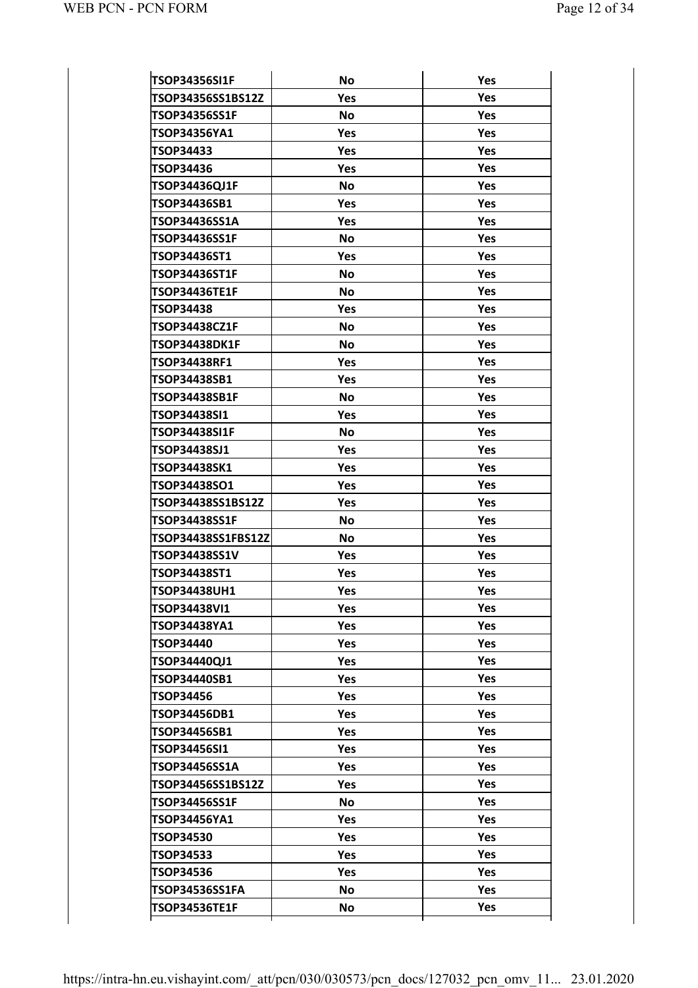| <b>TSOP34356SI1F</b>  | <b>No</b> | Yes        |
|-----------------------|-----------|------------|
| TSOP34356SS1BS12Z     | Yes       | <b>Yes</b> |
| TSOP34356SS1F         | <b>No</b> | <b>Yes</b> |
| TSOP34356YA1          | Yes       | <b>Yes</b> |
| <b>TSOP34433</b>      | Yes       | <b>Yes</b> |
| TSOP34436             | Yes       | <b>Yes</b> |
| TSOP34436QJ1F         | <b>No</b> | <b>Yes</b> |
| TSOP34436SB1          | Yes       | <b>Yes</b> |
| TSOP34436SS1A         | Yes       | <b>Yes</b> |
| TSOP34436SS1F         | <b>No</b> | <b>Yes</b> |
| TSOP34436ST1          | Yes       | Yes        |
| <b>TSOP34436ST1F</b>  | <b>No</b> | <b>Yes</b> |
| TSOP34436TE1F         | <b>No</b> | <b>Yes</b> |
| TSOP34438             | Yes       | <b>Yes</b> |
| TSOP34438CZ1F         | <b>No</b> | <b>Yes</b> |
| <b>TSOP34438DK1F</b>  | <b>No</b> | <b>Yes</b> |
| <b>TSOP34438RF1</b>   | Yes       | <b>Yes</b> |
| TSOP34438SB1          | Yes       | <b>Yes</b> |
| TSOP34438SB1F         | <b>No</b> | <b>Yes</b> |
| TSOP34438SI1          | Yes       | <b>Yes</b> |
| TSOP34438SI1F         | <b>No</b> | <b>Yes</b> |
| TSOP34438SJ1          | Yes       | <b>Yes</b> |
| TSOP34438SK1          | Yes       | <b>Yes</b> |
| TSOP34438SO1          | Yes       | <b>Yes</b> |
| TSOP34438SS1BS12Z     | Yes       | <b>Yes</b> |
| TSOP34438SS1F         | <b>No</b> | <b>Yes</b> |
| TSOP34438SS1FBS12Z    | <b>No</b> | <b>Yes</b> |
| TSOP34438SS1V         | Yes       | <b>Yes</b> |
| TSOP34438ST1          | Yes       | Yes        |
| <b>TSOP34438UH1</b>   | Yes       | Yes        |
| TSOP34438VI1          | Yes       | <b>Yes</b> |
| TSOP34438YA1          | Yes       | <b>Yes</b> |
| TSOP34440             | Yes       | <b>Yes</b> |
| TSOP34440QJ1          | Yes       | Yes        |
| TSOP34440SB1          | Yes       | Yes        |
| TSOP34456             | Yes       | <b>Yes</b> |
| TSOP34456DB1          | Yes       | Yes        |
| TSOP34456SB1          | Yes       | Yes        |
| TSOP34456SI1          | Yes       | Yes        |
| TSOP34456SS1A         | Yes       | <b>Yes</b> |
| TSOP34456SS1BS12Z     | Yes       | Yes        |
| TSOP34456SS1F         | No        | Yes        |
| TSOP34456YA1          | Yes       | Yes        |
| <b>TSOP34530</b>      | Yes       | <b>Yes</b> |
| TSOP34533             | Yes       | Yes        |
| TSOP34536             | Yes       | Yes        |
|                       |           |            |
| <b>TSOP34536SS1FA</b> | No        | Yes        |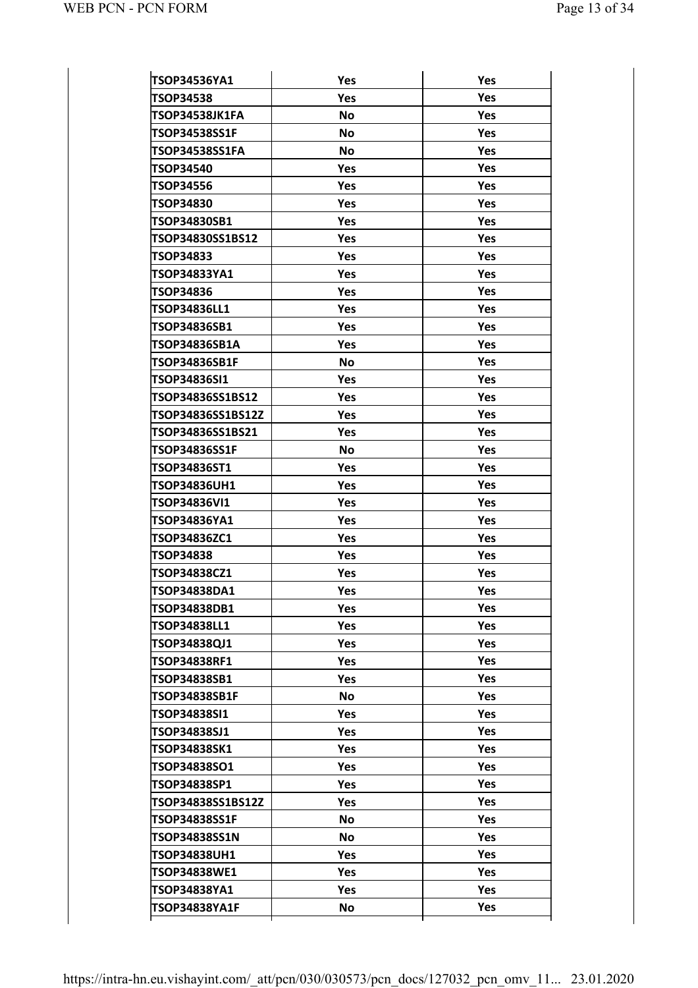| TSOP34536YA1         | Yes        | Yes        |
|----------------------|------------|------------|
| TSOP34538            | Yes        | Yes        |
| TSOP34538JK1FA       | <b>No</b>  | Yes        |
| TSOP34538SS1F        | <b>No</b>  | Yes        |
| TSOP34538SS1FA       | <b>No</b>  | Yes        |
| <b>TSOP34540</b>     | Yes        | Yes        |
| TSOP34556            | Yes        | Yes        |
| <b>TSOP34830</b>     | Yes        | Yes        |
| TSOP34830SB1         | <b>Yes</b> | Yes        |
| TSOP34830SS1BS12     | Yes        | Yes        |
| TSOP34833            | Yes        | Yes        |
| TSOP34833YA1         | Yes        | Yes        |
| TSOP34836            | Yes        | Yes        |
| TSOP34836LL1         | Yes        | Yes        |
| TSOP34836SB1         | <b>Yes</b> | Yes        |
| TSOP34836SB1A        | Yes        | Yes        |
| TSOP34836SB1F        | <b>No</b>  | Yes        |
| TSOP34836SI1         | Yes        | Yes        |
| TSOP34836SS1BS12     | <b>Yes</b> | Yes        |
| TSOP34836SS1BS12Z    | Yes        | Yes        |
| TSOP34836SS1BS21     | Yes        | Yes        |
| <b>TSOP34836SS1F</b> | <b>No</b>  | Yes        |
| TSOP34836ST1         | Yes        | Yes        |
| <b>TSOP34836UH1</b>  | Yes        | Yes        |
| TSOP34836VI1         | Yes        | Yes        |
| TSOP34836YA1         | Yes        | Yes        |
| <b>TSOP34836ZC1</b>  | Yes        | Yes        |
| TSOP34838            | <b>Yes</b> | Yes        |
| TSOP34838CZ1         | Yes        | Yes        |
| TSOP34838DA1         | <b>Yes</b> | Yes        |
| TSOP34838DB1         | Yes        | Yes        |
| TSOP34838LL1         | <b>Yes</b> | <b>Yes</b> |
| TSOP34838QJ1         | Yes        | <b>Yes</b> |
| TSOP34838RF1         | Yes        | Yes        |
| TSOP34838SB1         | Yes        | Yes        |
| TSOP34838SB1F        | <b>No</b>  | <b>Yes</b> |
| TSOP34838SI1         | <b>Yes</b> | <b>Yes</b> |
| TSOP34838SJ1         | Yes        | Yes        |
| TSOP34838SK1         | Yes        | Yes        |
| TSOP34838SO1         | Yes        | <b>Yes</b> |
| TSOP34838SP1         | Yes        | <b>Yes</b> |
| TSOP34838SS1BS12Z    | Yes        | Yes        |
| TSOP34838SS1F        | <b>No</b>  | Yes        |
| TSOP34838SS1N        | <b>No</b>  | <b>Yes</b> |
| <b>TSOP34838UH1</b>  | Yes        | <b>Yes</b> |
| TSOP34838WE1         | Yes        | Yes        |
| TSOP34838YA1         | Yes        | Yes        |
| TSOP34838YA1F        | <b>No</b>  | Yes        |
|                      |            |            |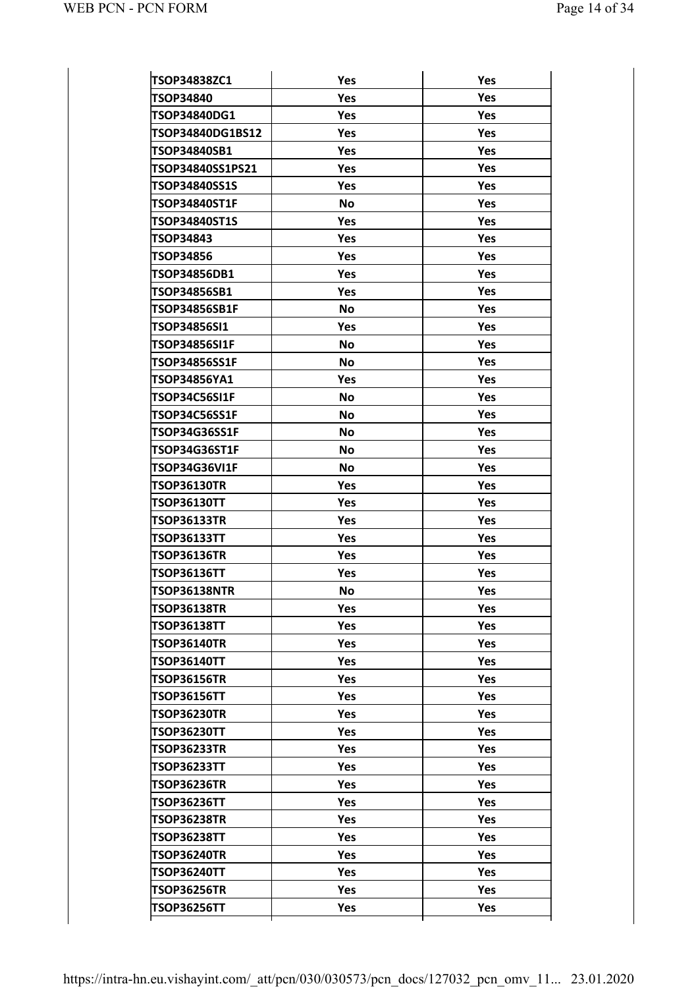| TSOP34838ZC1         | Yes       | Yes        |
|----------------------|-----------|------------|
| TSOP34840            | Yes       | Yes        |
| TSOP34840DG1         | Yes       | Yes        |
| TSOP34840DG1BS12     | Yes       | Yes        |
| <b>TSOP34840SB1</b>  | Yes       | Yes        |
| TSOP34840SS1PS21     | Yes       | Yes        |
| TSOP34840SS1S        | Yes       | Yes        |
| <b>TSOP34840ST1F</b> | <b>No</b> | Yes        |
| TSOP34840ST1S        | Yes       | Yes        |
| TSOP34843            | Yes       | Yes        |
| <b>TSOP34856</b>     | Yes       | Yes        |
| TSOP34856DB1         | Yes       | Yes        |
| TSOP34856SB1         | Yes       | Yes        |
| <b>TSOP34856SB1F</b> | <b>No</b> | Yes        |
| TSOP34856SI1         | Yes       | Yes        |
| TSOP34856SI1F        | <b>No</b> | Yes        |
| TSOP34856SS1F        | <b>No</b> | Yes        |
| TSOP34856YA1         | Yes       | Yes        |
| TSOP34C56SI1F        | <b>No</b> | Yes        |
| TSOP34C56SS1F        | <b>No</b> | Yes        |
| TSOP34G36SS1F        | <b>No</b> | Yes        |
| <b>TSOP34G36ST1F</b> | <b>No</b> | Yes        |
| TSOP34G36VI1F        | <b>No</b> | Yes        |
| <b>TSOP36130TR</b>   | Yes       | Yes        |
| <b>TSOP36130TT</b>   | Yes       | Yes        |
| <b>TSOP36133TR</b>   | Yes       | Yes        |
| <b>TSOP36133TT</b>   | Yes       | Yes        |
| <b>TSOP36136TR</b>   | Yes       | Yes        |
| <b>TSOP36136TT</b>   | Yes       | Yes        |
| <b>TSOP36138NTR</b>  | No        | Yes        |
| <b>TSOP36138TR</b>   | Yes       | Yes        |
| <b>TSOP36138TT</b>   | Yes       | Yes        |
| <b>TSOP36140TR</b>   | Yes       | <b>Yes</b> |
| <b>TSOP36140TT</b>   | Yes       | <b>Yes</b> |
| <b>TSOP36156TR</b>   | Yes       | Yes        |
| <b>TSOP36156TT</b>   | Yes       | Yes        |
| <b>TSOP36230TR</b>   | Yes       | Yes        |
| <b>TSOP36230TT</b>   | Yes       | Yes        |
| <b>TSOP36233TR</b>   | Yes       | Yes        |
| <b>TSOP36233TT</b>   | Yes       | Yes        |
| <b>TSOP36236TR</b>   | Yes       | Yes        |
| TSOP36236TT          | Yes       | Yes        |
| <b>TSOP36238TR</b>   | Yes       | Yes        |
| <b>TSOP36238TT</b>   | Yes       | Yes        |
| <b>TSOP36240TR</b>   | Yes       | Yes        |
| <b>TSOP36240TT</b>   | Yes       | Yes        |
|                      |           |            |
| <b>TSOP36256TR</b>   | Yes       | Yes        |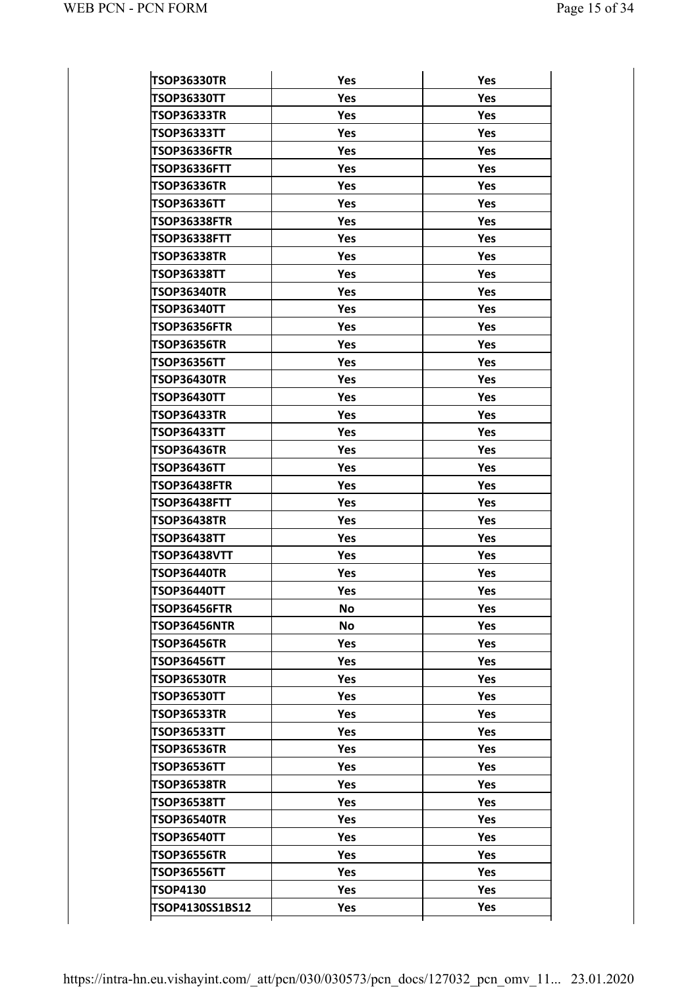| <b>TSOP36330TR</b>  | Yes       | Yes        |
|---------------------|-----------|------------|
| <b>TSOP36330TT</b>  | Yes       | <b>Yes</b> |
| <b>TSOP36333TR</b>  | Yes       | Yes        |
| <b>TSOP36333TT</b>  | Yes       | Yes        |
| <b>TSOP36336FTR</b> | Yes       | Yes        |
| TSOP36336FTT        | Yes       | Yes        |
| <b>TSOP36336TR</b>  | Yes       | Yes        |
| <b>TSOP36336TT</b>  | Yes       | Yes        |
| <b>TSOP36338FTR</b> | Yes       | Yes        |
| TSOP36338FTT        | Yes       | Yes        |
| <b>TSOP36338TR</b>  | Yes       | Yes        |
| <b>TSOP36338TT</b>  | Yes       | Yes        |
| <b>TSOP36340TR</b>  | Yes       | Yes        |
| <b>TSOP36340TT</b>  | Yes       | Yes        |
| <b>TSOP36356FTR</b> | Yes       | Yes        |
| <b>TSOP36356TR</b>  | Yes       | Yes        |
| <b>TSOP36356TT</b>  | Yes       | Yes        |
| <b>TSOP36430TR</b>  | Yes       | Yes        |
| <b>TSOP36430TT</b>  | Yes       | Yes        |
| <b>TSOP36433TR</b>  | Yes       | Yes        |
| <b>TSOP36433TT</b>  | Yes       | Yes        |
| <b>TSOP36436TR</b>  | Yes       | Yes        |
| <b>TSOP36436TT</b>  | Yes       | Yes        |
| <b>TSOP36438FTR</b> | Yes       | Yes        |
| TSOP36438FTT        | Yes       | Yes        |
| <b>TSOP36438TR</b>  | Yes       | Yes        |
| <b>TSOP36438TT</b>  | Yes       | Yes        |
| <b>TSOP36438VTT</b> | Yes       | Yes        |
| <b>TSOP36440TR</b>  | Yes       | Yes        |
| <b>TSOP36440TT</b>  | Yes       | Yes        |
| TSOP36456FTR        | No        | Yes        |
| <b>TSOP36456NTR</b> | <b>No</b> | Yes        |
| <b>TSOP36456TR</b>  | Yes       | Yes        |
| <b>TSOP36456TT</b>  | Yes       | Yes        |
| <b>TSOP36530TR</b>  | Yes       | Yes        |
| <b>TSOP36530TT</b>  | Yes       | Yes        |
| <b>TSOP36533TR</b>  | Yes       | <b>Yes</b> |
| <b>TSOP36533TT</b>  | Yes       | Yes        |
| <b>TSOP36536TR</b>  | Yes       | Yes        |
| <b>TSOP36536TT</b>  | Yes       | Yes        |
| <b>TSOP36538TR</b>  | Yes       | Yes        |
| <b>TSOP36538TT</b>  | Yes       | Yes        |
| <b>TSOP36540TR</b>  | Yes       | Yes        |
| <b>TSOP36540TT</b>  | Yes       | Yes        |
| <b>TSOP36556TR</b>  | Yes       | Yes        |
| <b>TSOP36556TT</b>  | Yes       | Yes        |
|                     |           |            |
| TSOP4130            | Yes       | Yes        |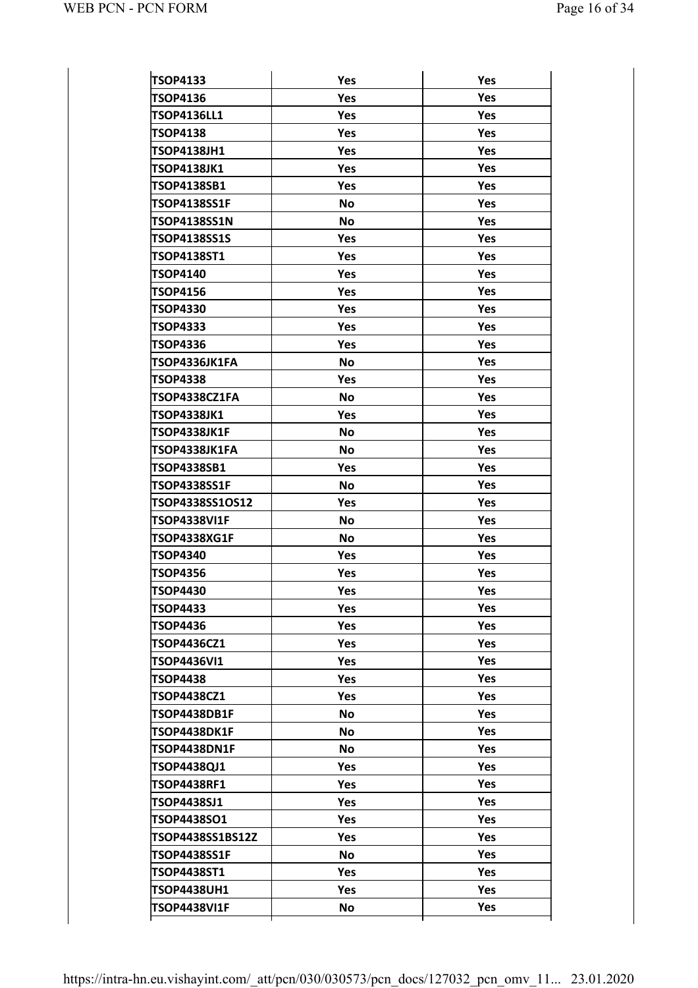| <b>TSOP4133</b>                          |            |            |
|------------------------------------------|------------|------------|
| TSOP4136                                 | Yes<br>Yes | Yes<br>Yes |
| <b>TSOP4136LL1</b>                       | Yes        | <b>Yes</b> |
| <b>TSOP4138</b>                          | Yes        | <b>Yes</b> |
| <b>TSOP4138JH1</b>                       | Yes        | Yes        |
| <b>TSOP4138JK1</b>                       | Yes        | Yes        |
| <b>TSOP4138SB1</b>                       | Yes        | <b>Yes</b> |
| <b>TSOP4138SS1F</b>                      | <b>No</b>  | <b>Yes</b> |
| <b>TSOP4138SS1N</b>                      | <b>No</b>  | Yes        |
| <b>TSOP4138SS1S</b>                      | Yes        | Yes        |
| <b>TSOP4138ST1</b>                       | Yes        | <b>Yes</b> |
| <b>TSOP4140</b>                          | Yes        | <b>Yes</b> |
| <b>TSOP4156</b>                          | Yes        | Yes        |
| <b>TSOP4330</b>                          | Yes        | <b>Yes</b> |
| <b>TSOP4333</b>                          | Yes        | <b>Yes</b> |
| <b>TSOP4336</b>                          | Yes        | <b>Yes</b> |
| TSOP4336JK1FA                            | <b>No</b>  | Yes        |
| <b>TSOP4338</b>                          | Yes        | <b>Yes</b> |
| TSOP4338CZ1FA                            | <b>No</b>  | <b>Yes</b> |
| <b>TSOP4338JK1</b>                       | Yes        | <b>Yes</b> |
| TSOP4338JK1F                             | <b>No</b>  | Yes        |
| TSOP4338JK1FA                            | <b>No</b>  | <b>Yes</b> |
| <b>TSOP4338SB1</b>                       | Yes        | <b>Yes</b> |
| <b>TSOP4338SS1F</b>                      | No         | <b>Yes</b> |
| TSOP4338SS1OS12                          | Yes        | Yes        |
| <b>TSOP4338VI1F</b>                      | <b>No</b>  | <b>Yes</b> |
| TSOP4338XG1F                             | <b>No</b>  | <b>Yes</b> |
| <b>TSOP4340</b>                          | Yes        | <b>Yes</b> |
| TSOP4356                                 | Yes        | Yes        |
| <b>TSOP4430</b>                          | Yes        | Yes        |
| <b>TSOP4433</b>                          | Yes        | Yes        |
| <b>TSOP4436</b>                          | Yes        | Yes        |
| <b>TSOP4436CZ1</b>                       | Yes        | Yes        |
| <b>TSOP4436VI1</b>                       | Yes        | Yes        |
| <b>TSOP4438</b>                          | Yes        | Yes        |
| <b>TSOP4438CZ1</b>                       | Yes        | <b>Yes</b> |
| <b>TSOP4438DB1F</b>                      | No         | Yes        |
| TSOP4438DK1F                             | No         | Yes        |
| <b>TSOP4438DN1F</b>                      | No         | Yes        |
| <b>TSOP4438QJ1</b>                       | Yes        | <b>Yes</b> |
| <b>TSOP4438RF1</b>                       | Yes        | Yes        |
| <b>TSOP4438SJ1</b>                       | Yes        | <b>Yes</b> |
| <b>TSOP4438SO1</b>                       | Yes        | Yes        |
| TSOP4438SS1BS12Z                         | Yes        | <b>Yes</b> |
| <b>TSOP4438SS1F</b>                      | No         | <b>Yes</b> |
|                                          | Yes        | Yes        |
|                                          |            |            |
| <b>TSOP4438ST1</b><br><b>TSOP4438UH1</b> | Yes        | Yes        |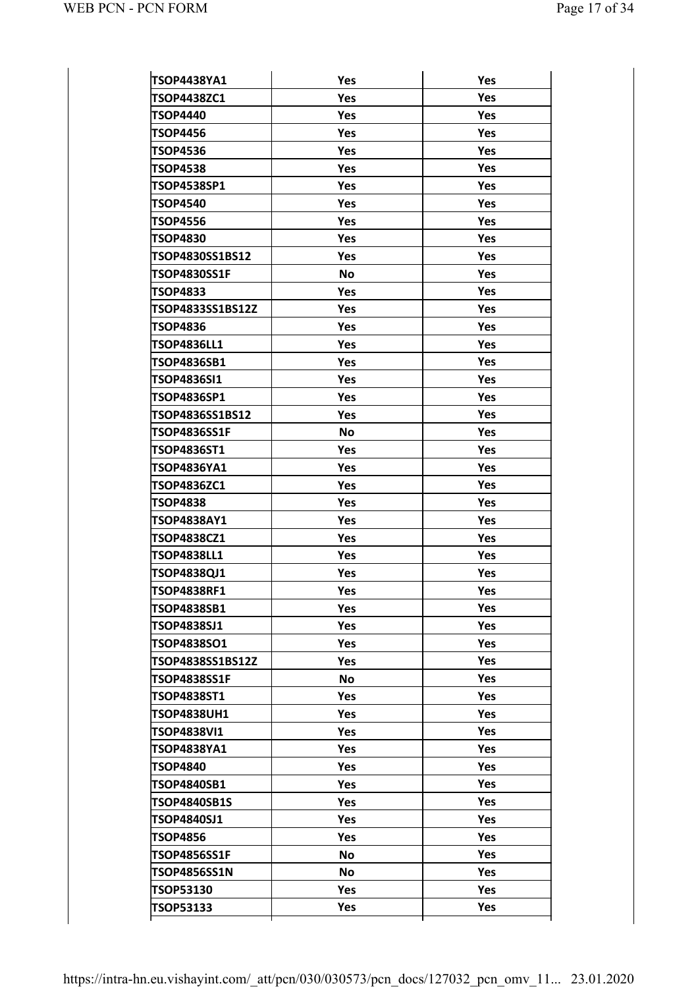| Yes                                                                                                                                                                                                                                                                                                                                                                                                                                       |
|-------------------------------------------------------------------------------------------------------------------------------------------------------------------------------------------------------------------------------------------------------------------------------------------------------------------------------------------------------------------------------------------------------------------------------------------|
| Yes                                                                                                                                                                                                                                                                                                                                                                                                                                       |
| Yes                                                                                                                                                                                                                                                                                                                                                                                                                                       |
| Yes                                                                                                                                                                                                                                                                                                                                                                                                                                       |
| Yes                                                                                                                                                                                                                                                                                                                                                                                                                                       |
| Yes                                                                                                                                                                                                                                                                                                                                                                                                                                       |
| Yes                                                                                                                                                                                                                                                                                                                                                                                                                                       |
| Yes                                                                                                                                                                                                                                                                                                                                                                                                                                       |
| Yes                                                                                                                                                                                                                                                                                                                                                                                                                                       |
| Yes                                                                                                                                                                                                                                                                                                                                                                                                                                       |
| Yes                                                                                                                                                                                                                                                                                                                                                                                                                                       |
| Yes                                                                                                                                                                                                                                                                                                                                                                                                                                       |
| Yes                                                                                                                                                                                                                                                                                                                                                                                                                                       |
| Yes                                                                                                                                                                                                                                                                                                                                                                                                                                       |
| Yes                                                                                                                                                                                                                                                                                                                                                                                                                                       |
| Yes                                                                                                                                                                                                                                                                                                                                                                                                                                       |
| Yes                                                                                                                                                                                                                                                                                                                                                                                                                                       |
| Yes                                                                                                                                                                                                                                                                                                                                                                                                                                       |
| Yes                                                                                                                                                                                                                                                                                                                                                                                                                                       |
| Yes                                                                                                                                                                                                                                                                                                                                                                                                                                       |
| Yes                                                                                                                                                                                                                                                                                                                                                                                                                                       |
| Yes                                                                                                                                                                                                                                                                                                                                                                                                                                       |
| Yes                                                                                                                                                                                                                                                                                                                                                                                                                                       |
| Yes                                                                                                                                                                                                                                                                                                                                                                                                                                       |
| Yes                                                                                                                                                                                                                                                                                                                                                                                                                                       |
| Yes                                                                                                                                                                                                                                                                                                                                                                                                                                       |
| Yes                                                                                                                                                                                                                                                                                                                                                                                                                                       |
| Yes                                                                                                                                                                                                                                                                                                                                                                                                                                       |
| Yes                                                                                                                                                                                                                                                                                                                                                                                                                                       |
| Yes                                                                                                                                                                                                                                                                                                                                                                                                                                       |
| Yes                                                                                                                                                                                                                                                                                                                                                                                                                                       |
| <b>Yes</b>                                                                                                                                                                                                                                                                                                                                                                                                                                |
| <b>Yes</b>                                                                                                                                                                                                                                                                                                                                                                                                                                |
| Yes                                                                                                                                                                                                                                                                                                                                                                                                                                       |
| <b>Yes</b>                                                                                                                                                                                                                                                                                                                                                                                                                                |
| <b>Yes</b>                                                                                                                                                                                                                                                                                                                                                                                                                                |
| <b>Yes</b>                                                                                                                                                                                                                                                                                                                                                                                                                                |
| Yes                                                                                                                                                                                                                                                                                                                                                                                                                                       |
| Yes                                                                                                                                                                                                                                                                                                                                                                                                                                       |
| Yes                                                                                                                                                                                                                                                                                                                                                                                                                                       |
| <b>Yes</b>                                                                                                                                                                                                                                                                                                                                                                                                                                |
| Yes                                                                                                                                                                                                                                                                                                                                                                                                                                       |
| Yes                                                                                                                                                                                                                                                                                                                                                                                                                                       |
| Yes                                                                                                                                                                                                                                                                                                                                                                                                                                       |
| <b>Yes</b>                                                                                                                                                                                                                                                                                                                                                                                                                                |
| Yes                                                                                                                                                                                                                                                                                                                                                                                                                                       |
| Yes                                                                                                                                                                                                                                                                                                                                                                                                                                       |
|                                                                                                                                                                                                                                                                                                                                                                                                                                           |
| Yes                                                                                                                                                                                                                                                                                                                                                                                                                                       |
| Yes<br>Yes<br>Yes<br><b>Yes</b><br>Yes<br><b>Yes</b><br><b>Yes</b><br><b>Yes</b><br>Yes<br>Yes<br><b>Yes</b><br><b>No</b><br>Yes<br>Yes<br>Yes<br>Yes<br>Yes<br>Yes<br>Yes<br>Yes<br>No<br>Yes<br>Yes<br>Yes<br>Yes<br>Yes<br>Yes<br><b>Yes</b><br>Yes<br>Yes<br>Yes<br><b>Yes</b><br><b>Yes</b><br>Yes<br><b>No</b><br>Yes<br><b>Yes</b><br>Yes<br>Yes<br>Yes<br><b>Yes</b><br>Yes<br>Yes<br>Yes<br><b>No</b><br><b>No</b><br>Yes<br>Yes |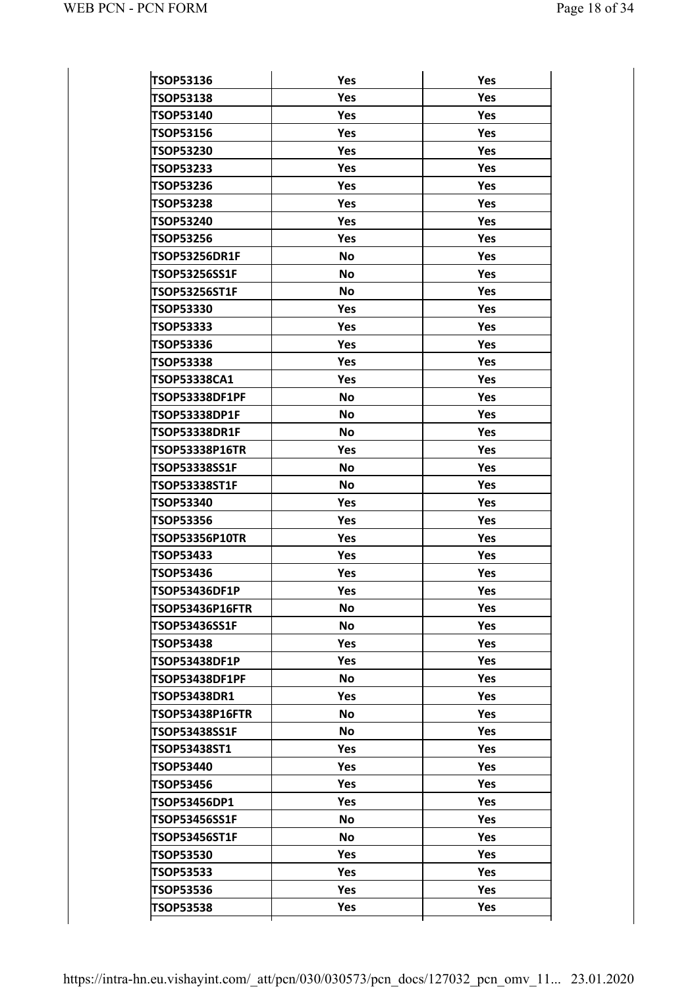| <b>TSOP53136</b>                     | Yes        | Yes        |
|--------------------------------------|------------|------------|
| <b>TSOP53138</b>                     | Yes        | Yes        |
| <b>TSOP53140</b>                     | Yes        | <b>Yes</b> |
| <b>TSOP53156</b>                     | Yes        | Yes        |
| <b>TSOP53230</b>                     | <b>Yes</b> | <b>Yes</b> |
| <b>TSOP53233</b>                     | Yes        | <b>Yes</b> |
| <b>TSOP53236</b>                     | Yes        | <b>Yes</b> |
| <b>TSOP53238</b>                     | Yes        | Yes        |
| <b>TSOP53240</b>                     | Yes        | <b>Yes</b> |
| <b>TSOP53256</b>                     | Yes        | Yes        |
| <b>TSOP53256DR1F</b>                 | <b>No</b>  | <b>Yes</b> |
| <b>TSOP53256SS1F</b>                 | <b>No</b>  | Yes        |
| <b>TSOP53256ST1F</b>                 | <b>No</b>  | <b>Yes</b> |
| <b>TSOP53330</b>                     | Yes        | Yes        |
| <b>TSOP53333</b>                     | Yes        | <b>Yes</b> |
| <b>TSOP53336</b>                     | Yes        | Yes        |
| <b>TSOP53338</b>                     | Yes        | <b>Yes</b> |
| <b>TSOP53338CA1</b>                  | Yes        | Yes        |
| <b>TSOP53338DF1PF</b>                | <b>No</b>  | <b>Yes</b> |
| <b>TSOP53338DP1F</b>                 | <b>No</b>  | Yes        |
| <b>TSOP53338DR1F</b>                 | <b>No</b>  | <b>Yes</b> |
| <b>TSOP53338P16TR</b>                | Yes        | Yes        |
| <b>TSOP53338SS1F</b>                 | <b>No</b>  | Yes        |
| <b>TSOP53338ST1F</b>                 | <b>No</b>  | Yes        |
| <b>TSOP53340</b>                     | Yes        | <b>Yes</b> |
| <b>TSOP53356</b>                     | Yes        | Yes        |
| <b>TSOP53356P10TR</b>                | Yes        | Yes        |
| <b>TSOP53433</b>                     | Yes        | Yes        |
| <b>TSOP53436</b>                     | Yes        | Yes        |
| TSOP53436DF1P                        | Yes        | Yes        |
| <b>TSOP53436P16FTR</b>               | <b>No</b>  | <b>Yes</b> |
| <b>TSOP53436SS1F</b>                 | No         | Yes        |
| <b>TSOP53438</b>                     | <b>Yes</b> | <b>Yes</b> |
| <b>TSOP53438DF1P</b>                 | Yes        | Yes        |
| <b>TSOP53438DF1PF</b>                | <b>No</b>  | <b>Yes</b> |
| <b>TSOP53438DR1</b>                  | Yes        | Yes        |
| <b>TSOP53438P16FTR</b>               | <b>No</b>  | <b>Yes</b> |
| TSOP53438SS1F                        | No         | Yes        |
| <b>TSOP53438ST1</b>                  | Yes        | <b>Yes</b> |
| <b>TSOP53440</b>                     | Yes        | Yes        |
| <b>TSOP53456</b>                     | <b>Yes</b> | <b>Yes</b> |
| TSOP53456DP1                         | Yes        | Yes        |
| <b>TSOP53456SS1F</b>                 | <b>No</b>  | <b>Yes</b> |
| <b>TSOP53456ST1F</b>                 | No         | Yes        |
| <b>TSOP53530</b>                     | <b>Yes</b> | <b>Yes</b> |
|                                      |            |            |
|                                      | Yes        | Yes        |
| <b>TSOP53533</b><br><b>TSOP53536</b> | Yes        | <b>Yes</b> |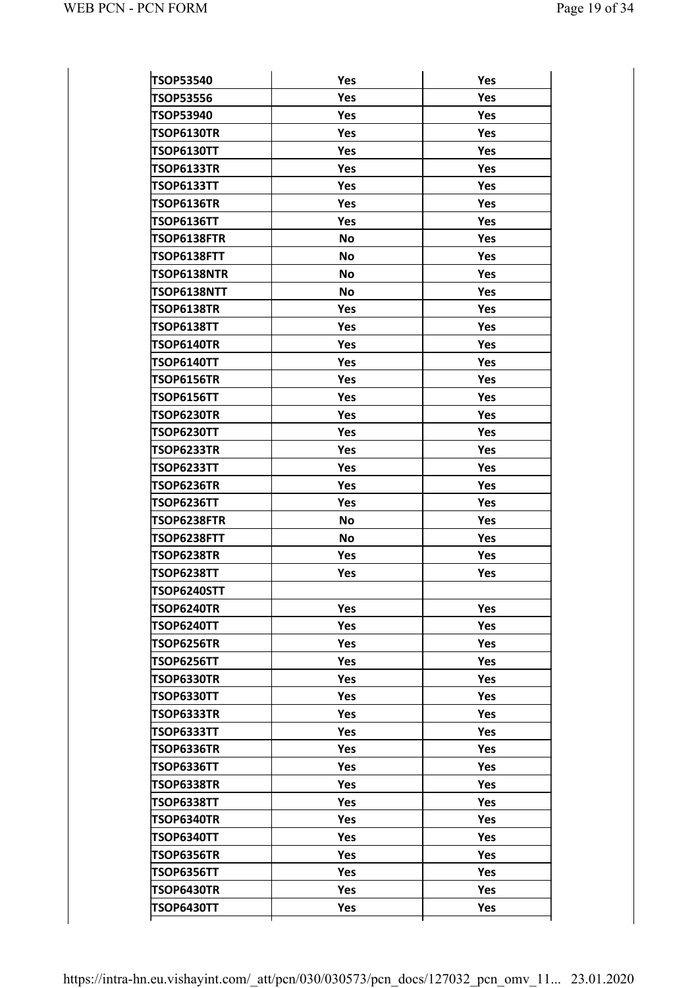| <b>TSOP53540</b>   | Yes        | Yes        |
|--------------------|------------|------------|
| <b>TSOP53556</b>   | Yes        | Yes        |
| <b>TSOP53940</b>   | Yes        | Yes        |
| <b>TSOP6130TR</b>  | Yes        | Yes        |
| <b>TSOP6130TT</b>  | Yes        | Yes        |
| <b>TSOP6133TR</b>  | Yes        | Yes        |
| <b>TSOP6133TT</b>  | Yes        | Yes        |
| <b>TSOP6136TR</b>  | Yes        | Yes        |
| <b>TSOP6136TT</b>  | Yes        | Yes        |
| TSOP6138FTR        | No         | Yes        |
| TSOP6138FTT        | <b>No</b>  | Yes        |
| TSOP6138NTR        | No         | Yes        |
| TSOP6138NTT        | <b>No</b>  | Yes        |
| <b>TSOP6138TR</b>  | Yes        | Yes        |
| <b>TSOP6138TT</b>  | Yes        | Yes        |
| <b>TSOP6140TR</b>  | Yes        | Yes        |
| <b>TSOP6140TT</b>  | Yes        | Yes        |
| <b>TSOP6156TR</b>  | Yes        | Yes        |
| <b>TSOP6156TT</b>  | Yes        | Yes        |
| <b>TSOP6230TR</b>  | Yes        | Yes        |
| <b>TSOP6230TT</b>  | Yes        | Yes        |
| <b>TSOP6233TR</b>  | Yes        | Yes        |
| <b>TSOP6233TT</b>  | Yes        | Yes        |
| <b>TSOP6236TR</b>  | Yes        | Yes        |
| TSOP6236TT         | Yes        | Yes        |
| TSOP6238FTR        | <b>No</b>  | Yes        |
| TSOP6238FTT        | <b>No</b>  | Yes        |
| <b>TSOP6238TR</b>  | Yes        | Yes        |
| <b>TSOP6238TT</b>  | Yes        | Yes        |
| <b>TSOP6240STT</b> |            |            |
| TSOP6240TR         | Yes        | Yes        |
| <b>TSOP6240TT</b>  | Yes        | Yes        |
| <b>TSOP6256TR</b>  | Yes        | <b>Yes</b> |
| <b>TSOP6256TT</b>  | Yes        | <b>Yes</b> |
| TSOP6330TR         | Yes        | Yes        |
| <b>TSOP6330TT</b>  | Yes        | Yes        |
| TSOP6333TR         | Yes        | <b>Yes</b> |
| <b>TSOP6333TT</b>  | <b>Yes</b> | <b>Yes</b> |
| TSOP6336TR         | Yes        | Yes        |
| <b>TSOP6336TT</b>  | Yes        | Yes        |
| TSOP6338TR         | Yes        | Yes        |
| <b>TSOP6338TT</b>  | Yes        | Yes        |
| TSOP6340TR         | Yes        | Yes        |
| TSOP6340TT         | Yes        | Yes        |
| TSOP6356TR         | Yes        | Yes        |
| <b>TSOP6356TT</b>  | Yes        | Yes        |
| TSOP6430TR         | Yes        | Yes        |
| <b>TSOP6430TT</b>  | Yes        | Yes        |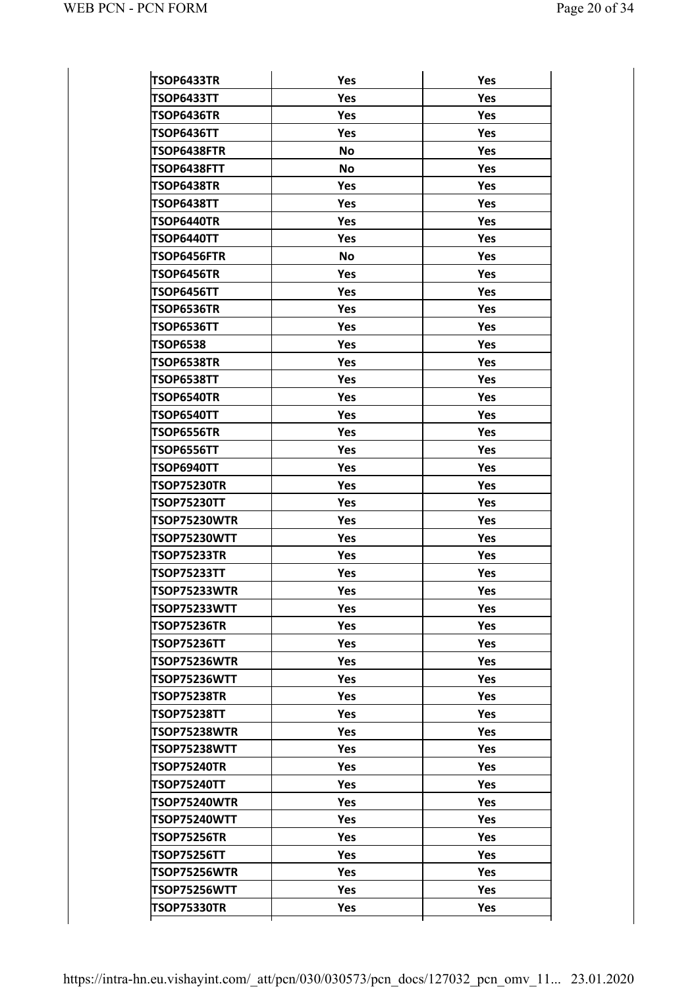| TSOP6433TR                          | Yes       | Yes        |
|-------------------------------------|-----------|------------|
| TSOP6433TT                          | Yes       | Yes        |
| TSOP6436TR                          | Yes       | Yes        |
| TSOP6436TT                          | Yes       | <b>Yes</b> |
| TSOP6438FTR                         | <b>No</b> | Yes        |
| TSOP6438FTT                         | <b>No</b> | <b>Yes</b> |
| <b>TSOP6438TR</b>                   | Yes       | Yes        |
| <b>TSOP6438TT</b>                   | Yes       | <b>Yes</b> |
| TSOP6440TR                          | Yes       | Yes        |
| <b>TSOP6440TT</b>                   | Yes       | <b>Yes</b> |
| TSOP6456FTR                         | <b>No</b> | Yes        |
| <b>TSOP6456TR</b>                   | Yes       | Yes        |
| TSOP6456TT                          | Yes       | Yes        |
| <b>TSOP6536TR</b>                   | Yes       | Yes        |
| TSOP6536TT                          | Yes       | Yes        |
| <b>TSOP6538</b>                     | Yes       | Yes        |
| <b>TSOP6538TR</b>                   | Yes       | Yes        |
| <b>TSOP6538TT</b>                   | Yes       | Yes        |
| <b>TSOP6540TR</b>                   | Yes       | Yes        |
| TSOP6540TT                          | Yes       | Yes        |
| <b>TSOP6556TR</b>                   | Yes       | Yes        |
| TSOP6556TT                          | Yes       | Yes        |
| TSOP6940TT                          | Yes       | Yes        |
| <b>TSOP75230TR</b>                  | Yes       | Yes        |
| <b>TSOP75230TT</b>                  | Yes       | Yes        |
| <b>TSOP75230WTR</b>                 | Yes       | Yes        |
| <b>TSOP75230WTT</b>                 | Yes       | Yes        |
| <b>TSOP75233TR</b>                  | Yes       | Yes        |
| <b>TSOP75233TT</b>                  | Yes       | Yes        |
| <b>TSOP75233WTR</b>                 | Yes       | Yes        |
| <b>TSOP75233WTT</b>                 | Yes       | Yes        |
| <b>TSOP75236TR</b>                  | Yes       | <b>Yes</b> |
| <b>TSOP75236TT</b>                  | Yes       | <b>Yes</b> |
| <b>TSOP75236WTR</b>                 | Yes       | <b>Yes</b> |
| <b>TSOP75236WTT</b>                 | Yes       | <b>Yes</b> |
| <b>TSOP75238TR</b>                  | Yes       | <b>Yes</b> |
| <b>TSOP75238TT</b>                  | Yes       | <b>Yes</b> |
| <b>TSOP75238WTR</b>                 | Yes       | <b>Yes</b> |
| <b>TSOP75238WTT</b>                 | Yes       | <b>Yes</b> |
| <b>TSOP75240TR</b>                  | Yes       | <b>Yes</b> |
| <b>TSOP75240TT</b>                  | Yes       | <b>Yes</b> |
| <b>TSOP75240WTR</b>                 | Yes       | <b>Yes</b> |
| <b>TSOP75240WTT</b>                 | Yes       | Yes        |
|                                     |           | <b>Yes</b> |
|                                     | Yes       |            |
| TSOP75256TR<br><b>TSOP75256TT</b>   | Yes       | <b>Yes</b> |
|                                     | Yes       | <b>Yes</b> |
| TSOP75256WTR<br><b>TSOP75256WTT</b> | Yes       | <b>Yes</b> |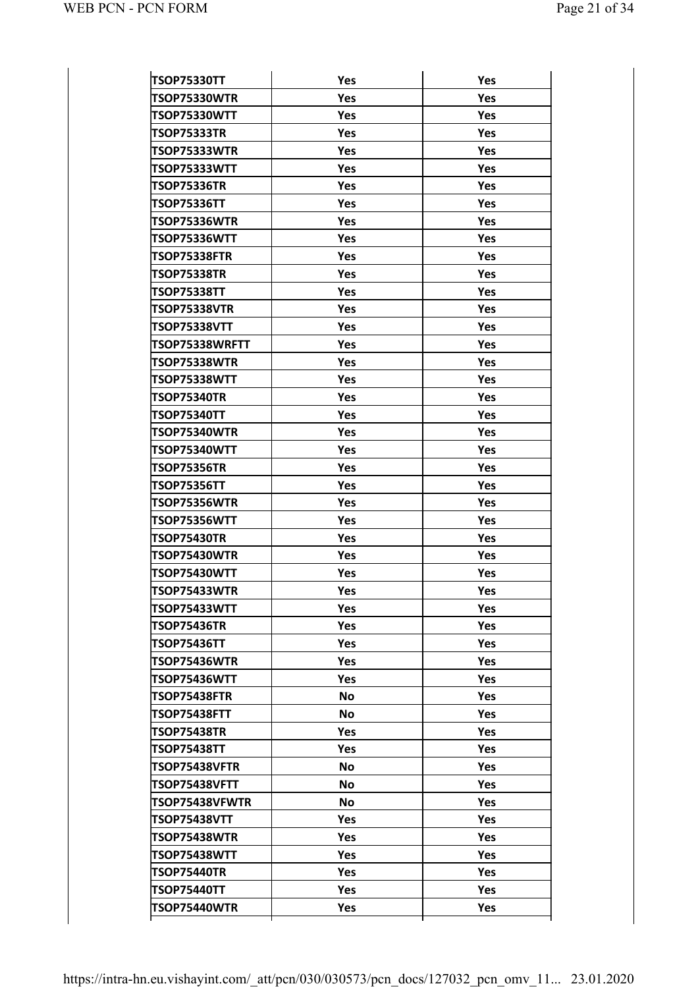| <b>TSOP75330TT</b>  | Yes        | Yes        |
|---------------------|------------|------------|
| <b>TSOP75330WTR</b> | Yes        | Yes        |
| <b>TSOP75330WTT</b> | Yes        | Yes        |
| <b>TSOP75333TR</b>  | Yes        | Yes        |
| TSOP75333WTR        | Yes        | Yes        |
| <b>TSOP75333WTT</b> | Yes        | Yes        |
| <b>TSOP75336TR</b>  | Yes        | Yes        |
| <b>TSOP75336TT</b>  | Yes        | <b>Yes</b> |
| TSOP75336WTR        | Yes        | Yes        |
| <b>TSOP75336WTT</b> | Yes        | Yes        |
| <b>TSOP75338FTR</b> | Yes        | Yes        |
| <b>TSOP75338TR</b>  | Yes        | Yes        |
| <b>TSOP75338TT</b>  | Yes        | Yes        |
| <b>TSOP75338VTR</b> | Yes        | Yes        |
| <b>TSOP75338VTT</b> | Yes        | Yes        |
| TSOP75338WRFTT      | Yes        | Yes        |
| TSOP75338WTR        | Yes        | Yes        |
| <b>TSOP75338WTT</b> | Yes        | Yes        |
| <b>TSOP75340TR</b>  | Yes        | Yes        |
| <b>TSOP75340TT</b>  | Yes        | Yes        |
| <b>TSOP75340WTR</b> | Yes        | Yes        |
| <b>TSOP75340WTT</b> | Yes        | Yes        |
| <b>TSOP75356TR</b>  | Yes        | Yes        |
| <b>TSOP75356TT</b>  | Yes        | Yes        |
| TSOP75356WTR        | Yes        | Yes        |
| <b>TSOP75356WTT</b> | Yes        | Yes        |
| <b>TSOP75430TR</b>  | Yes        | Yes        |
| <b>TSOP75430WTR</b> | Yes        | Yes        |
| <b>TSOP75430WTT</b> | Yes        | Yes        |
| TSOP75433WTR        | <b>Yes</b> | Yes        |
| TSOP75433WTT        | Yes        | Yes        |
| <b>TSOP75436TR</b>  | <b>Yes</b> | Yes        |
| <b>TSOP75436TT</b>  | Yes.       | <b>Yes</b> |
| TSOP75436WTR        | Yes.       | <b>Yes</b> |
| <b>TSOP75436WTT</b> | Yes        | Yes        |
| TSOP75438FTR        | <b>No</b>  | Yes        |
| <b>TSOP75438FTT</b> | <b>No</b>  | <b>Yes</b> |
| <b>TSOP75438TR</b>  | Yes.       | <b>Yes</b> |
| <b>TSOP75438TT</b>  | Yes        | Yes        |
| TSOP75438VFTR       | <b>No</b>  | Yes        |
| TSOP75438VFTT       | <b>No</b>  | <b>Yes</b> |
| TSOP75438VFWTR      | <b>No</b>  | <b>Yes</b> |
| <b>TSOP75438VTT</b> | Yes        | Yes        |
| TSOP75438WTR        | Yes        | Yes        |
| <b>TSOP75438WTT</b> | Yes.       | <b>Yes</b> |
| <b>TSOP75440TR</b>  | Yes.       | <b>Yes</b> |
| <b>TSOP75440TT</b>  | Yes        | Yes        |
| <b>TSOP75440WTR</b> | <b>Yes</b> | <b>Yes</b> |
|                     |            |            |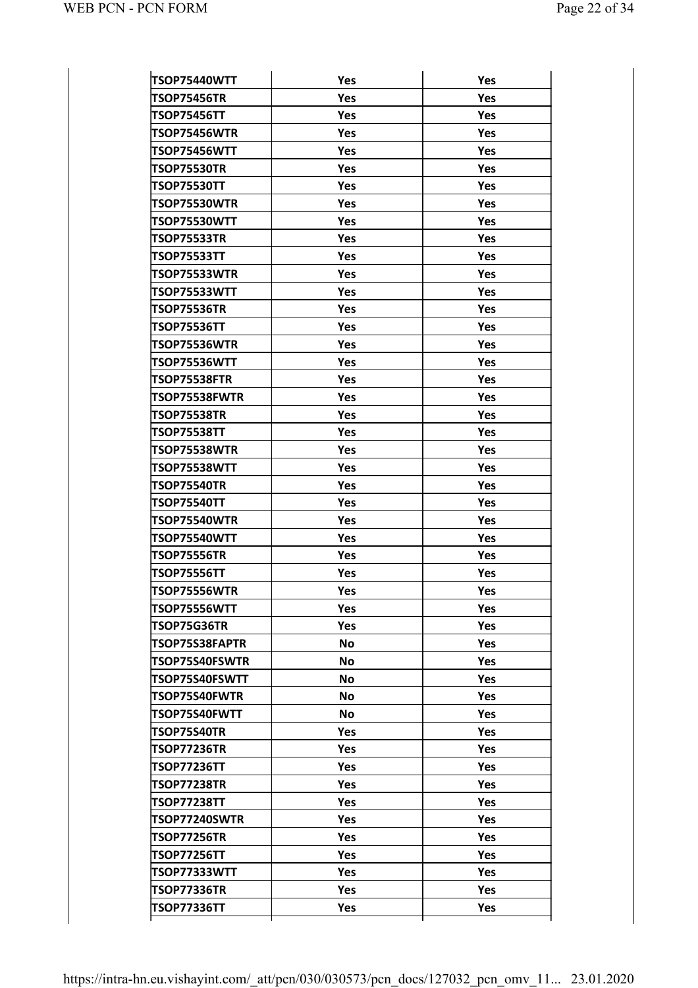| <b>TSOP75440WTT</b>  | Yes        | Yes        |
|----------------------|------------|------------|
| <b>TSOP75456TR</b>   | Yes        | Yes        |
| <b>TSOP75456TT</b>   | Yes        | <b>Yes</b> |
| TSOP75456WTR         | Yes        | <b>Yes</b> |
| TSOP75456WTT         | Yes        | <b>Yes</b> |
| <b>TSOP75530TR</b>   | Yes        | Yes        |
| <b>TSOP75530TT</b>   | Yes        | <b>Yes</b> |
| TSOP75530WTR         | Yes        | <b>Yes</b> |
| TSOP75530WTT         | Yes        | <b>Yes</b> |
| <b>TSOP75533TR</b>   | Yes        | Yes        |
| <b>TSOP75533TT</b>   | Yes        | <b>Yes</b> |
| TSOP75533WTR         | Yes        | <b>Yes</b> |
| TSOP75533WTT         | Yes        | <b>Yes</b> |
| <b>TSOP75536TR</b>   | Yes        | <b>Yes</b> |
| <b>TSOP75536TT</b>   | Yes        | <b>Yes</b> |
| TSOP75536WTR         | Yes        | <b>Yes</b> |
| TSOP75536WTT         | Yes        | Yes        |
| TSOP75538FTR         | Yes        | Yes        |
| TSOP75538FWTR        | Yes        | <b>Yes</b> |
| <b>TSOP75538TR</b>   | Yes        | <b>Yes</b> |
| <b>TSOP75538TT</b>   | Yes        | Yes        |
| TSOP75538WTR         | Yes        | Yes        |
| TSOP75538WTT         | Yes        | <b>Yes</b> |
| <b>TSOP75540TR</b>   | Yes        | <b>Yes</b> |
| <b>TSOP75540TT</b>   | Yes        | Yes        |
| TSOP75540WTR         | Yes        | Yes        |
| TSOP75540WTT         | <b>Yes</b> | <b>Yes</b> |
| <b>TSOP75556TR</b>   | Yes        | Yes        |
| <b>TSOP75556TT</b>   | Yes        | Yes        |
| <b>TSOP75556WTR</b>  | Yes        | Yes        |
| TSOP75556WTT         | Yes        | Yes        |
| TSOP75G36TR          | Yes        | Yes        |
| TSOP75S38FAPTR       | <b>No</b>  | Yes        |
| TSOP75S40FSWTR       | <b>No</b>  | Yes        |
| TSOP75S40FSWTT       | <b>No</b>  | Yes        |
| <b>TSOP75S40FWTR</b> | <b>No</b>  | Yes        |
| TSOP75S40FWTT        | <b>No</b>  | <b>Yes</b> |
| TSOP75S40TR          | Yes        | Yes        |
| <b>TSOP77236TR</b>   | Yes        | Yes        |
| <b>TSOP77236TT</b>   | Yes        | Yes        |
| TSOP77238TR          | Yes        | <b>Yes</b> |
| <b>TSOP77238TT</b>   | Yes        | Yes        |
| TSOP77240SWTR        | Yes        | Yes        |
| <b>TSOP77256TR</b>   | Yes        | Yes        |
| TSOP77256TT          | Yes        | <b>Yes</b> |
| <b>TSOP77333WTT</b>  | Yes        | Yes        |
|                      |            |            |
| <b>TSOP77336TR</b>   | Yes        | Yes        |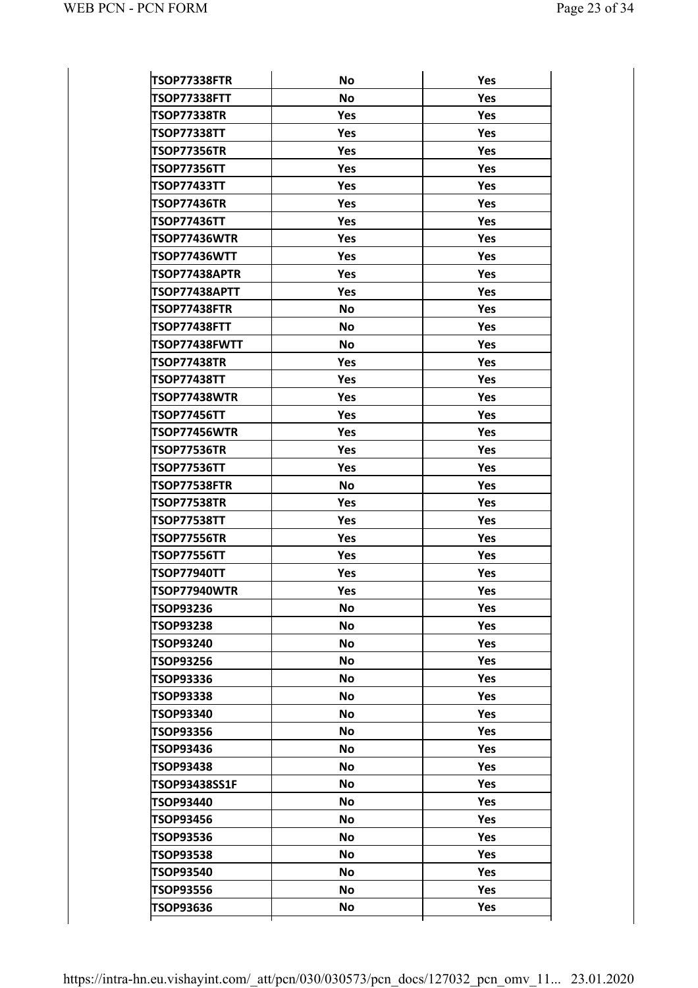| <b>TSOP77338FTR</b> | No         | Yes        |
|---------------------|------------|------------|
| <b>TSOP77338FTT</b> | <b>No</b>  | Yes        |
| <b>TSOP77338TR</b>  | Yes        | Yes        |
| <b>TSOP77338TT</b>  | <b>Yes</b> | Yes        |
| <b>TSOP77356TR</b>  | Yes        | Yes        |
| <b>TSOP77356TT</b>  | Yes        | Yes        |
| <b>TSOP77433TT</b>  | Yes        | Yes        |
| <b>TSOP77436TR</b>  | Yes        | Yes        |
| <b>TSOP77436TT</b>  | Yes        | Yes        |
| TSOP77436WTR        | Yes        | Yes        |
| <b>TSOP77436WTT</b> | Yes        | Yes        |
| TSOP77438APTR       | Yes        | Yes        |
| TSOP77438APTT       | Yes        | Yes        |
| <b>TSOP77438FTR</b> | <b>No</b>  | Yes        |
| TSOP77438FTT        | <b>No</b>  | Yes        |
| TSOP77438FWTT       | <b>No</b>  | Yes        |
| <b>TSOP77438TR</b>  | Yes        | Yes        |
| <b>TSOP77438TT</b>  | Yes        | Yes        |
| TSOP77438WTR        | Yes        | Yes        |
| <b>TSOP77456TT</b>  | Yes        | Yes        |
| TSOP77456WTR        | Yes        | Yes        |
| <b>TSOP77536TR</b>  | Yes        | Yes        |
| <b>TSOP77536TT</b>  | Yes        | Yes        |
| <b>TSOP77538FTR</b> | No         | Yes        |
| <b>TSOP77538TR</b>  | Yes        | Yes        |
| <b>TSOP77538TT</b>  | Yes        | Yes        |
| <b>TSOP77556TR</b>  | Yes        | Yes        |
| <b>TSOP77556TT</b>  | Yes        | Yes        |
| <b>TSOP77940TT</b>  | Yes        | Yes        |
| <b>TSOP77940WTR</b> | Yes        | Yes        |
| TSOP93236           | No.        | Yes        |
| TSOP93238           | No         | Yes        |
| TSOP93240           | <b>No</b>  | Yes        |
| TSOP93256           | No         | Yes        |
| TSOP93336           | <b>No</b>  | <b>Yes</b> |
| TSOP93338           | No         | Yes        |
| <b>TSOP93340</b>    | <b>No</b>  | Yes        |
| TSOP93356           | No         | Yes        |
| TSOP93436           | <b>No</b>  | Yes        |
| TSOP93438           | No         | Yes        |
| TSOP93438SS1F       | <b>No</b>  | Yes        |
| TSOP93440           | No         | Yes        |
| TSOP93456           | <b>No</b>  | Yes        |
| TSOP93536           | No         | Yes        |
| TSOP93538           |            | Yes        |
|                     | <b>No</b>  |            |
| TSOP93540           | No         | Yes        |
| TSOP93556           | <b>No</b>  | Yes        |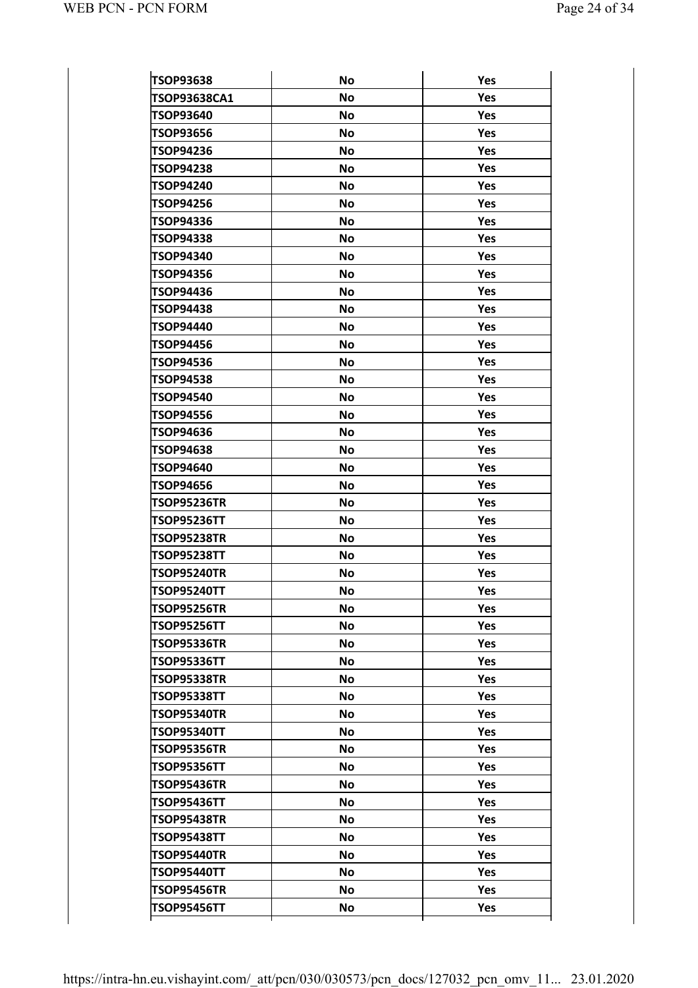| <b>TSOP93638</b>                                                                     | <b>No</b>              | Yes               |
|--------------------------------------------------------------------------------------|------------------------|-------------------|
| TSOP93638CA1                                                                         | <b>No</b>              | Yes               |
| <b>TSOP93640</b>                                                                     | <b>No</b>              | Yes               |
| <b>TSOP93656</b>                                                                     | <b>No</b>              | Yes               |
| <b>TSOP94236</b>                                                                     | <b>No</b>              | Yes               |
| <b>TSOP94238</b>                                                                     | <b>No</b>              | Yes               |
| <b>TSOP94240</b>                                                                     | <b>No</b>              | Yes               |
| <b>TSOP94256</b>                                                                     | <b>No</b>              | Yes               |
| <b>TSOP94336</b>                                                                     | <b>No</b>              | Yes               |
| <b>TSOP94338</b>                                                                     | <b>No</b>              | Yes               |
| TSOP94340                                                                            | <b>No</b>              | Yes               |
| <b>TSOP94356</b>                                                                     | <b>No</b>              | Yes               |
| TSOP94436                                                                            | <b>No</b>              | Yes               |
| <b>TSOP94438</b>                                                                     | <b>No</b>              | Yes               |
| TSOP94440                                                                            | <b>No</b>              | Yes               |
| <b>TSOP94456</b>                                                                     | <b>No</b>              | Yes               |
| <b>TSOP94536</b>                                                                     | <b>No</b>              | Yes               |
| <b>TSOP94538</b>                                                                     | <b>No</b>              | Yes               |
| <b>TSOP94540</b>                                                                     | <b>No</b>              | Yes               |
| <b>TSOP94556</b>                                                                     | <b>No</b>              | Yes               |
| TSOP94636                                                                            | <b>No</b>              | Yes               |
| <b>TSOP94638</b>                                                                     | <b>No</b>              | Yes               |
| TSOP94640                                                                            | <b>No</b>              | Yes               |
| <b>TSOP94656</b>                                                                     | <b>No</b>              | Yes               |
| <b>TSOP95236TR</b>                                                                   | <b>No</b>              | Yes               |
| <b>TSOP95236TT</b>                                                                   | <b>No</b>              | Yes               |
| <b>TSOP95238TR</b>                                                                   | <b>No</b>              | Yes               |
| <b>TSOP95238TT</b>                                                                   | <b>No</b>              | Yes               |
| <b>TSOP95240TR</b>                                                                   | <b>No</b>              | Yes               |
| <b>TSOP95240TT</b>                                                                   | No                     | Yes               |
| <b>TSOP95256TR</b>                                                                   | <b>No</b>              | Yes               |
| <b>TSOP95256TT</b>                                                                   | <b>No</b>              | Yes               |
| <b>TSOP95336TR</b>                                                                   | <b>No</b>              | Yes               |
| <b>TSOP95336TT</b>                                                                   | <b>No</b>              | <b>Yes</b>        |
| <b>TSOP95338TR</b>                                                                   | <b>No</b>              | Yes               |
| <b>TSOP95338TT</b>                                                                   | <b>No</b>              | Yes               |
| <b>TSOP95340TR</b>                                                                   | <b>No</b>              | Yes               |
| <b>TSOP95340TT</b>                                                                   | <b>No</b>              | <b>Yes</b>        |
| <b>TSOP95356TR</b>                                                                   | <b>No</b>              | Yes               |
| <b>TSOP95356TT</b>                                                                   | <b>No</b>              | Yes               |
| <b>TSOP95436TR</b>                                                                   | <b>No</b>              | Yes               |
| <b>TSOP95436TT</b>                                                                   | <b>No</b>              | Yes               |
| <b>TSOP95438TR</b>                                                                   | <b>No</b>              | Yes               |
|                                                                                      | <b>No</b>              | Yes               |
|                                                                                      |                        |                   |
|                                                                                      |                        |                   |
|                                                                                      | <b>No</b>              | Yes               |
| <b>TSOP95438TT</b><br><b>TSOP95440TR</b><br><b>TSOP95440TT</b><br><b>TSOP95456TR</b> | <b>No</b><br><b>No</b> | <b>Yes</b><br>Yes |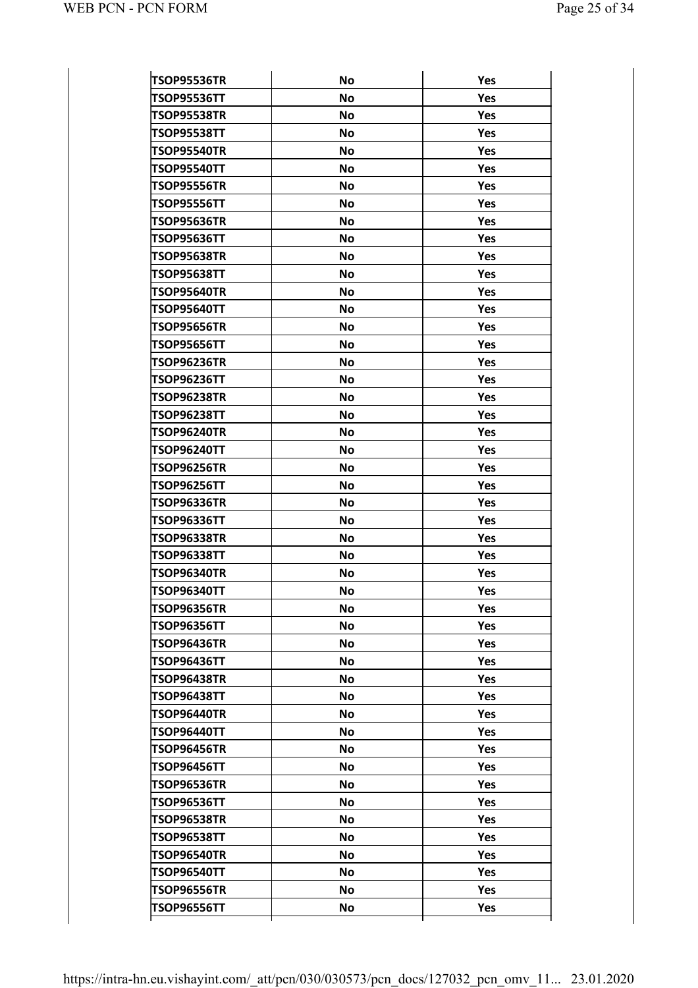| <b>TSOP95536TR</b> | No        | Yes        |
|--------------------|-----------|------------|
| <b>TSOP95536TT</b> | <b>No</b> | Yes        |
| <b>TSOP95538TR</b> | <b>No</b> | Yes        |
| <b>TSOP95538TT</b> | No        | Yes        |
| <b>TSOP95540TR</b> | <b>No</b> | Yes        |
| <b>TSOP95540TT</b> | No        | Yes        |
| <b>TSOP95556TR</b> | No        | Yes        |
| <b>TSOP95556TT</b> | No        | Yes        |
| <b>TSOP95636TR</b> | <b>No</b> | Yes        |
| <b>TSOP95636TT</b> | No        | Yes        |
| <b>TSOP95638TR</b> | No        | <b>Yes</b> |
| <b>TSOP95638TT</b> | <b>No</b> | <b>Yes</b> |
| <b>TSOP95640TR</b> | <b>No</b> | Yes        |
| <b>TSOP95640TT</b> | <b>No</b> | <b>Yes</b> |
| <b>TSOP95656TR</b> | <b>No</b> | <b>Yes</b> |
| <b>TSOP95656TT</b> | <b>No</b> | <b>Yes</b> |
| <b>TSOP96236TR</b> | <b>No</b> | Yes        |
| <b>TSOP96236TT</b> | <b>No</b> | <b>Yes</b> |
| <b>TSOP96238TR</b> | <b>No</b> | Yes        |
| <b>TSOP96238TT</b> | <b>No</b> | <b>Yes</b> |
| <b>TSOP96240TR</b> | <b>No</b> | <b>Yes</b> |
| <b>TSOP96240TT</b> | <b>No</b> | <b>Yes</b> |
| <b>TSOP96256TR</b> | <b>No</b> | Yes        |
| <b>TSOP96256TT</b> | <b>No</b> | <b>Yes</b> |
| <b>TSOP96336TR</b> | <b>No</b> | <b>Yes</b> |
| <b>TSOP96336TT</b> | No        | <b>Yes</b> |
| <b>TSOP96338TR</b> | <b>No</b> | Yes        |
| <b>TSOP96338TT</b> | <b>No</b> | <b>Yes</b> |
| <b>TSOP96340TR</b> | <b>No</b> | Yes        |
| <b>TSOP96340TT</b> | <b>No</b> | Yes        |
| TSOP96356TR        | No        | <b>Yes</b> |
| <b>TSOP96356TT</b> | <b>No</b> | <b>Yes</b> |
| TSOP96436TR        | <b>No</b> | <b>Yes</b> |
| <b>TSOP96436TT</b> | <b>No</b> | Yes        |
| <b>TSOP96438TR</b> | <b>No</b> | Yes        |
| <b>TSOP96438TT</b> | <b>No</b> | <b>Yes</b> |
| TSOP96440TR        | <b>No</b> | Yes        |
| <b>TSOP96440TT</b> | <b>No</b> | Yes        |
| TSOP96456TR        | <b>No</b> | Yes        |
| <b>TSOP96456TT</b> | No        | <b>Yes</b> |
| TSOP96536TR        | <b>No</b> | Yes        |
| <b>TSOP96536TT</b> | <b>No</b> | Yes        |
| <b>TSOP96538TR</b> | <b>No</b> | Yes        |
| <b>TSOP96538TT</b> | No        | <b>Yes</b> |
| TSOP96540TR        | <b>No</b> | <b>Yes</b> |
| <b>TSOP96540TT</b> | <b>No</b> | Yes        |
| TSOP96556TR        | <b>No</b> | Yes        |
| <b>TSOP96556TT</b> | No        | Yes        |
|                    |           |            |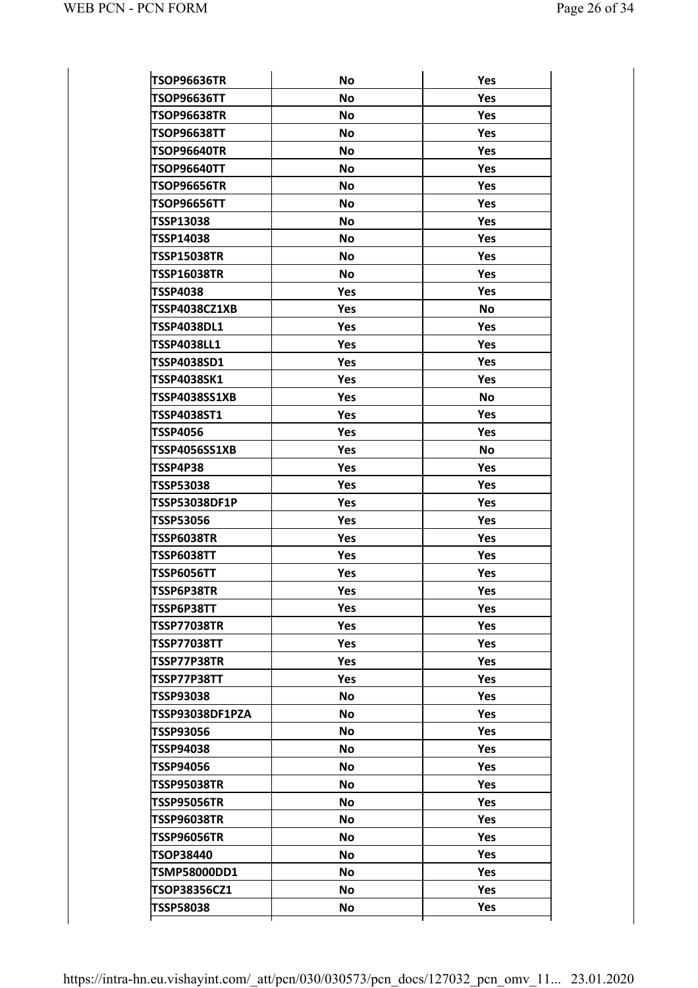| <b>TSOP96636TR</b>  | No        | Yes        |
|---------------------|-----------|------------|
| TSOP96636TT         | <b>No</b> | Yes        |
| <b>TSOP96638TR</b>  | <b>No</b> | Yes        |
| <b>TSOP96638TT</b>  | <b>No</b> | Yes        |
| TSOP96640TR         | <b>No</b> | Yes        |
| <b>TSOP96640TT</b>  | <b>No</b> | Yes        |
| TSOP96656TR         | <b>No</b> | Yes        |
| <b>TSOP96656TT</b>  | <b>No</b> | Yes        |
| TSSP13038           | <b>No</b> | Yes        |
| TSSP14038           | <b>No</b> | Yes        |
| <b>TSSP15038TR</b>  | <b>No</b> | Yes        |
| <b>TSSP16038TR</b>  | <b>No</b> | Yes        |
| TSSP4038            | Yes       | Yes        |
| TSSP4038CZ1XB       | Yes       | No         |
| <b>TSSP4038DL1</b>  | Yes       | Yes        |
| TSSP4038LL1         | Yes       | Yes        |
| TSSP4038SD1         | Yes       | Yes        |
| <b>TSSP4038SK1</b>  | Yes       | Yes        |
| TSSP4038SS1XB       | Yes       | No         |
| TSSP4038ST1         | Yes       | Yes        |
| TSSP4056            | Yes       | Yes        |
| TSSP4056SS1XB       | Yes       | No         |
| TSSP4P38            | Yes       | <b>Yes</b> |
| TSSP53038           | Yes       | Yes        |
| TSSP53038DF1P       | Yes       | Yes        |
| <b>TSSP53056</b>    | Yes       | Yes        |
| TSSP6038TR          | Yes       | Yes        |
| TSSP6038TT          | Yes       | Yes        |
| TSSP6056TT          | Yes       | Yes        |
| TSSP6P38TR          | Yes       | Yes        |
| TSSP6P38TT          | Yes       | Yes        |
| <b>TSSP77038TR</b>  | Yes       | <b>Yes</b> |
| <b>TSSP77038TT</b>  | Yes       | Yes        |
| TSSP77P38TR         | Yes       | Yes        |
| TSSP77P38TT         | Yes       | Yes        |
| <b>TSSP93038</b>    | <b>No</b> | <b>Yes</b> |
| TSSP93038DF1PZA     | <b>No</b> | <b>Yes</b> |
| TSSP93056           | <b>No</b> | <b>Yes</b> |
| <b>TSSP94038</b>    | <b>No</b> | Yes        |
| TSSP94056           | <b>No</b> | Yes        |
| TSSP95038TR         | No        | Yes        |
| TSSP95056TR         | No        | Yes        |
| TSSP96038TR         | <b>No</b> | Yes        |
| <b>TSSP96056TR</b>  | <b>No</b> | Yes        |
| <b>TSOP38440</b>    | No        | <b>Yes</b> |
| TSMP58000DD1        | No        | <b>Yes</b> |
| <b>TSOP38356CZ1</b> | <b>No</b> | Yes        |
| <b>TSSP58038</b>    | <b>No</b> | Yes        |
|                     |           |            |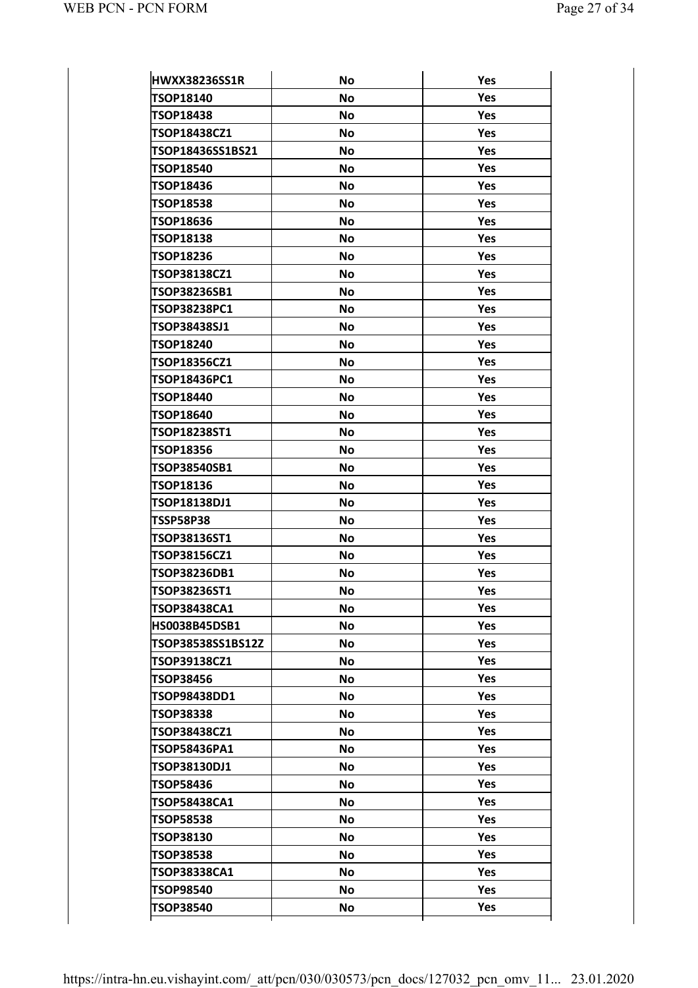| <b>HWXX38236SS1R</b> | <b>No</b> | Yes        |
|----------------------|-----------|------------|
| TSOP18140            | <b>No</b> | Yes        |
| <b>TSOP18438</b>     | <b>No</b> | Yes        |
| TSOP18438CZ1         | <b>No</b> | <b>Yes</b> |
| TSOP18436SS1BS21     | <b>No</b> | Yes        |
| <b>TSOP18540</b>     | <b>No</b> | Yes        |
| <b>TSOP18436</b>     | <b>No</b> | Yes        |
| <b>TSOP18538</b>     | <b>No</b> | Yes        |
| <b>TSOP18636</b>     | <b>No</b> | Yes        |
| <b>TSOP18138</b>     | <b>No</b> | Yes        |
| <b>TSOP18236</b>     | <b>No</b> | Yes        |
| TSOP38138CZ1         | <b>No</b> | Yes        |
| TSOP38236SB1         | <b>No</b> | Yes        |
| TSOP38238PC1         | <b>No</b> | <b>Yes</b> |
|                      |           | Yes        |
| TSOP38438SJ1         | <b>No</b> |            |
| <b>TSOP18240</b>     | <b>No</b> | <b>Yes</b> |
| <b>TSOP18356CZ1</b>  | <b>No</b> | Yes        |
| TSOP18436PC1         | <b>No</b> | <b>Yes</b> |
| TSOP18440            | <b>No</b> | Yes        |
| <b>TSOP18640</b>     | <b>No</b> | Yes        |
| TSOP18238ST1         | <b>No</b> | Yes        |
| <b>TSOP18356</b>     | <b>No</b> | Yes        |
| <b>TSOP38540SB1</b>  | <b>No</b> | Yes        |
| <b>TSOP18136</b>     | <b>No</b> | Yes        |
| TSOP18138DJ1         | <b>No</b> | Yes        |
| <b>TSSP58P38</b>     | <b>No</b> | Yes        |
| TSOP38136ST1         | <b>No</b> | Yes        |
| TSOP38156CZ1         | <b>No</b> | Yes        |
| TSOP38236DB1         | <b>No</b> | Yes        |
| <b>TSOP38236ST1</b>  | <b>No</b> | Yes        |
| TSOP38438CA1         | <b>No</b> | Yes        |
| HS0038B45DSB1        | No        | Yes        |
| TSOP38538SS1BS12Z    | <b>No</b> | <b>Yes</b> |
| TSOP39138CZ1         | <b>No</b> | Yes        |
| TSOP38456            | <b>No</b> | <b>Yes</b> |
| TSOP98438DD1         | <b>No</b> | <b>Yes</b> |
| <b>TSOP38338</b>     | <b>No</b> | <b>Yes</b> |
| <b>TSOP38438CZ1</b>  | <b>No</b> | Yes        |
| TSOP58436PA1         | <b>No</b> | <b>Yes</b> |
| TSOP38130DJ1         | <b>No</b> | Yes        |
| <b>TSOP58436</b>     | <b>No</b> | <b>Yes</b> |
| <b>TSOP58438CA1</b>  | <b>No</b> | Yes        |
| <b>TSOP58538</b>     | <b>No</b> | <b>Yes</b> |
| <b>TSOP38130</b>     | <b>No</b> | Yes        |
| <b>TSOP38538</b>     | <b>No</b> | <b>Yes</b> |
| TSOP38338CA1         | <b>No</b> | Yes        |
| <b>TSOP98540</b>     | <b>No</b> | <b>Yes</b> |
| <b>TSOP38540</b>     | <b>No</b> | Yes        |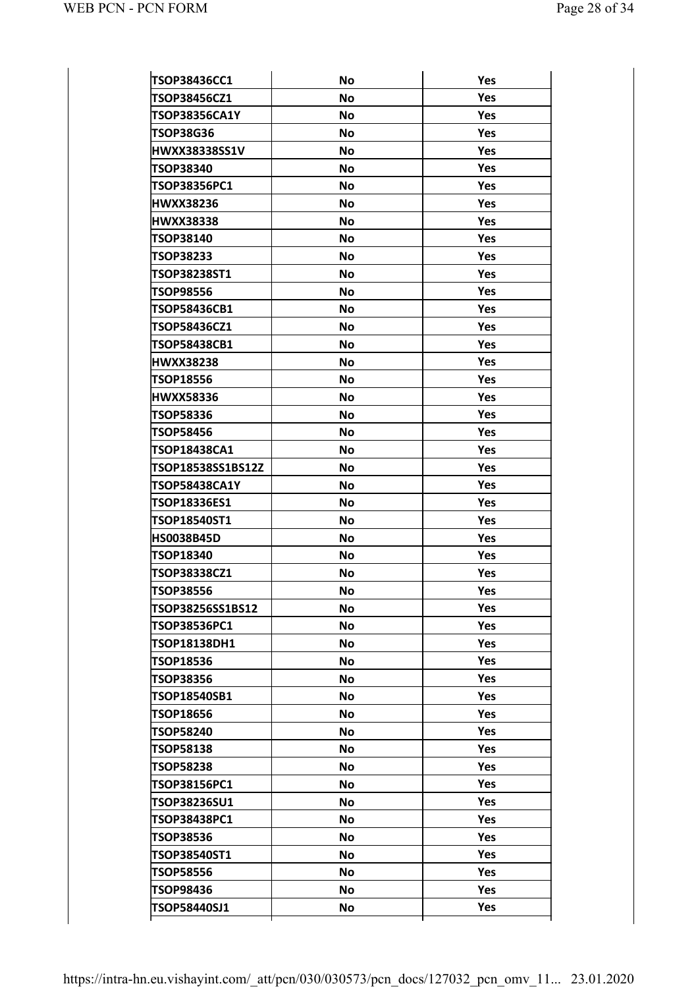| <b>TSOP38436CC1</b>  | <b>No</b> | Yes        |
|----------------------|-----------|------------|
| TSOP38456CZ1         | <b>No</b> | Yes        |
| TSOP38356CA1Y        | No        | <b>Yes</b> |
| TSOP38G36            | No        | Yes        |
| <b>HWXX38338SS1V</b> | <b>No</b> | <b>Yes</b> |
| <b>TSOP38340</b>     | No        | <b>Yes</b> |
| TSOP38356PC1         | <b>No</b> | <b>Yes</b> |
| <b>HWXX38236</b>     | <b>No</b> | <b>Yes</b> |
| <b>HWXX38338</b>     | <b>No</b> | <b>Yes</b> |
| TSOP38140            | <b>No</b> | <b>Yes</b> |
| TSOP38233            | No        | <b>Yes</b> |
| TSOP38238ST1         | <b>No</b> | <b>Yes</b> |
| <b>TSOP98556</b>     | <b>No</b> | <b>Yes</b> |
| <b>TSOP58436CB1</b>  | <b>No</b> | <b>Yes</b> |
| TSOP58436CZ1         | <b>No</b> | <b>Yes</b> |
| <b>TSOP58438CB1</b>  | <b>No</b> | <b>Yes</b> |
| <b>HWXX38238</b>     | <b>No</b> | <b>Yes</b> |
| <b>TSOP18556</b>     | <b>No</b> | <b>Yes</b> |
| <b>HWXX58336</b>     | <b>No</b> | <b>Yes</b> |
| <b>TSOP58336</b>     | <b>No</b> | <b>Yes</b> |
| <b>TSOP58456</b>     | <b>No</b> | <b>Yes</b> |
| <b>TSOP18438CA1</b>  | <b>No</b> | <b>Yes</b> |
| TSOP18538SS1BS12Z    | <b>No</b> | <b>Yes</b> |
| <b>TSOP58438CA1Y</b> | <b>No</b> | <b>Yes</b> |
| TSOP18336ES1         | <b>No</b> | <b>Yes</b> |
| TSOP18540ST1         | <b>No</b> | <b>Yes</b> |
| <b>HS0038B45D</b>    | <b>No</b> | <b>Yes</b> |
| <b>TSOP18340</b>     | <b>No</b> | <b>Yes</b> |
| TSOP38338CZ1         | <b>No</b> | Yes        |
| <b>TSOP38556</b>     | No        | Yes        |
| TSOP38256SS1BS12     | No        | Yes        |
| <b>TSOP38536PC1</b>  | <b>No</b> | Yes        |
| TSOP18138DH1         | No        | <b>Yes</b> |
| <b>TSOP18536</b>     | <b>No</b> | Yes        |
| <b>TSOP38356</b>     | No        | Yes        |
| TSOP18540SB1         | <b>No</b> | Yes        |
| TSOP18656            | No        | <b>Yes</b> |
| <b>TSOP58240</b>     | No        | Yes        |
| <b>TSOP58138</b>     | No        | Yes        |
| <b>TSOP58238</b>     | <b>No</b> | Yes        |
| TSOP38156PC1         | No        | <b>Yes</b> |
| TSOP38236SU1         | No        | Yes        |
| <b>TSOP38438PC1</b>  | No        | Yes        |
| <b>TSOP38536</b>     | <b>No</b> | Yes        |
| TSOP38540ST1         | No        | <b>Yes</b> |
| <b>TSOP58556</b>     | No        | Yes        |
| TSOP98436            | No        | Yes        |
| TSOP58440SJ1         | No        | Yes        |
|                      |           |            |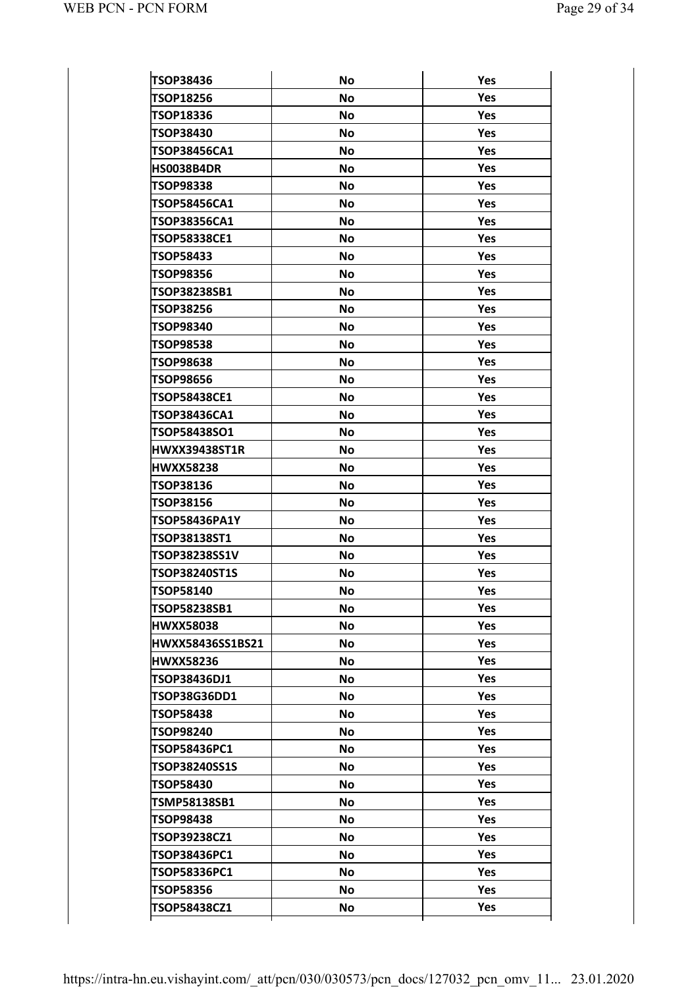| <b>TSOP38436</b>     | <b>No</b> | Yes        |
|----------------------|-----------|------------|
| <b>TSOP18256</b>     | <b>No</b> | Yes        |
| TSOP18336            | No        | <b>Yes</b> |
| <b>TSOP38430</b>     | No        | <b>Yes</b> |
| <b>TSOP38456CA1</b>  | No        | <b>Yes</b> |
| <b>HS0038B4DR</b>    | <b>No</b> | <b>Yes</b> |
| TSOP98338            | <b>No</b> | <b>Yes</b> |
| <b>TSOP58456CA1</b>  | <b>No</b> | <b>Yes</b> |
| <b>TSOP38356CA1</b>  | No        | <b>Yes</b> |
| <b>TSOP58338CE1</b>  | <b>No</b> | <b>Yes</b> |
| <b>TSOP58433</b>     | <b>No</b> | <b>Yes</b> |
| <b>TSOP98356</b>     | <b>No</b> | <b>Yes</b> |
| TSOP38238SB1         | No        | <b>Yes</b> |
| <b>TSOP38256</b>     | <b>No</b> | <b>Yes</b> |
| <b>TSOP98340</b>     | <b>No</b> | <b>Yes</b> |
| <b>TSOP98538</b>     | <b>No</b> | <b>Yes</b> |
| <b>TSOP98638</b>     | No        | <b>Yes</b> |
| <b>TSOP98656</b>     | <b>No</b> | <b>Yes</b> |
| TSOP58438CE1         | <b>No</b> | <b>Yes</b> |
| TSOP38436CA1         | <b>No</b> | <b>Yes</b> |
| <b>TSOP58438SO1</b>  | No        | <b>Yes</b> |
| <b>HWXX39438ST1R</b> | <b>No</b> | <b>Yes</b> |
| <b>HWXX58238</b>     | <b>No</b> | <b>Yes</b> |
| <b>TSOP38136</b>     | <b>No</b> | <b>Yes</b> |
| <b>TSOP38156</b>     | No        | <b>Yes</b> |
| <b>TSOP58436PA1Y</b> | <b>No</b> | <b>Yes</b> |
| TSOP38138ST1         | <b>No</b> | <b>Yes</b> |
| TSOP38238SS1V        | <b>No</b> | <b>Yes</b> |
| <b>TSOP38240ST1S</b> | <b>No</b> | Yes        |
| <b>TSOP58140</b>     | No        | Yes        |
| TSOP58238SB1         | No        | Yes        |
| <b>HWXX58038</b>     | <b>No</b> | Yes        |
| HWXX58436SS1BS21     | No        | <b>Yes</b> |
| <b>HWXX58236</b>     | <b>No</b> | Yes        |
| TSOP38436DJ1         | No        | Yes        |
| <b>TSOP38G36DD1</b>  | <b>No</b> | Yes        |
| TSOP58438            | No        | <b>Yes</b> |
| <b>TSOP98240</b>     | <b>No</b> | Yes        |
| TSOP58436PC1         | No        | Yes        |
| TSOP38240SS1S        | <b>No</b> | Yes        |
| <b>TSOP58430</b>     | No        | <b>Yes</b> |
| TSMP58138SB1         | <b>No</b> | Yes        |
| <b>TSOP98438</b>     | No        | Yes        |
| TSOP39238CZ1         | <b>No</b> | Yes        |
| TSOP38436PC1         | No        | <b>Yes</b> |
| TSOP58336PC1         | No        | Yes        |
|                      |           |            |
| <b>TSOP58356</b>     | No        | Yes        |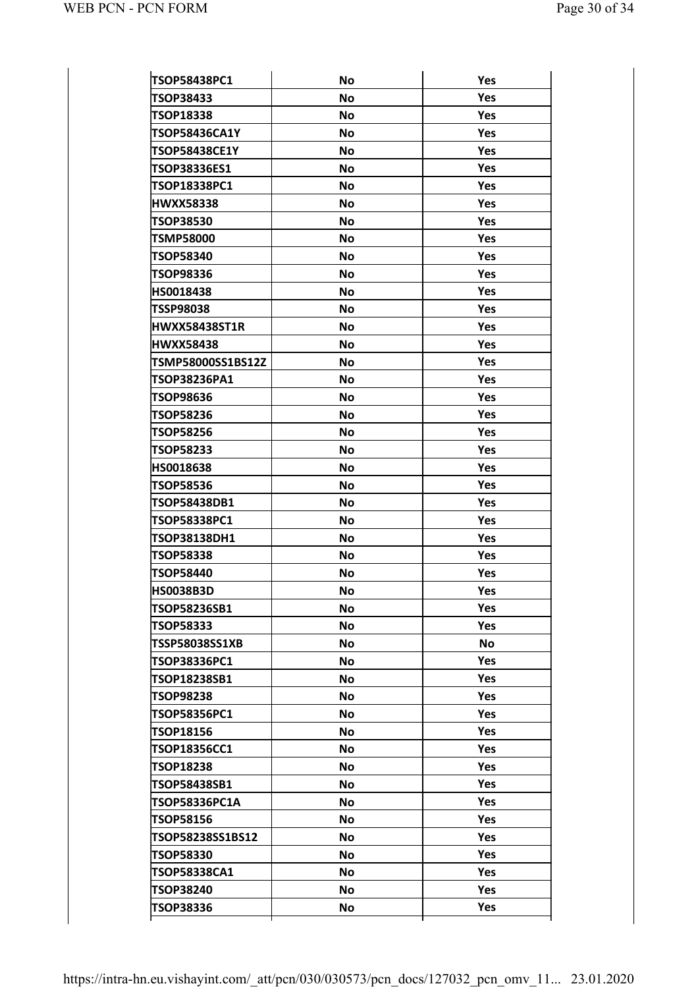| <b>TSOP58438PC1</b>   | <b>No</b> | Yes        |
|-----------------------|-----------|------------|
| <b>TSOP38433</b>      | <b>No</b> | Yes        |
| TSOP18338             | No        | <b>Yes</b> |
| <b>TSOP58436CA1Y</b>  | <b>No</b> | <b>Yes</b> |
| <b>TSOP58438CE1Y</b>  | No        | Yes        |
| TSOP38336ES1          | <b>No</b> | Yes        |
| TSOP18338PC1          | No        | Yes        |
| <b>HWXX58338</b>      | <b>No</b> | <b>Yes</b> |
| <b>TSOP38530</b>      | No        | Yes        |
| <b>TSMP58000</b>      | <b>No</b> | Yes        |
| <b>TSOP58340</b>      | <b>No</b> | Yes        |
| TSOP98336             | <b>No</b> | <b>Yes</b> |
| HS0018438             | <b>No</b> | Yes        |
| <b>TSSP98038</b>      | <b>No</b> | Yes        |
| <b>HWXX58438ST1R</b>  | <b>No</b> | Yes        |
| <b>HWXX58438</b>      | No        | Yes        |
| TSMP58000SS1BS12Z     | <b>No</b> | Yes        |
| <b>TSOP38236PA1</b>   | <b>No</b> | Yes        |
| TSOP98636             | <b>No</b> | Yes        |
| <b>TSOP58236</b>      | No        | Yes        |
| <b>TSOP58256</b>      | <b>No</b> | Yes        |
| <b>TSOP58233</b>      | <b>No</b> | Yes        |
| <b>HS0018638</b>      | <b>No</b> | Yes        |
| <b>TSOP58536</b>      | No        | Yes        |
| <b>TSOP58438DB1</b>   | <b>No</b> | Yes        |
| <b>TSOP58338PC1</b>   | <b>No</b> | Yes        |
| TSOP38138DH1          | <b>No</b> | Yes        |
| <b>TSOP58338</b>      | No        | <b>Yes</b> |
| <b>TSOP58440</b>      | <b>No</b> | Yes        |
| <b>HS0038B3D</b>      | No        | Yes        |
| TSOP58236SB1          | <b>No</b> | Yes        |
| <b>TSOP58333</b>      | No        | Yes        |
| <b>TSSP58038SS1XB</b> | <b>No</b> | No         |
| TSOP38336PC1          | No        | Yes        |
| TSOP18238SB1          | No        | Yes        |
| TSOP98238             | No        | Yes        |
| TSOP58356PC1          | <b>No</b> | <b>Yes</b> |
| <b>TSOP18156</b>      | No        | Yes        |
| <b>TSOP18356CC1</b>   | No        | Yes        |
| TSOP18238             | No        | Yes        |
| TSOP58438SB1          | No        | <b>Yes</b> |
| <b>TSOP58336PC1A</b>  | No        | Yes        |
| <b>TSOP58156</b>      | No        | Yes        |
| TSOP58238SS1BS12      | No        | Yes        |
| <b>TSOP58330</b>      | <b>No</b> | <b>Yes</b> |
| <b>TSOP58338CA1</b>   | No        | Yes        |
| <b>TSOP38240</b>      | No        | Yes        |
| <b>TSOP38336</b>      | <b>No</b> | Yes        |
|                       |           |            |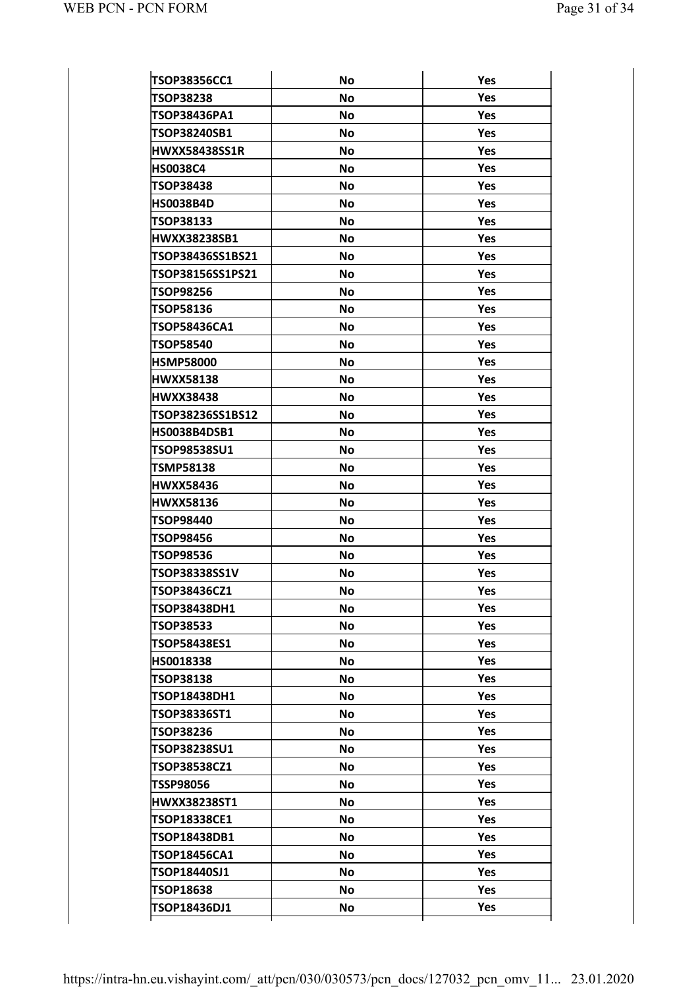| <b>TSOP38356CC1</b>  | <b>No</b> | Yes        |
|----------------------|-----------|------------|
| <b>TSOP38238</b>     | <b>No</b> | Yes        |
| TSOP38436PA1         | <b>No</b> | Yes        |
| TSOP38240SB1         | <b>No</b> | Yes        |
| <b>HWXX58438SS1R</b> | <b>No</b> | Yes        |
| <b>HS0038C4</b>      | Νo        | Yes        |
| <b>TSOP38438</b>     | <b>No</b> | Yes        |
| <b>HS0038B4D</b>     | <b>No</b> | Yes        |
| <b>TSOP38133</b>     | <b>No</b> | Yes        |
| <b>HWXX38238SB1</b>  | Νo        | Yes        |
| TSOP38436SS1BS21     | <b>No</b> | Yes        |
| TSOP38156SS1PS21     | <b>No</b> | Yes        |
| <b>TSOP98256</b>     | No        | Yes        |
| <b>TSOP58136</b>     | <b>No</b> | Yes        |
| TSOP58436CA1         | <b>No</b> | <b>Yes</b> |
| <b>TSOP58540</b>     | <b>No</b> | Yes        |
| <b>HSMP58000</b>     | No        | Yes        |
| <b>HWXX58138</b>     | <b>No</b> | Yes        |
| <b>HWXX38438</b>     | <b>No</b> | <b>Yes</b> |
| TSOP38236SS1BS12     | <b>No</b> | Yes        |
| <b>HS0038B4DSB1</b>  | No        | Yes        |
| TSOP98538SU1         | <b>No</b> | Yes        |
| <b>TSMP58138</b>     | <b>No</b> | <b>Yes</b> |
| <b>HWXX58436</b>     | <b>No</b> | Yes        |
| <b>HWXX58136</b>     | <b>No</b> | Yes        |
| <b>TSOP98440</b>     | <b>No</b> | Yes        |
| <b>TSOP98456</b>     | <b>No</b> | <b>Yes</b> |
| <b>TSOP98536</b>     | <b>No</b> | Yes        |
| TSOP38338SS1V        | <b>No</b> | Yes        |
| TSOP38436CZ1         | No        | Yes        |
| TSOP38438DH1         | <b>No</b> | Yes        |
| <b>TSOP38533</b>     | No        | Yes        |
| TSOP58438ES1         | No        | Yes        |
| HS0018338            | No        | Yes        |
| <b>TSOP38138</b>     | No        | Yes        |
| TSOP18438DH1         | No        | Yes        |
| <b>TSOP38336ST1</b>  | No        | Yes        |
| <b>TSOP38236</b>     | No        | Yes        |
| TSOP38238SU1         | <b>No</b> | Yes        |
| TSOP38538CZ1         | No        | Yes        |
| <b>TSSP98056</b>     | No        | Yes        |
| <b>HWXX38238ST1</b>  | No        | Yes        |
| TSOP18338CE1         | <b>No</b> | Yes        |
| TSOP18438DB1         | No        | Yes        |
| TSOP18456CA1         | No        | Yes        |
| TSOP18440SJ1         | No        | Yes        |
| <b>TSOP18638</b>     | No        | Yes        |
|                      |           |            |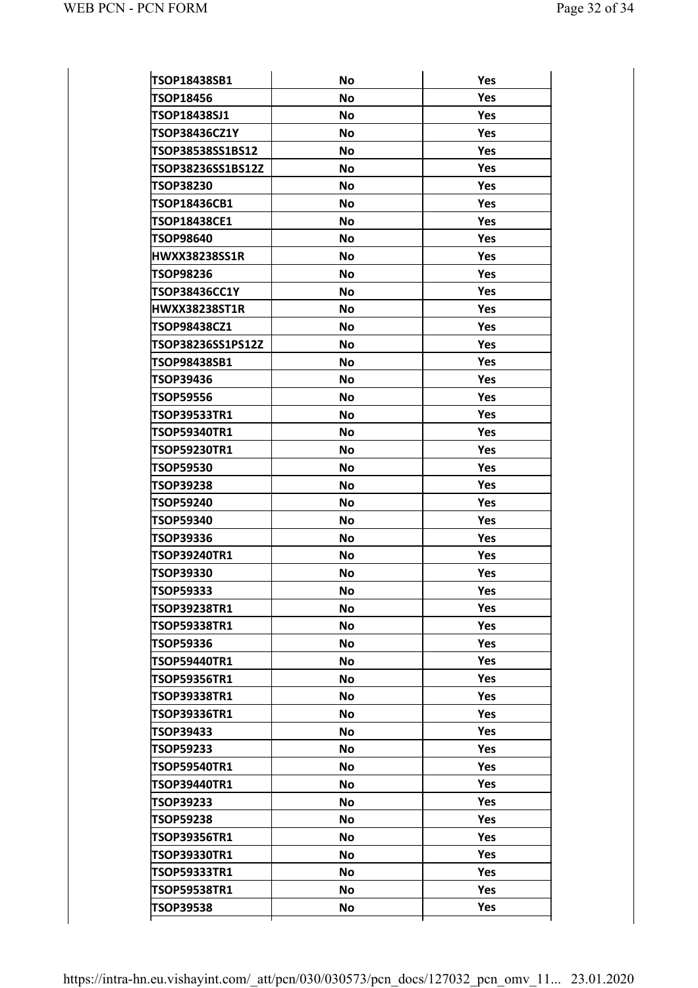| TSOP18438SB1                        | <b>No</b> | Yes        |
|-------------------------------------|-----------|------------|
| <b>TSOP18456</b>                    | <b>No</b> | Yes        |
| TSOP18438SJ1                        | <b>No</b> | <b>Yes</b> |
| TSOP38436CZ1Y                       | <b>No</b> | Yes        |
| TSOP38538SS1BS12                    | <b>No</b> | <b>Yes</b> |
| TSOP38236SS1BS12Z                   | <b>No</b> | Yes        |
| <b>TSOP38230</b>                    | <b>No</b> | <b>Yes</b> |
| TSOP18436CB1                        | <b>No</b> | Yes        |
| TSOP18438CE1                        | <b>No</b> | <b>Yes</b> |
| <b>TSOP98640</b>                    | <b>No</b> | Yes        |
| <b>HWXX38238SS1R</b>                | <b>No</b> | <b>Yes</b> |
| <b>TSOP98236</b>                    | <b>No</b> | Yes        |
| TSOP38436CC1Y                       | <b>No</b> | Yes        |
| <b>HWXX38238ST1R</b>                | <b>No</b> | Yes        |
| TSOP98438CZ1                        | <b>No</b> | <b>Yes</b> |
| TSOP38236SS1PS12Z                   | <b>No</b> | Yes        |
| TSOP98438SB1                        | <b>No</b> | Yes        |
| <b>TSOP39436</b>                    | <b>No</b> | Yes        |
| <b>TSOP59556</b>                    | <b>No</b> | <b>Yes</b> |
| <b>TSOP39533TR1</b>                 | <b>No</b> | Yes        |
| <b>TSOP59340TR1</b>                 | <b>No</b> | Yes        |
| <b>TSOP59230TR1</b>                 | <b>No</b> | Yes        |
| <b>TSOP59530</b>                    | <b>No</b> | Yes        |
| <b>TSOP39238</b>                    | <b>No</b> | Yes        |
| <b>TSOP59240</b>                    | <b>No</b> | Yes        |
| <b>TSOP59340</b>                    | <b>No</b> | Yes        |
| TSOP39336                           | <b>No</b> | Yes        |
| TSOP39240TR1                        | <b>No</b> | Yes        |
| <b>TSOP39330</b>                    | <b>No</b> | Yes        |
| <b>TSOP59333</b>                    | No        | Yes        |
| TSOP39238TR1                        | <b>No</b> | <b>Yes</b> |
| TSOP59338TR1                        | <b>No</b> | Yes        |
| <b>TSOP59336</b>                    | <b>No</b> | <b>Yes</b> |
| <b>TSOP59440TR1</b>                 | <b>No</b> | Yes        |
| <b>TSOP59356TR1</b>                 | No        | <b>Yes</b> |
| TSOP39338TR1                        | No        | Yes        |
| TSOP39336TR1                        | No        | <b>Yes</b> |
| <b>TSOP39433</b>                    | <b>No</b> | Yes        |
| <b>TSOP59233</b>                    | No        | <b>Yes</b> |
| TSOP59540TR1                        | No        | Yes        |
| TSOP39440TR1                        | No        | <b>Yes</b> |
| <b>TSOP39233</b>                    | <b>No</b> | Yes        |
| <b>TSOP59238</b>                    | No        | <b>Yes</b> |
| TSOP39356TR1                        | <b>No</b> | Yes        |
| TSOP39330TR1                        | No        | <b>Yes</b> |
|                                     | <b>No</b> | Yes        |
|                                     |           |            |
| TSOP59333TR1<br><b>TSOP59538TR1</b> | No        | <b>Yes</b> |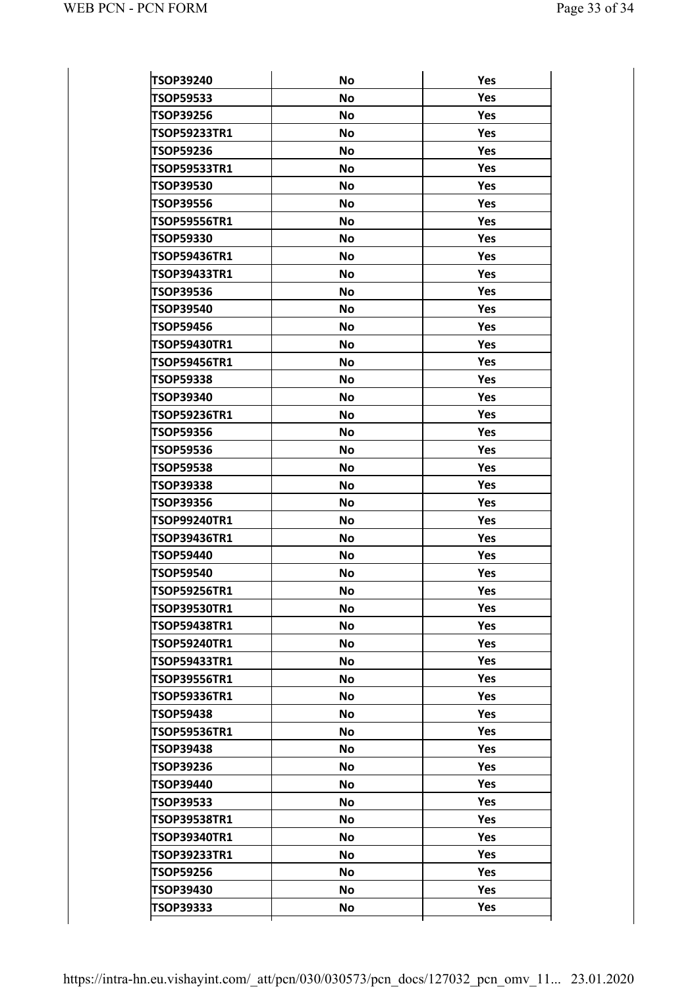| <b>TSOP39240</b><br>Yes<br><b>No</b><br>No<br>Yes<br>TSOP59533<br><b>TSOP39256</b><br>Yes<br><b>No</b><br><b>TSOP59233TR1</b><br><b>No</b><br><b>Yes</b><br><b>TSOP59236</b><br>Yes<br><b>No</b><br>TSOP59533TR1<br><b>No</b><br><b>Yes</b><br>Yes<br><b>TSOP39530</b><br><b>No</b><br><b>TSOP39556</b><br><b>No</b><br><b>Yes</b><br>Yes<br><b>TSOP59556TR1</b><br><b>No</b><br><b>TSOP59330</b><br><b>No</b><br><b>Yes</b><br><b>TSOP59436TR1</b><br>Yes<br><b>No</b><br><b>Yes</b><br>TSOP39433TR1<br><b>No</b><br>Yes<br>No<br><b>TSOP39536</b><br><b>TSOP39540</b><br>Yes<br><b>No</b><br>Yes<br>No<br><b>TSOP59456</b><br><b>Yes</b><br><b>TSOP59430TR1</b><br><b>No</b><br>Yes<br>No<br><b>TSOP59456TR1</b><br><b>TSOP59338</b><br>Yes<br><b>No</b><br>Yes<br>No<br>TSOP39340<br><b>Yes</b><br><b>TSOP59236TR1</b><br><b>No</b><br>Yes<br>No<br><b>TSOP59356</b><br><b>TSOP59536</b><br>Yes<br><b>No</b><br>Yes<br>No<br><b>TSOP59538</b><br>Yes<br><b>TSOP39338</b><br><b>No</b><br>Yes<br>No<br><b>TSOP39356</b><br>TSOP99240TR1<br>Yes<br><b>No</b><br>Yes<br>No<br><b>TSOP39436TR1</b><br>Yes<br><b>TSOP59440</b><br>No<br>Yes<br><b>TSOP59540</b><br>No<br><b>TSOP59256TR1</b><br>No<br>Yes<br>Yes<br>TSOP39530TR1<br><b>No</b><br><b>TSOP59438TR1</b><br><b>No</b><br><b>Yes</b><br><b>No</b><br><b>Yes</b><br><b>TSOP59240TR1</b><br>Yes<br><b>TSOP59433TR1</b><br>No<br>No<br>Yes<br><b>TSOP39556TR1</b><br><b>TSOP59336TR1</b><br><b>Yes</b><br><b>No</b><br><b>No</b><br>Yes<br><b>TSOP59438</b><br>Yes<br><b>TSOP59536TR1</b><br>No<br>No<br>Yes<br><b>TSOP39438</b><br><b>TSOP39236</b><br>Yes<br>No<br><b>No</b><br>Yes<br>TSOP39440<br>Yes<br>TSOP39533<br>No<br>No<br>Yes<br>TSOP39538TR1<br>TSOP39340TR1<br>Yes<br>No<br><b>No</b><br>Yes<br>TSOP39233TR1<br>Yes<br><b>TSOP59256</b><br>No<br><b>No</b><br>Yes<br>TSOP39430<br><b>TSOP39333</b><br>Yes<br>No |  |  |
|-------------------------------------------------------------------------------------------------------------------------------------------------------------------------------------------------------------------------------------------------------------------------------------------------------------------------------------------------------------------------------------------------------------------------------------------------------------------------------------------------------------------------------------------------------------------------------------------------------------------------------------------------------------------------------------------------------------------------------------------------------------------------------------------------------------------------------------------------------------------------------------------------------------------------------------------------------------------------------------------------------------------------------------------------------------------------------------------------------------------------------------------------------------------------------------------------------------------------------------------------------------------------------------------------------------------------------------------------------------------------------------------------------------------------------------------------------------------------------------------------------------------------------------------------------------------------------------------------------------------------------------------------------------------------------------------------------------------------------------------------------------------------------------------------------------------------------------------------------------------------------------|--|--|
|                                                                                                                                                                                                                                                                                                                                                                                                                                                                                                                                                                                                                                                                                                                                                                                                                                                                                                                                                                                                                                                                                                                                                                                                                                                                                                                                                                                                                                                                                                                                                                                                                                                                                                                                                                                                                                                                                     |  |  |
|                                                                                                                                                                                                                                                                                                                                                                                                                                                                                                                                                                                                                                                                                                                                                                                                                                                                                                                                                                                                                                                                                                                                                                                                                                                                                                                                                                                                                                                                                                                                                                                                                                                                                                                                                                                                                                                                                     |  |  |
|                                                                                                                                                                                                                                                                                                                                                                                                                                                                                                                                                                                                                                                                                                                                                                                                                                                                                                                                                                                                                                                                                                                                                                                                                                                                                                                                                                                                                                                                                                                                                                                                                                                                                                                                                                                                                                                                                     |  |  |
|                                                                                                                                                                                                                                                                                                                                                                                                                                                                                                                                                                                                                                                                                                                                                                                                                                                                                                                                                                                                                                                                                                                                                                                                                                                                                                                                                                                                                                                                                                                                                                                                                                                                                                                                                                                                                                                                                     |  |  |
|                                                                                                                                                                                                                                                                                                                                                                                                                                                                                                                                                                                                                                                                                                                                                                                                                                                                                                                                                                                                                                                                                                                                                                                                                                                                                                                                                                                                                                                                                                                                                                                                                                                                                                                                                                                                                                                                                     |  |  |
|                                                                                                                                                                                                                                                                                                                                                                                                                                                                                                                                                                                                                                                                                                                                                                                                                                                                                                                                                                                                                                                                                                                                                                                                                                                                                                                                                                                                                                                                                                                                                                                                                                                                                                                                                                                                                                                                                     |  |  |
|                                                                                                                                                                                                                                                                                                                                                                                                                                                                                                                                                                                                                                                                                                                                                                                                                                                                                                                                                                                                                                                                                                                                                                                                                                                                                                                                                                                                                                                                                                                                                                                                                                                                                                                                                                                                                                                                                     |  |  |
|                                                                                                                                                                                                                                                                                                                                                                                                                                                                                                                                                                                                                                                                                                                                                                                                                                                                                                                                                                                                                                                                                                                                                                                                                                                                                                                                                                                                                                                                                                                                                                                                                                                                                                                                                                                                                                                                                     |  |  |
|                                                                                                                                                                                                                                                                                                                                                                                                                                                                                                                                                                                                                                                                                                                                                                                                                                                                                                                                                                                                                                                                                                                                                                                                                                                                                                                                                                                                                                                                                                                                                                                                                                                                                                                                                                                                                                                                                     |  |  |
|                                                                                                                                                                                                                                                                                                                                                                                                                                                                                                                                                                                                                                                                                                                                                                                                                                                                                                                                                                                                                                                                                                                                                                                                                                                                                                                                                                                                                                                                                                                                                                                                                                                                                                                                                                                                                                                                                     |  |  |
|                                                                                                                                                                                                                                                                                                                                                                                                                                                                                                                                                                                                                                                                                                                                                                                                                                                                                                                                                                                                                                                                                                                                                                                                                                                                                                                                                                                                                                                                                                                                                                                                                                                                                                                                                                                                                                                                                     |  |  |
|                                                                                                                                                                                                                                                                                                                                                                                                                                                                                                                                                                                                                                                                                                                                                                                                                                                                                                                                                                                                                                                                                                                                                                                                                                                                                                                                                                                                                                                                                                                                                                                                                                                                                                                                                                                                                                                                                     |  |  |
|                                                                                                                                                                                                                                                                                                                                                                                                                                                                                                                                                                                                                                                                                                                                                                                                                                                                                                                                                                                                                                                                                                                                                                                                                                                                                                                                                                                                                                                                                                                                                                                                                                                                                                                                                                                                                                                                                     |  |  |
|                                                                                                                                                                                                                                                                                                                                                                                                                                                                                                                                                                                                                                                                                                                                                                                                                                                                                                                                                                                                                                                                                                                                                                                                                                                                                                                                                                                                                                                                                                                                                                                                                                                                                                                                                                                                                                                                                     |  |  |
|                                                                                                                                                                                                                                                                                                                                                                                                                                                                                                                                                                                                                                                                                                                                                                                                                                                                                                                                                                                                                                                                                                                                                                                                                                                                                                                                                                                                                                                                                                                                                                                                                                                                                                                                                                                                                                                                                     |  |  |
|                                                                                                                                                                                                                                                                                                                                                                                                                                                                                                                                                                                                                                                                                                                                                                                                                                                                                                                                                                                                                                                                                                                                                                                                                                                                                                                                                                                                                                                                                                                                                                                                                                                                                                                                                                                                                                                                                     |  |  |
|                                                                                                                                                                                                                                                                                                                                                                                                                                                                                                                                                                                                                                                                                                                                                                                                                                                                                                                                                                                                                                                                                                                                                                                                                                                                                                                                                                                                                                                                                                                                                                                                                                                                                                                                                                                                                                                                                     |  |  |
|                                                                                                                                                                                                                                                                                                                                                                                                                                                                                                                                                                                                                                                                                                                                                                                                                                                                                                                                                                                                                                                                                                                                                                                                                                                                                                                                                                                                                                                                                                                                                                                                                                                                                                                                                                                                                                                                                     |  |  |
|                                                                                                                                                                                                                                                                                                                                                                                                                                                                                                                                                                                                                                                                                                                                                                                                                                                                                                                                                                                                                                                                                                                                                                                                                                                                                                                                                                                                                                                                                                                                                                                                                                                                                                                                                                                                                                                                                     |  |  |
|                                                                                                                                                                                                                                                                                                                                                                                                                                                                                                                                                                                                                                                                                                                                                                                                                                                                                                                                                                                                                                                                                                                                                                                                                                                                                                                                                                                                                                                                                                                                                                                                                                                                                                                                                                                                                                                                                     |  |  |
|                                                                                                                                                                                                                                                                                                                                                                                                                                                                                                                                                                                                                                                                                                                                                                                                                                                                                                                                                                                                                                                                                                                                                                                                                                                                                                                                                                                                                                                                                                                                                                                                                                                                                                                                                                                                                                                                                     |  |  |
|                                                                                                                                                                                                                                                                                                                                                                                                                                                                                                                                                                                                                                                                                                                                                                                                                                                                                                                                                                                                                                                                                                                                                                                                                                                                                                                                                                                                                                                                                                                                                                                                                                                                                                                                                                                                                                                                                     |  |  |
|                                                                                                                                                                                                                                                                                                                                                                                                                                                                                                                                                                                                                                                                                                                                                                                                                                                                                                                                                                                                                                                                                                                                                                                                                                                                                                                                                                                                                                                                                                                                                                                                                                                                                                                                                                                                                                                                                     |  |  |
|                                                                                                                                                                                                                                                                                                                                                                                                                                                                                                                                                                                                                                                                                                                                                                                                                                                                                                                                                                                                                                                                                                                                                                                                                                                                                                                                                                                                                                                                                                                                                                                                                                                                                                                                                                                                                                                                                     |  |  |
|                                                                                                                                                                                                                                                                                                                                                                                                                                                                                                                                                                                                                                                                                                                                                                                                                                                                                                                                                                                                                                                                                                                                                                                                                                                                                                                                                                                                                                                                                                                                                                                                                                                                                                                                                                                                                                                                                     |  |  |
|                                                                                                                                                                                                                                                                                                                                                                                                                                                                                                                                                                                                                                                                                                                                                                                                                                                                                                                                                                                                                                                                                                                                                                                                                                                                                                                                                                                                                                                                                                                                                                                                                                                                                                                                                                                                                                                                                     |  |  |
|                                                                                                                                                                                                                                                                                                                                                                                                                                                                                                                                                                                                                                                                                                                                                                                                                                                                                                                                                                                                                                                                                                                                                                                                                                                                                                                                                                                                                                                                                                                                                                                                                                                                                                                                                                                                                                                                                     |  |  |
|                                                                                                                                                                                                                                                                                                                                                                                                                                                                                                                                                                                                                                                                                                                                                                                                                                                                                                                                                                                                                                                                                                                                                                                                                                                                                                                                                                                                                                                                                                                                                                                                                                                                                                                                                                                                                                                                                     |  |  |
|                                                                                                                                                                                                                                                                                                                                                                                                                                                                                                                                                                                                                                                                                                                                                                                                                                                                                                                                                                                                                                                                                                                                                                                                                                                                                                                                                                                                                                                                                                                                                                                                                                                                                                                                                                                                                                                                                     |  |  |
|                                                                                                                                                                                                                                                                                                                                                                                                                                                                                                                                                                                                                                                                                                                                                                                                                                                                                                                                                                                                                                                                                                                                                                                                                                                                                                                                                                                                                                                                                                                                                                                                                                                                                                                                                                                                                                                                                     |  |  |
|                                                                                                                                                                                                                                                                                                                                                                                                                                                                                                                                                                                                                                                                                                                                                                                                                                                                                                                                                                                                                                                                                                                                                                                                                                                                                                                                                                                                                                                                                                                                                                                                                                                                                                                                                                                                                                                                                     |  |  |
|                                                                                                                                                                                                                                                                                                                                                                                                                                                                                                                                                                                                                                                                                                                                                                                                                                                                                                                                                                                                                                                                                                                                                                                                                                                                                                                                                                                                                                                                                                                                                                                                                                                                                                                                                                                                                                                                                     |  |  |
|                                                                                                                                                                                                                                                                                                                                                                                                                                                                                                                                                                                                                                                                                                                                                                                                                                                                                                                                                                                                                                                                                                                                                                                                                                                                                                                                                                                                                                                                                                                                                                                                                                                                                                                                                                                                                                                                                     |  |  |
|                                                                                                                                                                                                                                                                                                                                                                                                                                                                                                                                                                                                                                                                                                                                                                                                                                                                                                                                                                                                                                                                                                                                                                                                                                                                                                                                                                                                                                                                                                                                                                                                                                                                                                                                                                                                                                                                                     |  |  |
|                                                                                                                                                                                                                                                                                                                                                                                                                                                                                                                                                                                                                                                                                                                                                                                                                                                                                                                                                                                                                                                                                                                                                                                                                                                                                                                                                                                                                                                                                                                                                                                                                                                                                                                                                                                                                                                                                     |  |  |
|                                                                                                                                                                                                                                                                                                                                                                                                                                                                                                                                                                                                                                                                                                                                                                                                                                                                                                                                                                                                                                                                                                                                                                                                                                                                                                                                                                                                                                                                                                                                                                                                                                                                                                                                                                                                                                                                                     |  |  |
|                                                                                                                                                                                                                                                                                                                                                                                                                                                                                                                                                                                                                                                                                                                                                                                                                                                                                                                                                                                                                                                                                                                                                                                                                                                                                                                                                                                                                                                                                                                                                                                                                                                                                                                                                                                                                                                                                     |  |  |
|                                                                                                                                                                                                                                                                                                                                                                                                                                                                                                                                                                                                                                                                                                                                                                                                                                                                                                                                                                                                                                                                                                                                                                                                                                                                                                                                                                                                                                                                                                                                                                                                                                                                                                                                                                                                                                                                                     |  |  |
|                                                                                                                                                                                                                                                                                                                                                                                                                                                                                                                                                                                                                                                                                                                                                                                                                                                                                                                                                                                                                                                                                                                                                                                                                                                                                                                                                                                                                                                                                                                                                                                                                                                                                                                                                                                                                                                                                     |  |  |
|                                                                                                                                                                                                                                                                                                                                                                                                                                                                                                                                                                                                                                                                                                                                                                                                                                                                                                                                                                                                                                                                                                                                                                                                                                                                                                                                                                                                                                                                                                                                                                                                                                                                                                                                                                                                                                                                                     |  |  |
|                                                                                                                                                                                                                                                                                                                                                                                                                                                                                                                                                                                                                                                                                                                                                                                                                                                                                                                                                                                                                                                                                                                                                                                                                                                                                                                                                                                                                                                                                                                                                                                                                                                                                                                                                                                                                                                                                     |  |  |
|                                                                                                                                                                                                                                                                                                                                                                                                                                                                                                                                                                                                                                                                                                                                                                                                                                                                                                                                                                                                                                                                                                                                                                                                                                                                                                                                                                                                                                                                                                                                                                                                                                                                                                                                                                                                                                                                                     |  |  |
|                                                                                                                                                                                                                                                                                                                                                                                                                                                                                                                                                                                                                                                                                                                                                                                                                                                                                                                                                                                                                                                                                                                                                                                                                                                                                                                                                                                                                                                                                                                                                                                                                                                                                                                                                                                                                                                                                     |  |  |
|                                                                                                                                                                                                                                                                                                                                                                                                                                                                                                                                                                                                                                                                                                                                                                                                                                                                                                                                                                                                                                                                                                                                                                                                                                                                                                                                                                                                                                                                                                                                                                                                                                                                                                                                                                                                                                                                                     |  |  |
|                                                                                                                                                                                                                                                                                                                                                                                                                                                                                                                                                                                                                                                                                                                                                                                                                                                                                                                                                                                                                                                                                                                                                                                                                                                                                                                                                                                                                                                                                                                                                                                                                                                                                                                                                                                                                                                                                     |  |  |
|                                                                                                                                                                                                                                                                                                                                                                                                                                                                                                                                                                                                                                                                                                                                                                                                                                                                                                                                                                                                                                                                                                                                                                                                                                                                                                                                                                                                                                                                                                                                                                                                                                                                                                                                                                                                                                                                                     |  |  |
|                                                                                                                                                                                                                                                                                                                                                                                                                                                                                                                                                                                                                                                                                                                                                                                                                                                                                                                                                                                                                                                                                                                                                                                                                                                                                                                                                                                                                                                                                                                                                                                                                                                                                                                                                                                                                                                                                     |  |  |
|                                                                                                                                                                                                                                                                                                                                                                                                                                                                                                                                                                                                                                                                                                                                                                                                                                                                                                                                                                                                                                                                                                                                                                                                                                                                                                                                                                                                                                                                                                                                                                                                                                                                                                                                                                                                                                                                                     |  |  |